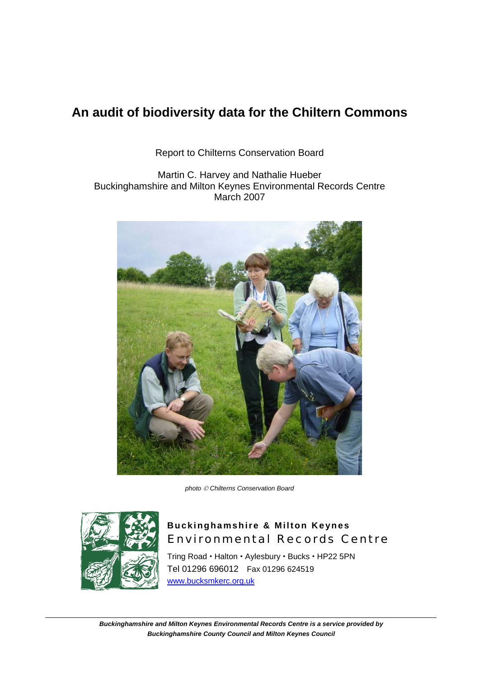Report to Chilterns Conservation Board

Martin C. Harvey and Nathalie Hueber Buckinghamshire and Milton Keynes Environmental Records Centre March 2007



*photo* © *Chilterns Conservation Board* 



### **Buckinghamshire & Milton Keynes**  Environmental Records Centre

Tring Road · Halton · Aylesbury · Bucks · HP22 5PN Tel 01296 696012 Fax 01296 624519 www.bucksmkerc.org.uk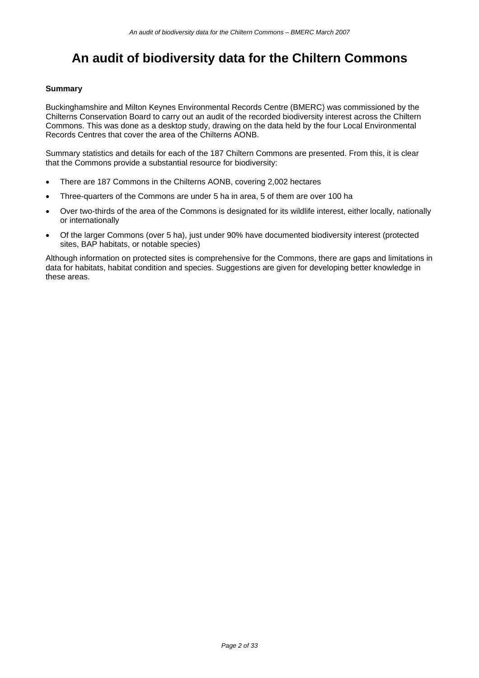#### **Summary**

Buckinghamshire and Milton Keynes Environmental Records Centre (BMERC) was commissioned by the Chilterns Conservation Board to carry out an audit of the recorded biodiversity interest across the Chiltern Commons. This was done as a desktop study, drawing on the data held by the four Local Environmental Records Centres that cover the area of the Chilterns AONB.

Summary statistics and details for each of the 187 Chiltern Commons are presented. From this, it is clear that the Commons provide a substantial resource for biodiversity:

- There are 187 Commons in the Chilterns AONB, covering 2,002 hectares
- Three-quarters of the Commons are under 5 ha in area, 5 of them are over 100 ha
- Over two-thirds of the area of the Commons is designated for its wildlife interest, either locally, nationally or internationally
- Of the larger Commons (over 5 ha), just under 90% have documented biodiversity interest (protected sites, BAP habitats, or notable species)

Although information on protected sites is comprehensive for the Commons, there are gaps and limitations in data for habitats, habitat condition and species. Suggestions are given for developing better knowledge in these areas.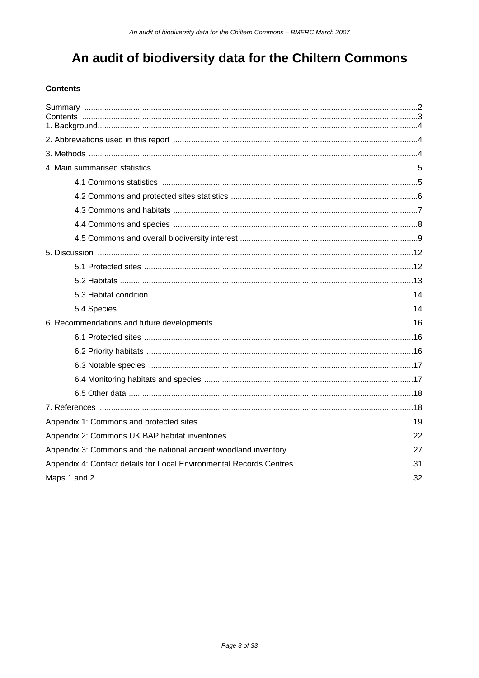#### **Contents**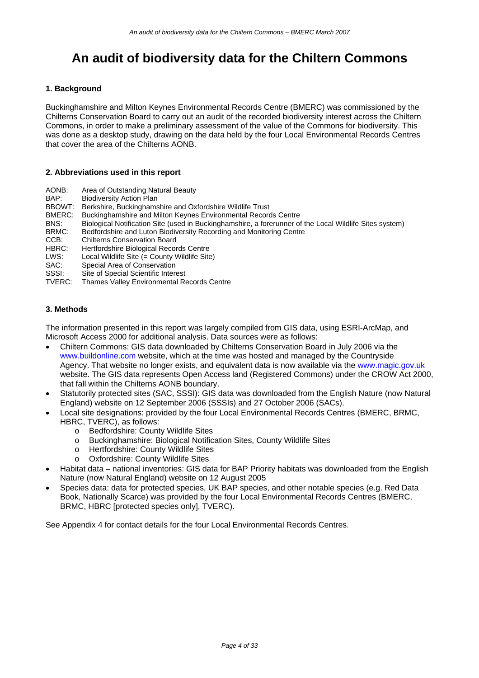#### **1. Background**

Buckinghamshire and Milton Keynes Environmental Records Centre (BMERC) was commissioned by the Chilterns Conservation Board to carry out an audit of the recorded biodiversity interest across the Chiltern Commons, in order to make a preliminary assessment of the value of the Commons for biodiversity. This was done as a desktop study, drawing on the data held by the four Local Environmental Records Centres that cover the area of the Chilterns AONB.

#### **2. Abbreviations used in this report**

- AONB: Area of Outstanding Natural Beauty
- BAP: Biodiversity Action Plan<br>BBOWT: Berkshire. Buckinghams
- BBOWT: Berkshire, Buckinghamshire and Oxfordshire Wildlife Trust<br>BMERC: Buckinghamshire and Milton Keynes Environmental Record
- Buckinghamshire and Milton Keynes Environmental Records Centre
- BNS: Biological Notification Site (used in Buckinghamshire, a forerunner of the Local Wildlife Sites system)
- BRMC: Bedfordshire and Luton Biodiversity Recording and Monitoring Centre
- CCB: Chilterns Conservation Board
- HBRC: Hertfordshire Biological Records Centre
- LWS: Local Wildlife Site (= County Wildlife Site)
- SAC: Special Area of Conservation
- SSSI: Site of Special Scientific Interest
- TVERC: Thames Valley Environmental Records Centre

#### **3. Methods**

The information presented in this report was largely compiled from GIS data, using ESRI-ArcMap, and Microsoft Access 2000 for additional analysis. Data sources were as follows:

- Chiltern Commons: GIS data downloaded by Chilterns Conservation Board in July 2006 via the www.buildonline.com website, which at the time was hosted and managed by the Countryside Agency. That website no longer exists, and equivalent data is now available via the www.magic.gov.uk website. The GIS data represents Open Access land (Registered Commons) under the CROW Act 2000, that fall within the Chilterns AONB boundary.
- Statutorily protected sites (SAC, SSSI): GIS data was downloaded from the English Nature (now Natural England) website on 12 September 2006 (SSSIs) and 27 October 2006 (SACs).
- Local site designations: provided by the four Local Environmental Records Centres (BMERC, BRMC, HBRC, TVERC), as follows:
	- o Bedfordshire: County Wildlife Sites
	- o Buckinghamshire: Biological Notification Sites, County Wildlife Sites
	- o Hertfordshire: County Wildlife Sites
	- o Oxfordshire: County Wildlife Sites
- Habitat data national inventories: GIS data for BAP Priority habitats was downloaded from the English Nature (now Natural England) website on 12 August 2005
- Species data: data for protected species, UK BAP species, and other notable species (e.g. Red Data Book, Nationally Scarce) was provided by the four Local Environmental Records Centres (BMERC, BRMC, HBRC [protected species only], TVERC).

See Appendix 4 for contact details for the four Local Environmental Records Centres.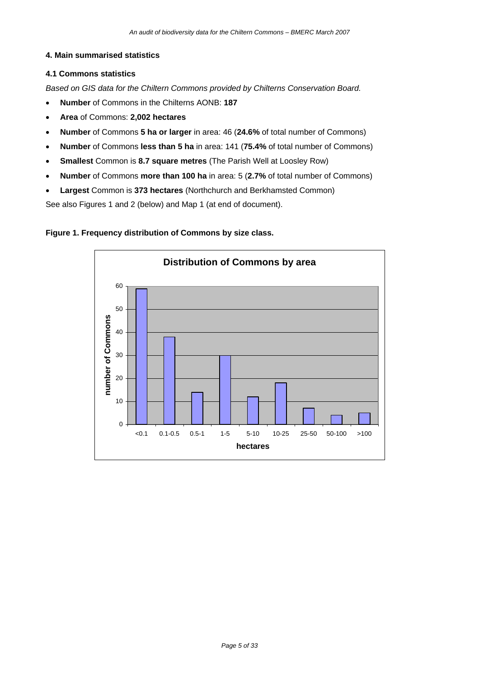#### **4. Main summarised statistics**

#### **4.1 Commons statistics**

*Based on GIS data for the Chiltern Commons provided by Chilterns Conservation Board.* 

- **Number** of Commons in the Chilterns AONB: **187**
- **Area** of Commons: **2,002 hectares**
- **Number** of Commons **5 ha or larger** in area: 46 (**24.6%** of total number of Commons)
- **Number** of Commons **less than 5 ha** in area: 141 (**75.4%** of total number of Commons)
- **Smallest** Common is **8.7 square metres** (The Parish Well at Loosley Row)
- **Number** of Commons **more than 100 ha** in area: 5 (**2.7%** of total number of Commons)
- **Largest** Common is **373 hectares** (Northchurch and Berkhamsted Common)

See also Figures 1 and 2 (below) and Map 1 (at end of document).

#### **Figure 1. Frequency distribution of Commons by size class.**

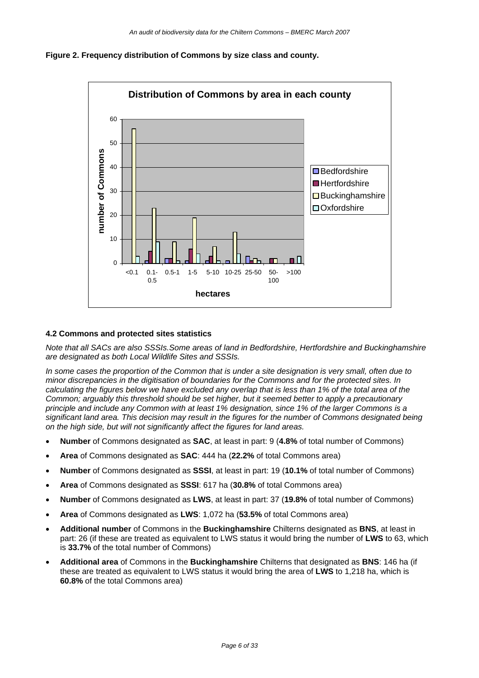



#### **4.2 Commons and protected sites statistics**

*Note that all SACs are also SSSIs.Some areas of land in Bedfordshire, Hertfordshire and Buckinghamshire are designated as both Local Wildlife Sites and SSSIs.* 

*In some cases the proportion of the Common that is under a site designation is very small, often due to minor discrepancies in the digitisation of boundaries for the Commons and for the protected sites. In calculating the figures below we have excluded any overlap that is less than 1% of the total area of the Common; arguably this threshold should be set higher, but it seemed better to apply a precautionary principle and include any Common with at least 1% designation, since 1% of the larger Commons is a significant land area. This decision may result in the figures for the number of Commons designated being on the high side, but will not significantly affect the figures for land areas.* 

- **Number** of Commons designated as **SAC**, at least in part: 9 (**4.8%** of total number of Commons)
- **Area** of Commons designated as **SAC**: 444 ha (**22.2%** of total Commons area)
- **Number** of Commons designated as **SSSI**, at least in part: 19 (**10.1%** of total number of Commons)
- **Area** of Commons designated as **SSSI**: 617 ha (**30.8%** of total Commons area)
- **Number** of Commons designated as **LWS**, at least in part: 37 (**19.8%** of total number of Commons)
- **Area** of Commons designated as **LWS**: 1,072 ha (**53.5%** of total Commons area)
- **Additional number** of Commons in the **Buckinghamshire** Chilterns designated as **BNS**, at least in part: 26 (if these are treated as equivalent to LWS status it would bring the number of **LWS** to 63, which is **33.7%** of the total number of Commons)
- **Additional area** of Commons in the **Buckinghamshire** Chilterns that designated as **BNS**: 146 ha (if these are treated as equivalent to LWS status it would bring the area of **LWS** to 1,218 ha, which is **60.8%** of the total Commons area)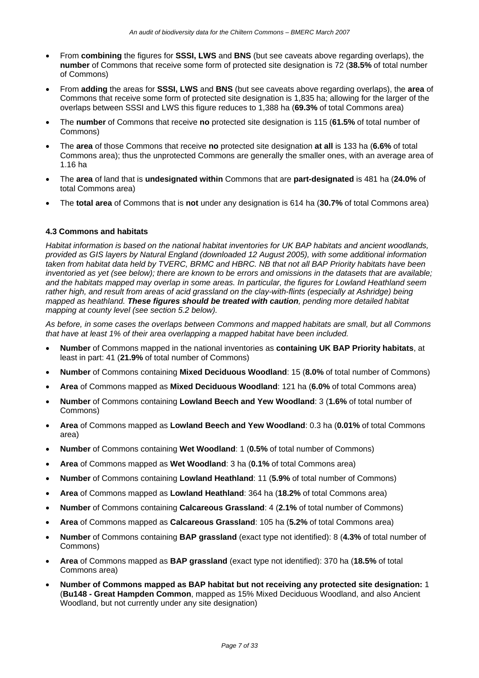- From **combining** the figures for **SSSI, LWS** and **BNS** (but see caveats above regarding overlaps), the **number** of Commons that receive some form of protected site designation is 72 (**38.5%** of total number of Commons)
- From **adding** the areas for **SSSI, LWS** and **BNS** (but see caveats above regarding overlaps), the **area** of Commons that receive some form of protected site designation is 1,835 ha; allowing for the larger of the overlaps between SSSI and LWS this figure reduces to 1,388 ha (**69.3%** of total Commons area)
- The **number** of Commons that receive **no** protected site designation is 115 (**61.5%** of total number of Commons)
- The **area** of those Commons that receive **no** protected site designation **at all** is 133 ha (**6.6%** of total Commons area); thus the unprotected Commons are generally the smaller ones, with an average area of 1.16 ha
- The **area** of land that is **undesignated within** Commons that are **part-designated** is 481 ha (**24.0%** of total Commons area)
- The **total area** of Commons that is **not** under any designation is 614 ha (**30.7%** of total Commons area)

#### **4.3 Commons and habitats**

*Habitat information is based on the national habitat inventories for UK BAP habitats and ancient woodlands, provided as GIS layers by Natural England (downloaded 12 August 2005), with some additional information taken from habitat data held by TVERC, BRMC and HBRC. NB that not all BAP Priority habitats have been inventoried as yet (see below); there are known to be errors and omissions in the datasets that are available; and the habitats mapped may overlap in some areas. In particular, the figures for Lowland Heathland seem rather high, and result from areas of acid grassland on the clay-with-flints (especially at Ashridge) being mapped as heathland. These figures should be treated with caution, pending more detailed habitat mapping at county level (see section 5.2 below).* 

*As before, in some cases the overlaps between Commons and mapped habitats are small, but all Commons that have at least 1% of their area overlapping a mapped habitat have been included.* 

- **Number** of Commons mapped in the national inventories as **containing UK BAP Priority habitats**, at least in part: 41 (**21.9%** of total number of Commons)
- **Number** of Commons containing **Mixed Deciduous Woodland**: 15 (**8.0%** of total number of Commons)
- **Area** of Commons mapped as **Mixed Deciduous Woodland**: 121 ha (**6.0%** of total Commons area)
- **Number** of Commons containing **Lowland Beech and Yew Woodland**: 3 (**1.6%** of total number of Commons)
- **Area** of Commons mapped as **Lowland Beech and Yew Woodland**: 0.3 ha (**0.01%** of total Commons area)
- **Number** of Commons containing **Wet Woodland**: 1 (**0.5%** of total number of Commons)
- **Area** of Commons mapped as **Wet Woodland**: 3 ha (**0.1%** of total Commons area)
- **Number** of Commons containing **Lowland Heathland**: 11 (**5.9%** of total number of Commons)
- **Area** of Commons mapped as **Lowland Heathland**: 364 ha (**18.2%** of total Commons area)
- **Number** of Commons containing **Calcareous Grassland**: 4 (**2.1%** of total number of Commons)
- **Area** of Commons mapped as **Calcareous Grassland**: 105 ha (**5.2%** of total Commons area)
- **Number** of Commons containing **BAP grassland** (exact type not identified): 8 (**4.3%** of total number of Commons)
- **Area** of Commons mapped as **BAP grassland** (exact type not identified): 370 ha (**18.5%** of total Commons area)
- **Number of Commons mapped as BAP habitat but not receiving any protected site designation:** 1 (**Bu148 - Great Hampden Common**, mapped as 15% Mixed Deciduous Woodland, and also Ancient Woodland, but not currently under any site designation)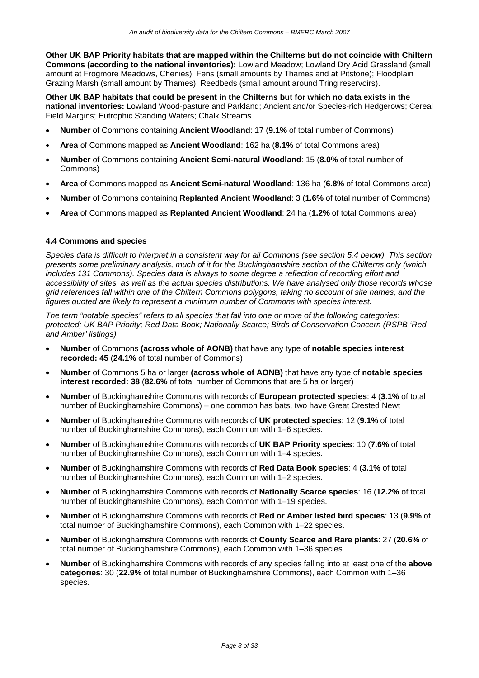**Other UK BAP Priority habitats that are mapped within the Chilterns but do not coincide with Chiltern Commons (according to the national inventories):** Lowland Meadow; Lowland Dry Acid Grassland (small amount at Frogmore Meadows, Chenies); Fens (small amounts by Thames and at Pitstone); Floodplain Grazing Marsh (small amount by Thames); Reedbeds (small amount around Tring reservoirs).

**Other UK BAP habitats that could be present in the Chilterns but for which no data exists in the national inventories:** Lowland Wood-pasture and Parkland; Ancient and/or Species-rich Hedgerows; Cereal Field Margins; Eutrophic Standing Waters; Chalk Streams.

- **Number** of Commons containing **Ancient Woodland**: 17 (**9.1%** of total number of Commons)
- **Area** of Commons mapped as **Ancient Woodland**: 162 ha (**8.1%** of total Commons area)
- **Number** of Commons containing **Ancient Semi-natural Woodland**: 15 (**8.0%** of total number of Commons)
- **Area** of Commons mapped as **Ancient Semi-natural Woodland**: 136 ha (**6.8%** of total Commons area)
- **Number** of Commons containing **Replanted Ancient Woodland**: 3 (**1.6%** of total number of Commons)
- **Area** of Commons mapped as **Replanted Ancient Woodland**: 24 ha (**1.2%** of total Commons area)

#### **4.4 Commons and species**

*Species data is difficult to interpret in a consistent way for all Commons (see section 5.4 below). This section presents some preliminary analysis, much of it for the Buckinghamshire section of the Chilterns only (which includes 131 Commons). Species data is always to some degree a reflection of recording effort and accessibility of sites, as well as the actual species distributions. We have analysed only those records whose grid references fall within one of the Chiltern Commons polygons, taking no account of site names, and the figures quoted are likely to represent a minimum number of Commons with species interest.* 

*The term "notable species" refers to all species that fall into one or more of the following categories: protected; UK BAP Priority; Red Data Book; Nationally Scarce; Birds of Conservation Concern (RSPB 'Red and Amber' listings).* 

- **Number** of Commons **(across whole of AONB)** that have any type of **notable species interest recorded: 45** (**24.1%** of total number of Commons)
- **Number** of Commons 5 ha or larger **(across whole of AONB)** that have any type of **notable species interest recorded: 38** (**82.6%** of total number of Commons that are 5 ha or larger)
- **Number** of Buckinghamshire Commons with records of **European protected species**: 4 (**3.1%** of total number of Buckinghamshire Commons) – one common has bats, two have Great Crested Newt
- **Number** of Buckinghamshire Commons with records of **UK protected species**: 12 (**9.1%** of total number of Buckinghamshire Commons), each Common with 1–6 species.
- **Number** of Buckinghamshire Commons with records of **UK BAP Priority species**: 10 (**7.6%** of total number of Buckinghamshire Commons), each Common with 1–4 species.
- **Number** of Buckinghamshire Commons with records of **Red Data Book species**: 4 (**3.1%** of total number of Buckinghamshire Commons), each Common with 1–2 species.
- **Number** of Buckinghamshire Commons with records of **Nationally Scarce species**: 16 (**12.2%** of total number of Buckinghamshire Commons), each Common with 1–19 species.
- **Number** of Buckinghamshire Commons with records of **Red or Amber listed bird species**: 13 (**9.9%** of total number of Buckinghamshire Commons), each Common with 1–22 species.
- **Number** of Buckinghamshire Commons with records of **County Scarce and Rare plants**: 27 (**20.6%** of total number of Buckinghamshire Commons), each Common with 1–36 species.
- **Number** of Buckinghamshire Commons with records of any species falling into at least one of the **above categories**: 30 (**22.9%** of total number of Buckinghamshire Commons), each Common with 1–36 species.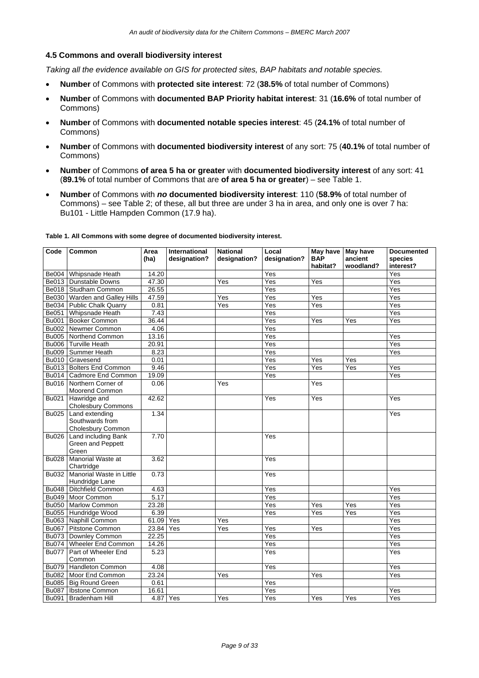#### **4.5 Commons and overall biodiversity interest**

*Taking all the evidence available on GIS for protected sites, BAP habitats and notable species.* 

- **Number** of Commons with **protected site interest**: 72 (**38.5%** of total number of Commons)
- **Number** of Commons with **documented BAP Priority habitat interest**: 31 (**16.6%** of total number of Commons)
- **Number** of Commons with **documented notable species interest**: 45 (**24.1%** of total number of Commons)
- **Number** of Commons with **documented biodiversity interest** of any sort: 75 (**40.1%** of total number of Commons)
- **Number** of Commons **of area 5 ha or greater** with **documented biodiversity interest** of any sort: 41 (**89.1%** of total number of Commons that are **of area 5 ha or greater**) – see Table 1.
- **Number** of Commons with *no* **documented biodiversity interest**: 110 (**58.9%** of total number of Commons) – see Table 2; of these, all but three are under 3 ha in area, and only one is over 7 ha: Bu101 - Little Hampden Common (17.9 ha).

| Code         | Common                          | Area     | International | <b>National</b> | Local            | May have May have |           | <b>Documented</b> |
|--------------|---------------------------------|----------|---------------|-----------------|------------------|-------------------|-----------|-------------------|
|              |                                 | (ha)     | designation?  | designation?    | designation?     | <b>BAP</b>        | ancient   | species           |
|              |                                 |          |               |                 |                  | habitat?          | woodland? | interest?         |
|              | Be004 Whipsnade Heath           | 14.20    |               |                 | Yes              |                   |           | Yes               |
|              | Be013   Dunstable Downs         | 47.30    |               | Yes             | $\overline{Yes}$ | Yes               |           | Yes               |
|              | Be018   Studham Common          | 26.55    |               |                 | Yes              |                   |           | Yes               |
|              | Be030   Warden and Galley Hills | 47.59    |               | Yes             | Yes              | Yes               |           | Yes               |
| Be034        | <b>Public Chalk Quarry</b>      | 0.81     |               | Yes             | Yes              | Yes               |           | Yes               |
| Be051        | Whipsnade Heath                 | 7.43     |               |                 | Yes              |                   |           | Yes               |
|              | Bu001 Booker Common             | 36.44    |               |                 | Yes              | Yes               | Yes       | Yes               |
| <b>Bu002</b> | Newmer Common                   | 4.06     |               |                 | Yes              |                   |           |                   |
|              | Bu005 Northend Common           | 13.16    |               |                 | Yes              |                   |           | Yes               |
|              | Bu006 Turville Heath            | 20.91    |               |                 | Yes              |                   |           | Yes               |
| <b>Bu009</b> | Summer Heath                    | 8.23     |               |                 | Yes              |                   |           | Yes               |
|              | Bu010 Gravesend                 | 0.01     |               |                 | Yes              | Yes               | Yes       |                   |
| Bu013        | <b>Bolters End Common</b>       | 9.46     |               |                 | Yes              | Yes               | Yes       | Yes               |
|              | Bu014   Cadmore End Common      | 19.09    |               |                 | Yes              |                   |           | Yes               |
|              | Bu016 Northern Corner of        | 0.06     |               | Yes             |                  | Yes               |           |                   |
|              | <b>Moorend Common</b>           |          |               |                 |                  |                   |           |                   |
| <b>Bu021</b> | Hawridge and                    | 42.62    |               |                 | Yes              | Yes               |           | Yes               |
|              | Cholesbury Commons              |          |               |                 |                  |                   |           |                   |
| <b>Bu025</b> | Land extending                  | 1.34     |               |                 |                  |                   |           | Yes               |
|              | Southwards from                 |          |               |                 |                  |                   |           |                   |
|              | Cholesbury Common               |          |               |                 |                  |                   |           |                   |
| <b>Bu026</b> | Land including Bank             | 7.70     |               |                 | Yes              |                   |           |                   |
|              | Green and Peppett               |          |               |                 |                  |                   |           |                   |
|              | Green                           |          |               |                 |                  |                   |           |                   |
| <b>Bu028</b> | Manorial Waste at               | 3.62     |               |                 | Yes              |                   |           |                   |
|              | Chartridge                      |          |               |                 |                  |                   |           |                   |
| <b>Bu032</b> | Manorial Waste in Little        | 0.73     |               |                 | Yes              |                   |           |                   |
|              | Hundridge Lane                  |          |               |                 |                  |                   |           |                   |
| <b>Bu048</b> | <b>Ditchfield Common</b>        | 4.63     |               |                 | Yes              |                   |           | Yes               |
|              | Bu049   Moor Common             | 5.17     |               |                 | Yes              |                   |           | Yes               |
|              | Bu050 Marlow Common             | 23.28    |               |                 | Yes              | Yes               | Yes       | Yes               |
| <b>Bu055</b> | Hundridge Wood                  | 6.39     |               |                 | Yes              | Yes               | Yes       | Yes               |
|              | Bu063 Naphill Common            | 61.09    | Yes           | Yes             |                  |                   |           | Yes               |
|              | Bu067 Pitstone Common           | 23.84    | Yes           | Yes             | Yes              | Yes               |           | Yes               |
|              | Bu073   Downley Common          | 22.25    |               |                 | Yes              |                   |           | Yes               |
|              | Bu074 Wheeler End Common        | 14.26    |               |                 | Yes              |                   |           | Yes               |
| <b>Bu077</b> | Part of Wheeler End             | 5.23     |               |                 | Yes              |                   |           | Yes               |
|              | Common                          |          |               |                 |                  |                   |           |                   |
| <b>Bu079</b> | Handleton Common                | 4.08     |               |                 | Yes              |                   |           | Yes               |
|              | Bu082   Moor End Common         | 23.24    |               | Yes             |                  | Yes               |           | Yes               |
|              | Bu085 Big Round Green           | 0.61     |               |                 | Yes              |                   |           |                   |
| <b>Bu087</b> | <b>Ibstone Common</b>           | 16.61    |               |                 | Yes              |                   |           | Yes               |
| <b>Bu091</b> | Bradenham Hill                  | 4.87 Yes |               | Yes             | Yes              | Yes               | Yes       | Yes               |

**Table 1. All Commons with some degree of documented biodiversity interest.**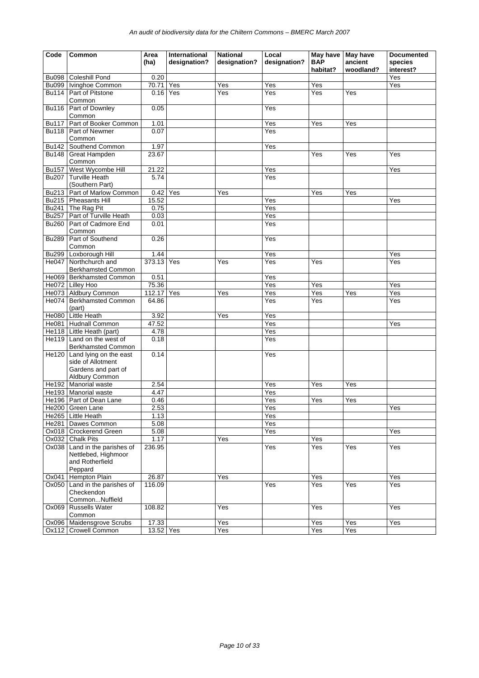| Code                         | Common                                              | Area<br>(ha)       | International<br>designation? | <b>National</b><br>designation? | Local<br>designation? | <b>BAP</b>       | May have   May have<br>ancient | <b>Documented</b><br>species |
|------------------------------|-----------------------------------------------------|--------------------|-------------------------------|---------------------------------|-----------------------|------------------|--------------------------------|------------------------------|
|                              |                                                     |                    |                               |                                 |                       | habitat?         | woodland?                      | interest?                    |
| <b>Bu098</b><br><b>Bu099</b> | <b>Coleshill Pond</b><br>Ivinghoe Common            | 0.20<br>70.71      | Yes                           | Yes                             | Yes                   | Yes              |                                | Yes<br>Yes                   |
| <b>Bu114</b>                 | Part of Pitstone                                    | $0.16$ Yes         |                               | Yes                             | Yes                   | Yes              | Yes                            |                              |
|                              | Common                                              |                    |                               |                                 |                       |                  |                                |                              |
| <b>Bu116</b>                 | Part of Downley                                     | 0.05               |                               |                                 | Yes                   |                  |                                |                              |
|                              | Common                                              |                    |                               |                                 |                       |                  |                                |                              |
| <b>Bu117</b>                 | Part of Booker Common                               | 1.01               |                               |                                 | Yes                   | Yes              | Yes                            |                              |
| <b>Bu118</b>                 | Part of Newmer                                      | 0.07               |                               |                                 | Yes                   |                  |                                |                              |
|                              | Common                                              |                    |                               |                                 |                       |                  |                                |                              |
| <b>Bu142</b>                 | Southend Common                                     | 1.97               |                               |                                 | Yes                   |                  |                                |                              |
| <b>Bu148</b>                 | <b>Great Hampden</b>                                | 23.67              |                               |                                 |                       | Yes              | Yes                            | Yes                          |
| <b>Bu157</b>                 | Common<br>West Wycombe Hill                         | 21.22              |                               |                                 | Yes                   |                  |                                | Yes                          |
| Bu207                        | <b>Turville Heath</b>                               | 5.74               |                               |                                 | Yes                   |                  |                                |                              |
|                              | (Southern Part)                                     |                    |                               |                                 |                       |                  |                                |                              |
|                              | Bu213   Part of Marlow Common                       | 0.42               | Yes                           | Yes                             |                       | Yes              | Yes                            |                              |
|                              | Bu215   Pheasants Hill                              | 15.52              |                               |                                 | Yes                   |                  |                                | Yes                          |
| <b>Bu241</b>                 | The Rag Pit                                         | 0.75               |                               |                                 | Yes                   |                  |                                |                              |
| <b>Bu257</b>                 | Part of Turville Heath                              | 0.03               |                               |                                 | Yes                   |                  |                                |                              |
| <b>Bu260</b>                 | Part of Cadmore End                                 | 0.01               |                               |                                 | Yes                   |                  |                                |                              |
|                              | Common                                              |                    |                               |                                 |                       |                  |                                |                              |
| <b>Bu289</b>                 | Part of Southend                                    | 0.26               |                               |                                 | Yes                   |                  |                                |                              |
|                              | Common                                              |                    |                               |                                 |                       |                  |                                |                              |
| <b>Bu299</b>                 | Loxborough Hill<br>Northchurch and                  | 1.44<br>373.13 Yes |                               | Yes                             | Yes<br>Yes            | Yes              |                                | Yes                          |
| He047                        | <b>Berkhamsted Common</b>                           |                    |                               |                                 |                       |                  |                                | Yes                          |
|                              | He069 Berkhamsted Common                            | 0.51               |                               |                                 | Yes                   |                  |                                |                              |
|                              | He072 Lilley Hoo                                    | 75.36              |                               |                                 | Yes                   | Yes              |                                | Yes                          |
|                              | He073 Aldbury Common                                | 112.17             | Yes                           | Yes                             | Yes                   | $\overline{Yes}$ | Yes                            | Yes                          |
| He074                        | <b>Berkhamsted Common</b>                           | 64.86              |                               |                                 | Yes                   | Yes              |                                | Yes                          |
|                              | (part)                                              |                    |                               |                                 |                       |                  |                                |                              |
|                              | He080 Little Heath                                  | 3.92               |                               | Yes                             | Yes                   |                  |                                |                              |
|                              | He081   Hudnall Common                              | 47.52              |                               |                                 | Yes                   |                  |                                | Yes                          |
|                              | He118 Little Heath (part)                           | 4.78               |                               |                                 | Yes                   |                  |                                |                              |
| He119                        | Land on the west of                                 | 0.18               |                               |                                 | Yes                   |                  |                                |                              |
| He120                        | <b>Berkhamsted Common</b><br>Land lying on the east | 0.14               |                               |                                 |                       |                  |                                |                              |
|                              | side of Allotment                                   |                    |                               |                                 | Yes                   |                  |                                |                              |
|                              | Gardens and part of                                 |                    |                               |                                 |                       |                  |                                |                              |
|                              | Aldbury Common                                      |                    |                               |                                 |                       |                  |                                |                              |
|                              | He192 Manorial waste                                | 2.54               |                               |                                 | Yes                   | Yes              | Yes                            |                              |
|                              | He193 Manorial waste                                | 4.47               |                               |                                 | Yes                   |                  |                                |                              |
|                              | He196   Part of Dean Lane                           | 0.46               |                               |                                 | Yes                   | Yes              | Yes                            |                              |
|                              | He200 Green Lane                                    | 2.53               |                               |                                 | Yes                   |                  |                                | Yes                          |
|                              | He265 Little Heath                                  | 1.13               |                               |                                 | Yes                   |                  |                                |                              |
|                              | He281 Dawes Common                                  | 5.08               |                               |                                 | Yes                   |                  |                                |                              |
|                              | Ox018 Crockerend Green                              | 5.08               |                               |                                 | Yes                   |                  |                                | Yes                          |
| Ox032<br>Ox038               | <b>Chalk Pits</b><br>Land in the parishes of        | 1.17<br>236.95     |                               | Yes                             | Yes                   | Yes<br>Yes       | Yes                            | Yes                          |
|                              | Nettlebed, Highmoor                                 |                    |                               |                                 |                       |                  |                                |                              |
|                              | and Rotherfield                                     |                    |                               |                                 |                       |                  |                                |                              |
|                              | Peppard                                             |                    |                               |                                 |                       |                  |                                |                              |
| Ox041                        | <b>Hempton Plain</b>                                | 26.87              |                               | Yes                             |                       | Yes              |                                | Yes                          |
| Ox050                        | Land in the parishes of                             | 116.09             |                               |                                 | Yes                   | Yes              | Yes                            | Yes                          |
|                              | Checkendon                                          |                    |                               |                                 |                       |                  |                                |                              |
|                              | CommonNuffield                                      |                    |                               |                                 |                       |                  |                                |                              |
| Ox069                        | <b>Russells Water</b>                               | 108.82             |                               | Yes                             |                       | Yes              |                                | Yes                          |
|                              | Common<br>Ox096 Maidensgrove Scrubs                 | 17.33              |                               | Yes                             |                       | Yes              | Yes                            | Yes                          |
| Ox112                        | <b>Crowell Common</b>                               | 13.52 Yes          |                               | Yes                             |                       | Yes              | Yes                            |                              |
|                              |                                                     |                    |                               |                                 |                       |                  |                                |                              |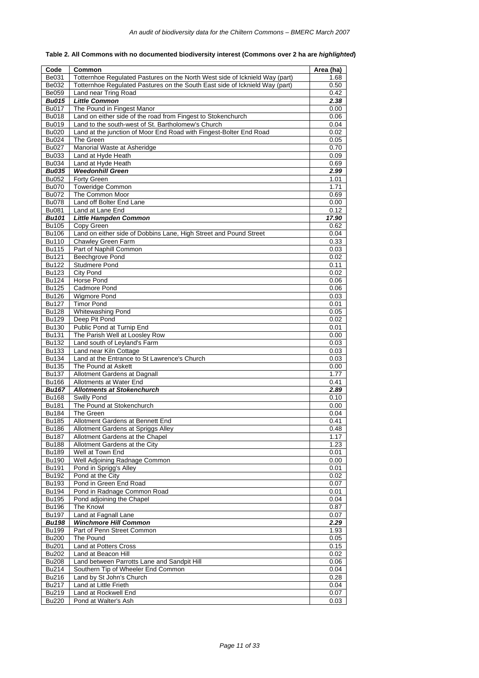| Table 2. All Commons with no documented biodiversity interest (Commons over 2 ha are highlighted) |
|---------------------------------------------------------------------------------------------------|
|                                                                                                   |

| Code                         | Common                                                                      | Area (ha)    |
|------------------------------|-----------------------------------------------------------------------------|--------------|
| Be031                        | Totternhoe Regulated Pastures on the North West side of Icknield Way (part) | 1.68         |
| Be032                        | Totternhoe Regulated Pastures on the South East side of Icknield Way (part) | 0.50         |
| <b>Be059</b>                 | Land near Tring Road                                                        | 0.42         |
| <b>Bu015</b>                 | <b>Little Common</b>                                                        | 2.38         |
| <b>Bu017</b>                 | The Pound in Fingest Manor                                                  | 0.00         |
| <b>Bu018</b>                 | Land on either side of the road from Fingest to Stokenchurch                | 0.06         |
| Bu019                        | Land to the south-west of St. Bartholomew's Church                          | 0.04         |
| <b>Bu020</b>                 | Land at the junction of Moor End Road with Fingest-Bolter End Road          | 0.02         |
| Bu024                        | The Green                                                                   | 0.05         |
| <b>Bu027</b>                 | Manorial Waste at Asheridge                                                 | 0.70         |
| Bu033                        | Land at Hyde Heath                                                          | 0.09         |
| <b>Bu034</b>                 | Land at Hyde Heath                                                          | 0.69         |
| <b>Bu035</b>                 | <b>Weedonhill Green</b>                                                     | 2.99         |
| <b>Bu052</b>                 | Forty Green                                                                 | 1.01         |
| <b>Bu070</b><br><b>Bu072</b> | <b>Toweridge Common</b><br>The Common Moor                                  | 1.71<br>0.69 |
| <b>Bu078</b>                 | Land off Bolter End Lane                                                    | 0.00         |
| <b>Bu081</b>                 | Land at Lane End                                                            | 0.12         |
| <b>Bu101</b>                 | <b>Little Hampden Common</b>                                                | 17.90        |
| <b>Bu105</b>                 | Copy Green                                                                  | 0.62         |
| <b>Bu106</b>                 | Land on either side of Dobbins Lane, High Street and Pound Street           | 0.04         |
| <b>Bu110</b>                 | Chawley Green Farm                                                          | 0.33         |
| <b>Bu115</b>                 | Part of Naphill Common                                                      | 0.03         |
| <b>Bu121</b>                 | Beechgrove Pond                                                             | 0.02         |
| <b>Bu122</b>                 | <b>Studmere Pond</b>                                                        | 0.11         |
| <b>Bu123</b>                 | <b>City Pond</b>                                                            | 0.02         |
| <b>Bu124</b>                 | Horse Pond                                                                  | 0.06         |
| $\overline{Bu125}$           | Cadmore Pond                                                                | 0.06         |
| <b>Bu126</b>                 | <b>Wigmore Pond</b>                                                         | 0.03         |
| <b>Bu127</b>                 | <b>Timor Pond</b>                                                           | 0.01         |
| <b>Bu128</b>                 | <b>Whitewashing Pond</b>                                                    | 0.05         |
| <b>Bu129</b>                 | Deep Pit Pond                                                               | 0.02         |
| <b>Bu130</b>                 | Public Pond at Turnip End                                                   | 0.01         |
| <b>Bu131</b>                 | The Parish Well at Loosley Row                                              | 0.00         |
| Bu132                        | Land south of Leyland's Farm                                                | 0.03         |
| <b>Bu133</b>                 | Land near Kiln Cottage                                                      | 0.03         |
| <b>Bu134</b>                 | Land at the Entrance to St Lawrence's Church                                | 0.03         |
| <b>Bu135</b>                 | The Pound at Askett                                                         | 0.00         |
| Bu137                        | Allotment Gardens at Dagnall                                                | 1.77         |
| <b>Bu166</b>                 | Allotments at Water End                                                     | 0.41         |
| <b>Bu167</b>                 | <b>Allotments at Stokenchurch</b>                                           | 2.89         |
| <b>Bu168</b>                 | Swilly Pond                                                                 | 0.10         |
| <b>Bu181</b>                 | The Pound at Stokenchurch                                                   | 0.00         |
| <b>Bu184</b><br><b>Bu185</b> | The Green<br>Allotment Gardens at Bennett End                               | 0.04<br>0.41 |
| <b>Bu186</b>                 | Allotment Gardens at Spriggs Alley                                          | 0.48         |
| <b>Bu187</b>                 | Allotment Gardens at the Chapel                                             | 1.17         |
| <b>Bu188</b>                 | Allotment Gardens at the City                                               | 1.23         |
| <b>Bu189</b>                 | Well at Town End                                                            | 0.01         |
| <b>Bu190</b>                 | Well Adjoining Radnage Common                                               | 0.00         |
| <b>Bu191</b>                 | Pond in Sprigg's Alley                                                      | 0.01         |
| Bu192                        | Pond at the City                                                            | 0.02         |
| <b>Bu193</b>                 | Pond in Green End Road                                                      | 0.07         |
| Bu194                        | Pond in Radnage Common Road                                                 | 0.01         |
| <b>Bu195</b>                 | Pond adjoining the Chapel                                                   | 0.04         |
| <b>Bu196</b>                 | The Knowl                                                                   | 0.87         |
| <b>Bu197</b>                 | Land at Fagnall Lane                                                        | 0.07         |
| <b>Bu198</b>                 | <b>Winchmore Hill Common</b>                                                | 2.29         |
| <b>Bu199</b>                 | Part of Penn Street Common                                                  | 1.93         |
| <b>Bu200</b>                 | The Pound                                                                   | 0.05         |
| <b>Bu201</b>                 | Land at Potters Cross                                                       | 0.15         |
| <b>Bu202</b>                 | Land at Beacon Hill                                                         | 0.02         |
| <b>Bu208</b>                 | Land between Parrotts Lane and Sandpit Hill                                 | 0.06         |
| Bu214                        | Southern Tip of Wheeler End Common                                          | 0.04         |
| <b>Bu216</b>                 | Land by St John's Church                                                    | 0.28         |
| Bu217                        | Land at Little Frieth                                                       | 0.04         |
| Bu219                        | Land at Rockwell End                                                        | 0.07         |
| <b>Bu220</b>                 | Pond at Walter's Ash                                                        | 0.03         |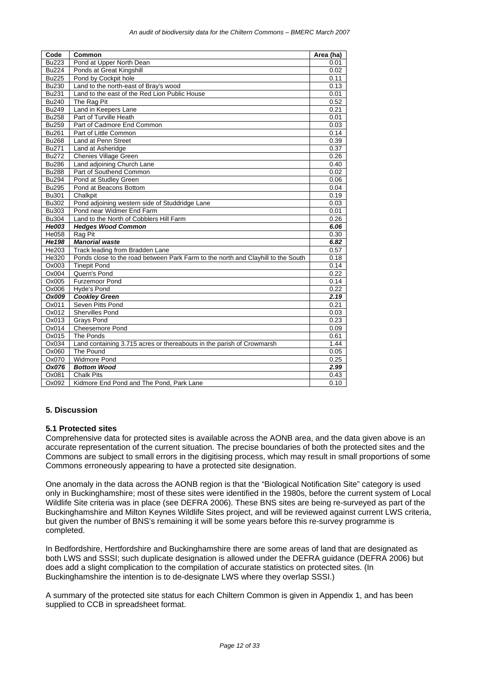| Code         | Common                                                                           | Area (ha) |
|--------------|----------------------------------------------------------------------------------|-----------|
| <b>Bu223</b> | Pond at Upper North Dean                                                         | 0.01      |
| <b>Bu224</b> | Ponds at Great Kingshill                                                         | 0.02      |
| <b>Bu225</b> | Pond by Cockpit hole                                                             | 0.11      |
| <b>Bu230</b> | Land to the north-east of Bray's wood                                            | 0.13      |
| <b>Bu231</b> | Land to the east of the Red Lion Public House                                    | 0.01      |
| <b>Bu240</b> | The Rag Pit                                                                      | 0.52      |
| <b>Bu249</b> | Land in Keepers Lane                                                             | 0.21      |
| <b>Bu258</b> | Part of Turville Heath                                                           | 0.01      |
| <b>Bu259</b> | Part of Cadmore End Common                                                       | 0.03      |
| <b>Bu261</b> | Part of Little Common                                                            | 0.14      |
| <b>Bu268</b> | Land at Penn Street                                                              | 0.39      |
| Bu271        | Land at Asheridge                                                                | 0.37      |
| <b>Bu272</b> | <b>Chenies Village Green</b>                                                     | 0.26      |
| <b>Bu286</b> | Land adjoining Church Lane                                                       | 0.40      |
| <b>Bu288</b> | Part of Southend Common                                                          | 0.02      |
| <b>Bu294</b> | Pond at Studley Green                                                            | 0.06      |
| <b>Bu295</b> | Pond at Beacons Bottom                                                           | 0.04      |
| <b>Bu301</b> | Chalkpit                                                                         | 0.19      |
| <b>Bu302</b> | Pond adjoining western side of Studdridge Lane                                   | 0.03      |
| <b>Bu303</b> | Pond near Widmer End Farm                                                        | 0.01      |
| <b>Bu304</b> | Land to the North of Cobblers Hill Farm                                          | 0.26      |
| He003        | <b>Hedges Wood Common</b>                                                        | 6.06      |
| He058        | Rag Pit                                                                          | 0.30      |
| He198        | <b>Manorial waste</b>                                                            | 6.82      |
| He203        | Track leading from Bradden Lane                                                  | 0.57      |
| He320        | Ponds close to the road between Park Farm to the north and Clayhill to the South | 0.18      |
| Ox003        | <b>Tinepit Pond</b>                                                              | 0.14      |
| Ox004        | Quern's Pond                                                                     | 0.22      |
| Ox005        | <b>Furzemoor Pond</b>                                                            | 0.14      |
| Ox006        | Hyde's Pond                                                                      | 0.22      |
| Ox009        | <b>Cookley Green</b>                                                             | 2.19      |
| Ox011        | Seven Pitts Pond                                                                 | 0.21      |
| Ox012        | <b>Shervilles Pond</b>                                                           | 0.03      |
| Ox013        | <b>Grays Pond</b>                                                                | 0.23      |
| Ox014        | <b>Cheesemore Pond</b>                                                           | 0.09      |
| Ox015        | The Ponds                                                                        | 0.61      |
| Ox034        | Land containing 3.715 acres or thereabouts in the parish of Crowmarsh            | 1.44      |
| Ox060        | The Pound                                                                        | 0.05      |
| Ox070        | <b>Widmore Pond</b>                                                              | 0.25      |
| Ox076        | <b>Bottom Wood</b>                                                               | 2.99      |
| Ox081        | <b>Chalk Pits</b>                                                                | 0.43      |
| Ox092        | Kidmore End Pond and The Pond, Park Lane                                         | 0.10      |

#### **5. Discussion**

#### **5.1 Protected sites**

Comprehensive data for protected sites is available across the AONB area, and the data given above is an accurate representation of the current situation. The precise boundaries of both the protected sites and the Commons are subject to small errors in the digitising process, which may result in small proportions of some Commons erroneously appearing to have a protected site designation.

One anomaly in the data across the AONB region is that the "Biological Notification Site" category is used only in Buckinghamshire; most of these sites were identified in the 1980s, before the current system of Local Wildlife Site criteria was in place (see DEFRA 2006). These BNS sites are being re-surveyed as part of the Buckinghamshire and Milton Keynes Wildlife Sites project, and will be reviewed against current LWS criteria, but given the number of BNS's remaining it will be some years before this re-survey programme is completed.

In Bedfordshire, Hertfordshire and Buckinghamshire there are some areas of land that are designated as both LWS and SSSI; such duplicate designation is allowed under the DEFRA guidance (DEFRA 2006) but does add a slight complication to the compilation of accurate statistics on protected sites. (In Buckinghamshire the intention is to de-designate LWS where they overlap SSSI.)

A summary of the protected site status for each Chiltern Common is given in Appendix 1, and has been supplied to CCB in spreadsheet format.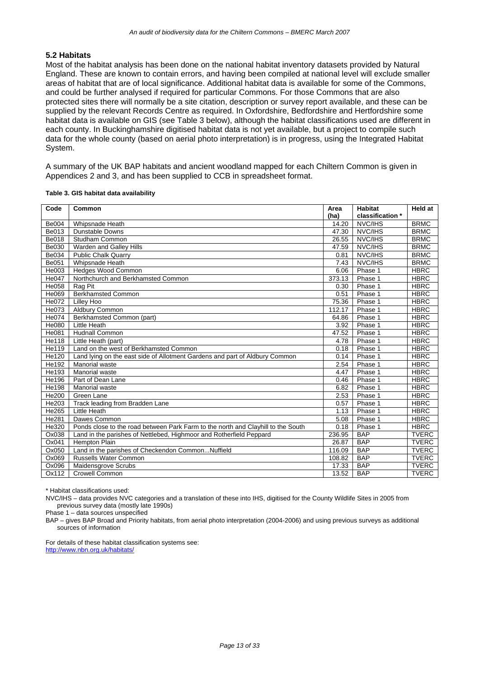#### **5.2 Habitats**

Most of the habitat analysis has been done on the national habitat inventory datasets provided by Natural England. These are known to contain errors, and having been compiled at national level will exclude smaller areas of habitat that are of local significance. Additional habitat data is available for some of the Commons, and could be further analysed if required for particular Commons. For those Commons that are also protected sites there will normally be a site citation, description or survey report available, and these can be supplied by the relevant Records Centre as required. In Oxfordshire, Bedfordshire and Hertfordshire some habitat data is available on GIS (see Table 3 below), although the habitat classifications used are different in each county. In Buckinghamshire digitised habitat data is not yet available, but a project to compile such data for the whole county (based on aerial photo interpretation) is in progress, using the Integrated Habitat System.

A summary of the UK BAP habitats and ancient woodland mapped for each Chiltern Common is given in Appendices 2 and 3, and has been supplied to CCB in spreadsheet format.

| Code         | Common                                                                           | Area   | <b>Habitat</b>   | <b>Held at</b> |
|--------------|----------------------------------------------------------------------------------|--------|------------------|----------------|
|              |                                                                                  | (ha)   | classification * |                |
| <b>Be004</b> | Whipsnade Heath                                                                  | 14.20  | NVC/IHS          | <b>BRMC</b>    |
| Be013        | <b>Dunstable Downs</b>                                                           | 47.30  | NVC/IHS          | <b>BRMC</b>    |
| Be018        | Studham Common                                                                   | 26.55  | NVC/IHS          | <b>BRMC</b>    |
| Be030        | Warden and Galley Hills                                                          | 47.59  | NVC/IHS          | <b>BRMC</b>    |
| Be034        | Public Chalk Quarry                                                              | 0.81   | NVC/IHS          | <b>BRMC</b>    |
| Be051        | Whipsnade Heath                                                                  | 7.43   | NVC/IHS          | <b>BRMC</b>    |
| He003        | <b>Hedges Wood Common</b>                                                        | 6.06   | Phase 1          | <b>HBRC</b>    |
| He047        | Northchurch and Berkhamsted Common                                               | 373.13 | Phase 1          | <b>HBRC</b>    |
| He058        | Rag Pit                                                                          | 0.30   | Phase 1          | <b>HBRC</b>    |
| He069        | <b>Berkhamsted Common</b>                                                        | 0.51   | Phase 1          | <b>HBRC</b>    |
| He072        | Lilley Hoo                                                                       | 75.36  | Phase 1          | <b>HBRC</b>    |
| He073        | Aldbury Common                                                                   | 112.17 | Phase 1          | <b>HBRC</b>    |
| He074        | Berkhamsted Common (part)                                                        | 64.86  | Phase 1          | <b>HBRC</b>    |
| He080        | <b>Little Heath</b>                                                              | 3.92   | Phase 1          | <b>HBRC</b>    |
| He081        | <b>Hudnall Common</b>                                                            | 47.52  | Phase 1          | <b>HBRC</b>    |
| He118        | Little Heath (part)                                                              | 4.78   | Phase 1          | <b>HBRC</b>    |
| He119        | Land on the west of Berkhamsted Common                                           | 0.18   | Phase 1          | <b>HBRC</b>    |
| He120        | Land Iying on the east side of Allotment Gardens and part of Aldbury Common      | 0.14   | Phase 1          | <b>HBRC</b>    |
| He192        | Manorial waste                                                                   | 2.54   | Phase 1          | <b>HBRC</b>    |
| He193        | Manorial waste                                                                   | 4.47   | Phase 1          | <b>HBRC</b>    |
| He196        | Part of Dean Lane                                                                | 0.46   | Phase 1          | <b>HBRC</b>    |
| He198        | Manorial waste                                                                   | 6.82   | Phase 1          | <b>HBRC</b>    |
| He200        | Green Lane                                                                       | 2.53   | Phase 1          | <b>HBRC</b>    |
| He203        | Track leading from Bradden Lane                                                  | 0.57   | Phase 1          | <b>HBRC</b>    |
| He265        | Little Heath                                                                     | 1.13   | Phase 1          | <b>HBRC</b>    |
| He281        | Dawes Common                                                                     | 5.08   | Phase 1          | <b>HBRC</b>    |
| He320        | Ponds close to the road between Park Farm to the north and Clayhill to the South | 0.18   | Phase 1          | <b>HBRC</b>    |
| Ox038        | Land in the parishes of Nettlebed, Highmoor and Rotherfield Peppard              | 236.95 | <b>BAP</b>       | <b>TVERC</b>   |
| Ox041        | <b>Hempton Plain</b>                                                             | 26.87  | <b>BAP</b>       | <b>TVERC</b>   |
| Ox050        | Land in the parishes of Checkendon CommonNuffield                                | 116.09 | <b>BAP</b>       | <b>TVERC</b>   |
| Ox069        | <b>Russells Water Common</b>                                                     | 108.82 | <b>BAP</b>       | <b>TVERC</b>   |
| Ox096        | Maidensgrove Scrubs                                                              | 17.33  | <b>BAP</b>       | <b>TVERC</b>   |
| Ox112        | Crowell Common                                                                   | 13.52  | <b>BAP</b>       | <b>TVERC</b>   |

#### **Table 3. GIS habitat data availability**

\* Habitat classifications used:

NVC/IHS – data provides NVC categories and a translation of these into IHS, digitised for the County Wildlife Sites in 2005 from previous survey data (mostly late 1990s)

Phase 1 – data sources unspecified

BAP – gives BAP Broad and Priority habitats, from aerial photo interpretation (2004-2006) and using previous surveys as additional sources of information

For details of these habitat classification systems see: http://www.nbn.org.uk/habitats/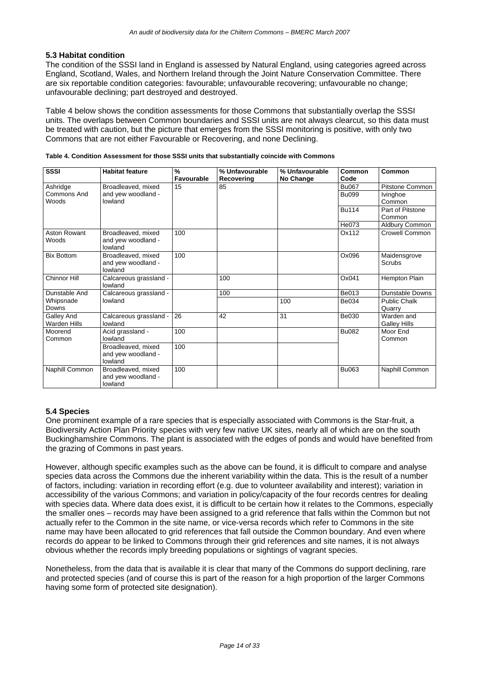#### **5.3 Habitat condition**

The condition of the SSSI land in England is assessed by Natural England, using categories agreed across England, Scotland, Wales, and Northern Ireland through the Joint Nature Conservation Committee. There are six reportable condition categories: favourable; unfavourable recovering; unfavourable no change; unfavourable declining; part destroyed and destroyed.

Table 4 below shows the condition assessments for those Commons that substantially overlap the SSSI units. The overlaps between Common boundaries and SSSI units are not always clearcut, so this data must be treated with caution, but the picture that emerges from the SSSI monitoring is positive, with only two Commons that are not either Favourable or Recovering, and none Declining.

| <b>SSSI</b>                       | <b>Habitat feature</b>                              | $\frac{9}{6}$<br>Favourable | % Unfavourable<br>Recovering | % Unfavourable<br>No Change | Common<br>Code | Common                            |
|-----------------------------------|-----------------------------------------------------|-----------------------------|------------------------------|-----------------------------|----------------|-----------------------------------|
| Ashridge                          | Broadleaved, mixed                                  | 15                          | 85                           |                             | <b>Bu067</b>   | <b>Pitstone Common</b>            |
| Commons And<br>Woods              | and yew woodland -<br>lowland                       |                             |                              |                             | <b>Bu099</b>   | Ivinghoe<br>Common                |
|                                   |                                                     |                             |                              |                             | <b>Bu114</b>   | Part of Pitstone<br>Common        |
|                                   |                                                     |                             |                              |                             | He073          | Aldbury Common                    |
| Aston Rowant<br>Woods             | Broadleaved, mixed<br>and yew woodland -<br>lowland | 100                         |                              |                             | Ox112          | <b>Crowell Common</b>             |
| <b>Bix Bottom</b>                 | Broadleaved, mixed<br>and yew woodland -<br>lowland | 100                         |                              |                             | Ox096          | Maidensgrove<br>Scrubs            |
| Chinnor Hill                      | Calcareous grassland -<br>lowland                   |                             | 100                          |                             | Ox041          | Hempton Plain                     |
| Dunstable And                     | Calcareous grassland -                              |                             | 100                          |                             | Be013          | <b>Dunstable Downs</b>            |
| Whipsnade<br>Downs                | lowland                                             |                             |                              | 100                         | Be034          | <b>Public Chalk</b><br>Quarry     |
| Galley And<br><b>Warden Hills</b> | Calcareous grassland -<br>lowland                   | 26                          | 42                           | 31                          | Be030          | Warden and<br><b>Galley Hills</b> |
| Moorend<br>Common                 | Acid grassland -<br>lowland                         | 100                         |                              |                             | <b>Bu082</b>   | Moor End<br>Common                |
|                                   | Broadleaved, mixed<br>and yew woodland -<br>lowland | 100                         |                              |                             |                |                                   |
| Naphill Common                    | Broadleaved, mixed<br>and yew woodland -<br>lowland | 100                         |                              |                             | Bu063          | Naphill Common                    |

|  |  |  | Table 4. Condition Assessment for those SSSI units that substantially coincide with Commons |
|--|--|--|---------------------------------------------------------------------------------------------|
|--|--|--|---------------------------------------------------------------------------------------------|

#### **5.4 Species**

One prominent example of a rare species that is especially associated with Commons is the Star-fruit, a Biodiversity Action Plan Priority species with very few native UK sites, nearly all of which are on the south Buckinghamshire Commons. The plant is associated with the edges of ponds and would have benefited from the grazing of Commons in past years.

However, although specific examples such as the above can be found, it is difficult to compare and analyse species data across the Commons due the inherent variability within the data. This is the result of a number of factors, including: variation in recording effort (e.g. due to volunteer availability and interest); variation in accessibility of the various Commons; and variation in policy/capacity of the four records centres for dealing with species data. Where data does exist, it is difficult to be certain how it relates to the Commons, especially the smaller ones – records may have been assigned to a grid reference that falls within the Common but not actually refer to the Common in the site name, or vice-versa records which refer to Commons in the site name may have been allocated to grid references that fall outside the Common boundary. And even where records do appear to be linked to Commons through their grid references and site names, it is not always obvious whether the records imply breeding populations or sightings of vagrant species.

Nonetheless, from the data that is available it is clear that many of the Commons do support declining, rare and protected species (and of course this is part of the reason for a high proportion of the larger Commons having some form of protected site designation).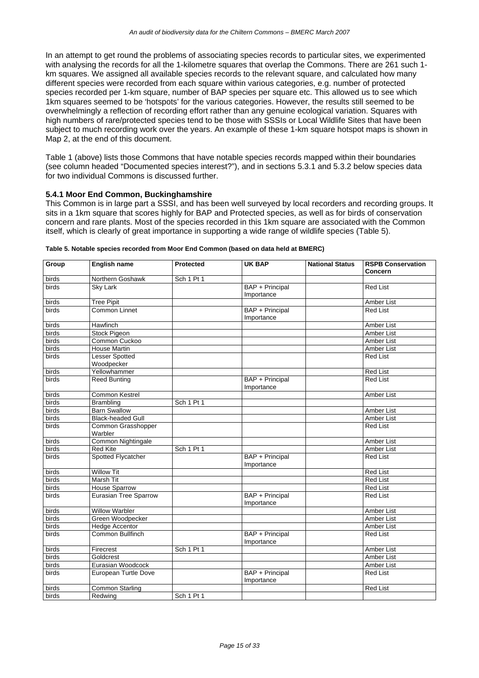In an attempt to get round the problems of associating species records to particular sites, we experimented with analysing the records for all the 1-kilometre squares that overlap the Commons. There are 261 such 1 km squares. We assigned all available species records to the relevant square, and calculated how many different species were recorded from each square within various categories, e.g. number of protected species recorded per 1-km square, number of BAP species per square etc. This allowed us to see which 1km squares seemed to be 'hotspots' for the various categories. However, the results still seemed to be overwhelmingly a reflection of recording effort rather than any genuine ecological variation. Squares with high numbers of rare/protected species tend to be those with SSSIs or Local Wildlife Sites that have been subject to much recording work over the years. An example of these 1-km square hotspot maps is shown in Map 2, at the end of this document.

Table 1 (above) lists those Commons that have notable species records mapped within their boundaries (see column headed "Documented species interest?"), and in sections 5.3.1 and 5.3.2 below species data for two individual Commons is discussed further.

#### **5.4.1 Moor End Common, Buckinghamshire**

This Common is in large part a SSSI, and has been well surveyed by local recorders and recording groups. It sits in a 1km square that scores highly for BAP and Protected species, as well as for birds of conservation concern and rare plants. Most of the species recorded in this 1km square are associated with the Common itself, which is clearly of great importance in supporting a wide range of wildlife species (Table 5).

| Group | <b>English name</b>                 | <b>Protected</b> | UK BAP                               | <b>National Status</b> | <b>RSPB Conservation</b><br>Concern |
|-------|-------------------------------------|------------------|--------------------------------------|------------------------|-------------------------------------|
| birds | Northern Goshawk                    | Sch 1 Pt 1       |                                      |                        |                                     |
| birds | <b>Sky Lark</b>                     |                  | BAP + Principal<br>Importance        |                        | <b>Red List</b>                     |
| birds | <b>Tree Pipit</b>                   |                  |                                      |                        | Amber List                          |
| birds | Common Linnet                       |                  | <b>BAP + Principal</b><br>Importance |                        | <b>Red List</b>                     |
| birds | Hawfinch                            |                  |                                      |                        | Amber List                          |
| birds | <b>Stock Pigeon</b>                 |                  |                                      |                        | Amber List                          |
| birds | Common Cuckoo                       |                  |                                      |                        | Amber List                          |
| birds | <b>House Martin</b>                 |                  |                                      |                        | <b>Amber List</b>                   |
| birds | <b>Lesser Spotted</b><br>Woodpecker |                  |                                      |                        | <b>Red List</b>                     |
| birds | Yellowhammer                        |                  |                                      |                        | <b>Red List</b>                     |
| birds | <b>Reed Bunting</b>                 |                  | BAP + Principal<br>Importance        |                        | <b>Red List</b>                     |
| birds | Common Kestrel                      |                  |                                      |                        | Amber List                          |
| birds | <b>Brambling</b>                    | Sch 1 Pt 1       |                                      |                        |                                     |
| birds | <b>Barn Swallow</b>                 |                  |                                      |                        | <b>Amber List</b>                   |
| birds | <b>Black-headed Gull</b>            |                  |                                      |                        | <b>Amber List</b>                   |
| birds | Common Grasshopper<br>Warbler       |                  |                                      |                        | <b>Red List</b>                     |
| birds | Common Nightingale                  |                  |                                      |                        | Amber List                          |
| birds | <b>Red Kite</b>                     | Sch 1 Pt 1       |                                      |                        | <b>Amber List</b>                   |
| birds | Spotted Flycatcher                  |                  | BAP + Principal<br>Importance        |                        | <b>Red List</b>                     |
| birds | <b>Willow Tit</b>                   |                  |                                      |                        | <b>Red List</b>                     |
| birds | <b>Marsh Tit</b>                    |                  |                                      |                        | <b>Red List</b>                     |
| birds | House Sparrow                       |                  |                                      |                        | <b>Red List</b>                     |
| birds | <b>Eurasian Tree Sparrow</b>        |                  | BAP + Principal<br>Importance        |                        | <b>Red List</b>                     |
| birds | <b>Willow Warbler</b>               |                  |                                      |                        | Amber List                          |
| birds | Green Woodpecker                    |                  |                                      |                        | Amber List                          |
| birds | <b>Hedge Accentor</b>               |                  |                                      |                        | Amber List                          |
| birds | Common Bullfinch                    |                  | BAP + Principal<br>Importance        |                        | <b>Red List</b>                     |
| birds | Firecrest                           | Sch 1 Pt 1       |                                      |                        | Amber List                          |
| birds | Goldcrest                           |                  |                                      |                        | Amber List                          |
| birds | Eurasian Woodcock                   |                  |                                      |                        | Amber List                          |
| birds | European Turtle Dove                |                  | <b>BAP + Principal</b><br>Importance |                        | <b>Red List</b>                     |
| birds | Common Starling                     |                  |                                      |                        | <b>Red List</b>                     |
| birds | Redwing                             | Sch 1 Pt 1       |                                      |                        |                                     |

|  | Table 5. Notable species recorded from Moor End Common (based on data held at BMERC) |
|--|--------------------------------------------------------------------------------------|
|  |                                                                                      |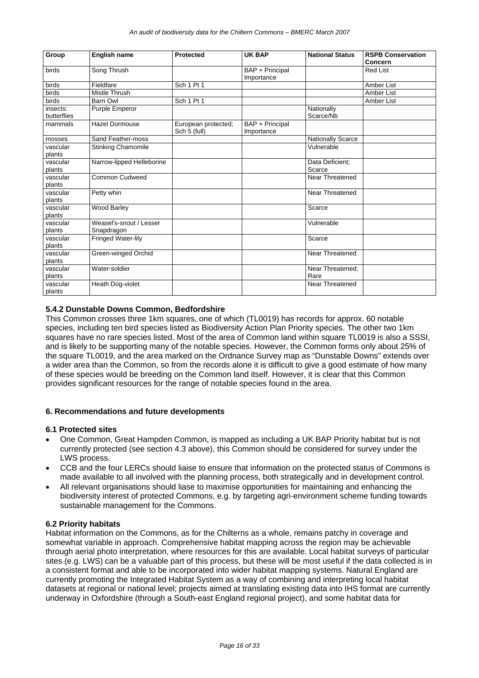| <b>Group</b>            | English name                          | <b>Protected</b>                    | UK BAP                        | <b>National Status</b>    | <b>RSPB Conservation</b><br>Concern |
|-------------------------|---------------------------------------|-------------------------------------|-------------------------------|---------------------------|-------------------------------------|
| birds                   | Song Thrush                           |                                     | BAP + Principal<br>Importance |                           | <b>Red List</b>                     |
| birds                   | Fieldfare                             | Sch 1 Pt 1                          |                               |                           | Amber List                          |
| birds                   | Mistle Thrush                         |                                     |                               |                           | Amber List                          |
| birds                   | <b>Barn Owl</b>                       | Sch 1 Pt 1                          |                               |                           | Amber List                          |
| insects:<br>butterflies | Purple Emperor                        |                                     |                               | Nationally<br>Scarce/Nb   |                                     |
| mammals                 | <b>Hazel Dormouse</b>                 | European protected;<br>Sch 5 (full) | BAP + Principal<br>Importance |                           |                                     |
| mosses                  | Sand Feather-moss                     |                                     |                               | <b>Nationally Scarce</b>  |                                     |
| vascular<br>plants      | <b>Stinking Chamomile</b>             |                                     |                               | Vulnerable                |                                     |
| vascular<br>plants      | Narrow-lipped Helleborine             |                                     |                               | Data Deficient:<br>Scarce |                                     |
| vascular<br>plants      | <b>Common Cudweed</b>                 |                                     |                               | <b>Near Threatened</b>    |                                     |
| vascular<br>plants      | Petty whin                            |                                     |                               | <b>Near Threatened</b>    |                                     |
| vascular<br>plants      | Wood Barley                           |                                     |                               | Scarce                    |                                     |
| vascular<br>plants      | Weasel's-snout / Lesser<br>Snapdragon |                                     |                               | Vulnerable                |                                     |
| vascular<br>plants      | <b>Fringed Water-lily</b>             |                                     |                               | Scarce                    |                                     |
| vascular<br>plants      | Green-winged Orchid                   |                                     |                               | Near Threatened           |                                     |
| vascular<br>plants      | Water-soldier                         |                                     |                               | Near Threatened;<br>Rare  |                                     |
| vascular<br>plants      | Heath Dog-violet                      |                                     |                               | Near Threatened           |                                     |

#### **5.4.2 Dunstable Downs Common, Bedfordshire**

This Common crosses three 1km squares, one of which (TL0019) has records for approx. 60 notable species, including ten bird species listed as Biodiversity Action Plan Priority species. The other two 1km squares have no rare species listed. Most of the area of Common land within square TL0019 is also a SSSI, and is likely to be supporting many of the notable species. However, the Common forms only about 25% of the square TL0019, and the area marked on the Ordnance Survey map as "Dunstable Downs" extends over a wider area than the Common, so from the records alone it is difficult to give a good estimate of how many of these species would be breeding on the Common land itself. However, it is clear that this Common provides significant resources for the range of notable species found in the area.

#### **6. Recommendations and future developments**

#### **6.1 Protected sites**

- One Common, Great Hampden Common, is mapped as including a UK BAP Priority habitat but is not currently protected (see section 4.3 above), this Common should be considered for survey under the LWS process.
- CCB and the four LERCs should liaise to ensure that information on the protected status of Commons is made available to all involved with the planning process, both strategically and in development control.
- All relevant organisations should liase to maximise opportunities for maintaining and enhancing the biodiversity interest of protected Commons, e.g. by targeting agri-environment scheme funding towards sustainable management for the Commons.

#### **6.2 Priority habitats**

Habitat information on the Commons, as for the Chilterns as a whole, remains patchy in coverage and somewhat variable in approach. Comprehensive habitat mapping across the region may be achievable through aerial photo interpretation, where resources for this are available. Local habitat surveys of particular sites (e.g. LWS) can be a valuable part of this process, but these will be most useful if the data collected is in a consistent format and able to be incorporated into wider habitat mapping systems. Natural England are currently promoting the Integrated Habitat System as a way of combining and interpreting local habitat datasets at regional or national level; projects aimed at translating existing data into IHS format are currently underway in Oxfordshire (through a South-east England regional project), and some habitat data for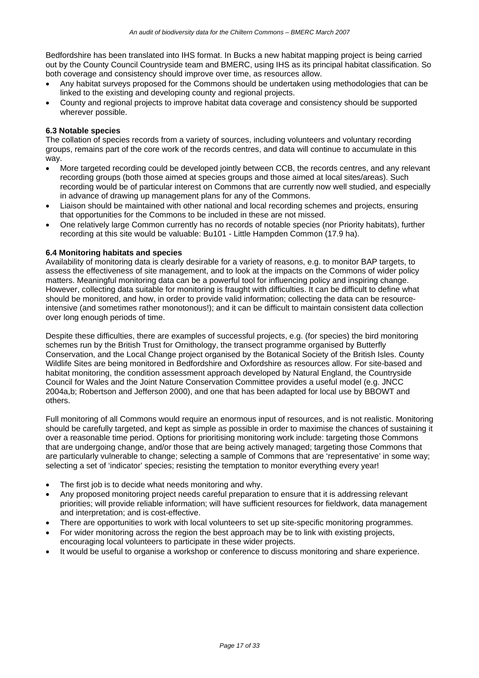Bedfordshire has been translated into IHS format. In Bucks a new habitat mapping project is being carried out by the County Council Countryside team and BMERC, using IHS as its principal habitat classification. So both coverage and consistency should improve over time, as resources allow.

- Any habitat surveys proposed for the Commons should be undertaken using methodologies that can be linked to the existing and developing county and regional projects.
- County and regional projects to improve habitat data coverage and consistency should be supported wherever possible.

#### **6.3 Notable species**

The collation of species records from a variety of sources, including volunteers and voluntary recording groups, remains part of the core work of the records centres, and data will continue to accumulate in this way.

- More targeted recording could be developed jointly between CCB, the records centres, and any relevant recording groups (both those aimed at species groups and those aimed at local sites/areas). Such recording would be of particular interest on Commons that are currently now well studied, and especially in advance of drawing up management plans for any of the Commons.
- Liaison should be maintained with other national and local recording schemes and projects, ensuring that opportunities for the Commons to be included in these are not missed.
- One relatively large Common currently has no records of notable species (nor Priority habitats), further recording at this site would be valuable: Bu101 - Little Hampden Common (17.9 ha).

#### **6.4 Monitoring habitats and species**

Availability of monitoring data is clearly desirable for a variety of reasons, e.g. to monitor BAP targets, to assess the effectiveness of site management, and to look at the impacts on the Commons of wider policy matters. Meaningful monitoring data can be a powerful tool for influencing policy and inspiring change. However, collecting data suitable for monitoring is fraught with difficulties. It can be difficult to define what should be monitored, and how, in order to provide valid information; collecting the data can be resourceintensive (and sometimes rather monotonous!); and it can be difficult to maintain consistent data collection over long enough periods of time.

Despite these difficulties, there are examples of successful projects, e.g. (for species) the bird monitoring schemes run by the British Trust for Ornithology, the transect programme organised by Butterfly Conservation, and the Local Change project organised by the Botanical Society of the British Isles. County Wildlife Sites are being monitored in Bedfordshire and Oxfordshire as resources allow. For site-based and habitat monitoring, the condition assessment approach developed by Natural England, the Countryside Council for Wales and the Joint Nature Conservation Committee provides a useful model (e.g. JNCC 2004a,b; Robertson and Jefferson 2000), and one that has been adapted for local use by BBOWT and others.

Full monitoring of all Commons would require an enormous input of resources, and is not realistic. Monitoring should be carefully targeted, and kept as simple as possible in order to maximise the chances of sustaining it over a reasonable time period. Options for prioritising monitoring work include: targeting those Commons that are undergoing change, and/or those that are being actively managed; targeting those Commons that are particularly vulnerable to change; selecting a sample of Commons that are 'representative' in some way; selecting a set of 'indicator' species; resisting the temptation to monitor everything every year!

- The first job is to decide what needs monitoring and why.
- Any proposed monitoring project needs careful preparation to ensure that it is addressing relevant priorities; will provide reliable information; will have sufficient resources for fieldwork, data management and interpretation; and is cost-effective.
- There are opportunities to work with local volunteers to set up site-specific monitoring programmes.
- For wider monitoring across the region the best approach may be to link with existing projects, encouraging local volunteers to participate in these wider projects.
- It would be useful to organise a workshop or conference to discuss monitoring and share experience.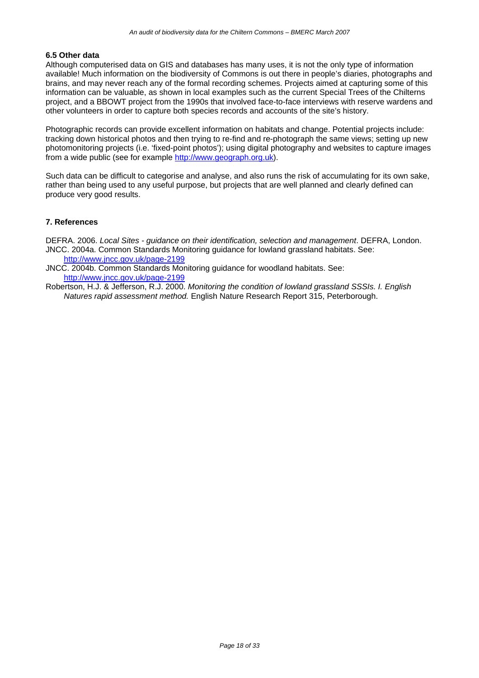#### **6.5 Other data**

Although computerised data on GIS and databases has many uses, it is not the only type of information available! Much information on the biodiversity of Commons is out there in people's diaries, photographs and brains, and may never reach any of the formal recording schemes. Projects aimed at capturing some of this information can be valuable, as shown in local examples such as the current Special Trees of the Chilterns project, and a BBOWT project from the 1990s that involved face-to-face interviews with reserve wardens and other volunteers in order to capture both species records and accounts of the site's history.

Photographic records can provide excellent information on habitats and change. Potential projects include: tracking down historical photos and then trying to re-find and re-photograph the same views; setting up new photomonitoring projects (i.e. 'fixed-point photos'); using digital photography and websites to capture images from a wide public (see for example http://www.geograph.org.uk).

Such data can be difficult to categorise and analyse, and also runs the risk of accumulating for its own sake, rather than being used to any useful purpose, but projects that are well planned and clearly defined can produce very good results.

#### **7. References**

DEFRA. 2006. *Local Sites - guidance on their identification, selection and management*. DEFRA, London. JNCC. 2004a. Common Standards Monitoring guidance for lowland grassland habitats. See: http://www.jncc.gov.uk/page-2199

- JNCC. 2004b. Common Standards Monitoring guidance for woodland habitats. See: http://www.jncc.gov.uk/page-2199
- Robertson, H.J. & Jefferson, R.J. 2000. *Monitoring the condition of lowland grassland SSSIs. I. English Natures rapid assessment method.* English Nature Research Report 315, Peterborough.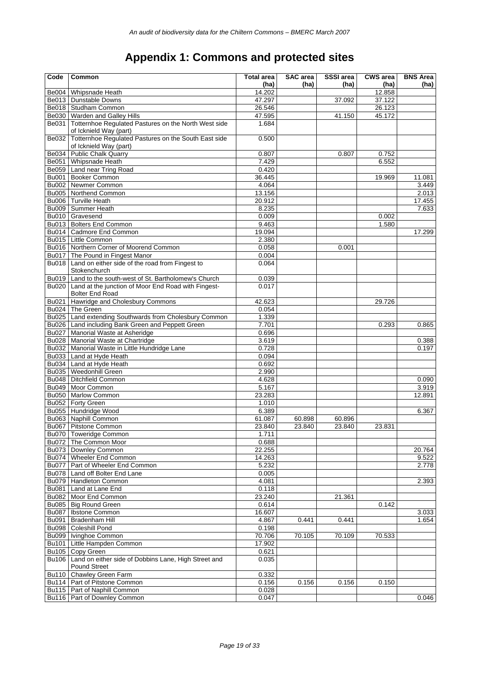### **Appendix 1: Commons and protected sites**

| Code         | Common                                                                              | <b>Total area</b> | <b>SAC</b> area | <b>SSSI</b> area | <b>CWS</b> area  | <b>BNS Area</b> |
|--------------|-------------------------------------------------------------------------------------|-------------------|-----------------|------------------|------------------|-----------------|
| <b>Be004</b> |                                                                                     | (ha)              | (ha)            | (ha)             | (ha)             | (ha)            |
|              | <b>Whipsnade Heath</b><br>Be013   Dunstable Downs                                   | 14.202<br>47.297  |                 |                  | 12.858<br>37.122 |                 |
|              | Be018 Studham Common                                                                | 26.546            |                 | 37.092           | 26.123           |                 |
|              | Be030   Warden and Galley Hills                                                     | 47.595            |                 | 41.150           | 45.172           |                 |
|              | Be031 Totternhoe Regulated Pastures on the North West side                          | 1.684             |                 |                  |                  |                 |
| Be032        | of Icknield Way (part)<br>Totternhoe Regulated Pastures on the South East side      | 0.500             |                 |                  |                  |                 |
|              | of Icknield Way (part)                                                              |                   |                 |                  |                  |                 |
| <b>Be034</b> | <b>Public Chalk Quarry</b>                                                          | 0.807             |                 | 0.807            | 0.752            |                 |
|              | Be051 Whipsnade Heath                                                               | 7.429             |                 |                  | 6.552            |                 |
|              | Be059 Land near Tring Road                                                          | 0.420             |                 |                  |                  |                 |
| <b>Bu001</b> | <b>Booker Common</b>                                                                | 36.445            |                 |                  | 19.969           | 11.081          |
|              | Bu002 Newmer Common                                                                 | 4.064             |                 |                  |                  | 3.449           |
|              | Bu005 Northend Common<br>Bu006 Turville Heath                                       | 13.156            |                 |                  |                  | 2.013           |
|              |                                                                                     | 20.912            |                 |                  |                  | 17.455          |
|              | Bu009   Summer Heath                                                                | 8.235             |                 |                  |                  | 7.633           |
|              | Bu010 Gravesend                                                                     | 0.009             |                 |                  | 0.002            |                 |
|              | Bu013   Bolters End Common                                                          | 9.463             |                 |                  | 1.580            |                 |
|              | Bu014 Cadmore End Common                                                            | 19.094            |                 |                  |                  | 17.299          |
|              | Bu015   Little Common                                                               | 2.380             |                 |                  |                  |                 |
|              | Bu016 Northern Corner of Moorend Common                                             | 0.058             |                 | 0.001            |                  |                 |
|              | Bu017   The Pound in Fingest Manor                                                  | 0.004             |                 |                  |                  |                 |
| <b>Bu018</b> | Land on either side of the road from Fingest to<br>Stokenchurch                     | 0.064             |                 |                  |                  |                 |
| <b>Bu019</b> | Land to the south-west of St. Bartholomew's Church                                  | 0.039             |                 |                  |                  |                 |
|              | Bu020 Land at the junction of Moor End Road with Fingest-<br><b>Bolter End Road</b> | 0.017             |                 |                  |                  |                 |
|              | Bu021 Hawridge and Cholesbury Commons                                               | 42.623            |                 |                  | 29.726           |                 |
|              | Bu024 The Green                                                                     |                   |                 |                  |                  |                 |
|              |                                                                                     | 0.054             |                 |                  |                  |                 |
|              | Bu025   Land extending Southwards from Cholesbury Common                            | 1.339<br>7.701    |                 |                  | 0.293            |                 |
|              | Bu026   Land including Bank Green and Peppett Green                                 |                   |                 |                  |                  | 0.865           |
|              | Bu027   Manorial Waste at Asheridge                                                 | 0.696             |                 |                  |                  |                 |
|              | Bu028   Manorial Waste at Chartridge                                                | 3.619             |                 |                  |                  | 0.388           |
|              | Bu032   Manorial Waste in Little Hundridge Lane                                     | 0.728             |                 |                  |                  | 0.197           |
|              | Bu033   Land at Hyde Heath                                                          | 0.094             |                 |                  |                  |                 |
|              | Bu034 Land at Hyde Heath                                                            | 0.692             |                 |                  |                  |                 |
|              | Bu035 Weedonhill Green                                                              | 2.990             |                 |                  |                  |                 |
|              | Bu048   Ditchfield Common                                                           | 4.628             |                 |                  |                  | 0.090           |
| <b>Bu049</b> | Moor Common                                                                         | 5.167             |                 |                  |                  | 3.919           |
|              | Bu050 Marlow Common                                                                 | 23.283            |                 |                  |                  | 12.891          |
|              | Bu052 Forty Green                                                                   | 1.010             |                 |                  |                  |                 |
| <b>Bu055</b> | Hundridge Wood                                                                      | 6.389             |                 |                  |                  | 6.367           |
|              | Bu063 Naphill Common                                                                | 61.087            | 60.898          | 60.896           |                  |                 |
| <b>Bu067</b> | <b>Pitstone Common</b>                                                              | 23.840            | 23.840          | 23.840           | 23.831           |                 |
|              | Bu070   Toweridge Common                                                            | 1.711             |                 |                  |                  |                 |
|              | Bu072   The Common Moor                                                             | 0.688             |                 |                  |                  |                 |
|              | Bu073 Downley Common                                                                | 22.255            |                 |                  |                  | 20.764          |
|              | Bu074   Wheeler End Common                                                          | 14.263            |                 |                  |                  | 9.522           |
|              | Bu077 Part of Wheeler End Common                                                    | 5.232             |                 |                  |                  | 2.778           |
|              | Bu078 Land off Bolter End Lane                                                      | 0.005             |                 |                  |                  |                 |
|              | Bu079   Handleton Common                                                            | 4.081             |                 |                  |                  | 2.393           |
|              | Bu081   Land at Lane End                                                            | 0.118             |                 |                  |                  |                 |
|              | Bu082 Moor End Common                                                               | 23.240            |                 | 21.361           |                  |                 |
|              | Bu085   Big Round Green                                                             | 0.614             |                 |                  | 0.142            |                 |
| <b>Bu087</b> | <b>Ibstone Common</b>                                                               | 16.607            |                 |                  |                  | 3.033           |
| <b>Bu091</b> | <b>Bradenham Hill</b>                                                               | 4.867             | 0.441           | 0.441            |                  | 1.654           |
|              | Bu098 Coleshill Pond                                                                | 0.198             |                 |                  |                  |                 |
|              | Bu099   Ivinghoe Common                                                             | 70.706            | 70.105          | 70.109           | 70.533           |                 |
|              | Bu101   Little Hampden Common                                                       | 17.902            |                 |                  |                  |                 |
|              | Bu105 Copy Green                                                                    | 0.621             |                 |                  |                  |                 |
| Bu106        | Land on either side of Dobbins Lane, High Street and<br><b>Pound Street</b>         | 0.035             |                 |                  |                  |                 |
| <b>Bu110</b> | <b>Chawley Green Farm</b>                                                           | 0.332             |                 |                  |                  |                 |
|              | Bu114   Part of Pitstone Common                                                     | 0.156             | 0.156           | 0.156            | 0.150            |                 |
|              | Bu115   Part of Naphill Common                                                      | 0.028             |                 |                  |                  |                 |
|              | Bu116 Part of Downley Common                                                        | 0.047             |                 |                  |                  | 0.046           |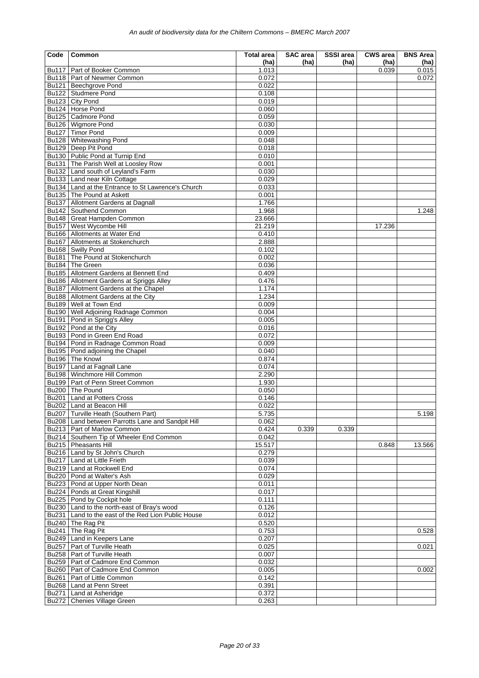| Code | Common                                                         | <b>Total area</b> | SAC area | SSSI area | <b>CWS</b> area | <b>BNS Area</b> |
|------|----------------------------------------------------------------|-------------------|----------|-----------|-----------------|-----------------|
|      | Bu117 Part of Booker Common                                    | (ha)              | (ha)     | (ha)      | (ha)            | (ha)            |
|      | Bu118 Part of Newmer Common                                    | 1.013<br>0.072    |          |           | 0.039           | 0.015<br>0.072  |
|      | Bu121 Beechgrove Pond                                          | 0.022             |          |           |                 |                 |
|      | Bu122 Studmere Pond                                            | 0.108             |          |           |                 |                 |
|      | Bu123 City Pond                                                | 0.019             |          |           |                 |                 |
|      | Bu124 Horse Pond                                               | 0.060             |          |           |                 |                 |
|      | Bu125 Cadmore Pond                                             | 0.059             |          |           |                 |                 |
|      | Bu126 Wigmore Pond                                             | 0.030             |          |           |                 |                 |
|      | Bu127 Timor Pond                                               | 0.009             |          |           |                 |                 |
|      | Bu128 Whitewashing Pond                                        | 0.048             |          |           |                 |                 |
|      | Bu129 Deep Pit Pond                                            | 0.018             |          |           |                 |                 |
|      | Bu130   Public Pond at Turnip End                              | 0.010             |          |           |                 |                 |
|      | Bu131 The Parish Well at Loosley Row                           | 0.001             |          |           |                 |                 |
|      | Bu132 Land south of Leyland's Farm                             | 0.030             |          |           |                 |                 |
|      | Bu133   Land near Kiln Cottage                                 | 0.029             |          |           |                 |                 |
|      | Bu134 Land at the Entrance to St Lawrence's Church             | 0.033             |          |           |                 |                 |
|      | Bu135   The Pound at Askett                                    | 0.001             |          |           |                 |                 |
|      | Bu137 Allotment Gardens at Dagnall                             | 1.766             |          |           |                 |                 |
|      | Bu142 Southend Common                                          | 1.968             |          |           |                 | 1.248           |
|      | Bu148 Great Hampden Common                                     | 23.666            |          |           |                 |                 |
|      | Bu157 West Wycombe Hill                                        | 21.219            |          |           | 17.236          |                 |
|      | Bu166 Allotments at Water End                                  | 0.410             |          |           |                 |                 |
|      | Bu167 Allotments at Stokenchurch<br>Bu168 Swilly Pond          | 2.888             |          |           |                 |                 |
|      | Bu181   The Pound at Stokenchurch                              | 0.102<br>0.002    |          |           |                 |                 |
|      | Bu184 The Green                                                | 0.036             |          |           |                 |                 |
|      | Bu185 Allotment Gardens at Bennett End                         | 0.409             |          |           |                 |                 |
|      | Bu186 Allotment Gardens at Spriggs Alley                       | 0.476             |          |           |                 |                 |
|      | Bu187   Allotment Gardens at the Chapel                        | 1.174             |          |           |                 |                 |
|      | Bu188   Allotment Gardens at the City                          | 1.234             |          |           |                 |                 |
|      | Bu189 Well at Town End                                         | 0.009             |          |           |                 |                 |
|      | Bu190   Well Adjoining Radnage Common                          | 0.004             |          |           |                 |                 |
|      | Bu191 Pond in Sprigg's Alley                                   | 0.005             |          |           |                 |                 |
|      | Bu192   Pond at the City                                       | 0.016             |          |           |                 |                 |
|      | Bu193   Pond in Green End Road                                 | 0.072             |          |           |                 |                 |
|      | Bu194 Pond in Radnage Common Road                              | 0.009             |          |           |                 |                 |
|      | Bu195   Pond adjoining the Chapel                              | 0.040             |          |           |                 |                 |
|      | Bu196 The Knowl                                                | 0.874             |          |           |                 |                 |
|      | Bu197 Land at Fagnall Lane                                     | 0.074             |          |           |                 |                 |
|      | Bu198   Winchmore Hill Common                                  | 2.290             |          |           |                 |                 |
|      | Bu199   Part of Penn Street Common                             | 1.930             |          |           |                 |                 |
|      | Bu200   The Pound                                              | 0.050             |          |           |                 |                 |
|      | Bu201   Land at Potters Cross                                  | 0.146             |          |           |                 |                 |
|      | Bu202 Land at Beacon Hill                                      | 0.022             |          |           |                 |                 |
|      | Bu207   Turville Heath (Southern Part)                         | 5.735             |          |           |                 | 5.198           |
|      | Bu208   Land between Parrotts Lane and Sandpit Hill            | 0.062             |          |           |                 |                 |
|      | Bu213   Part of Marlow Common                                  | 0.424             | 0.339    | 0.339     |                 |                 |
|      | Bu214 Southern Tip of Wheeler End Common                       | 0.042             |          |           |                 |                 |
|      | Bu215   Pheasants Hill                                         | 15.517            |          |           | 0.848           | 13.566          |
|      | Bu216   Land by St John's Church                               | 0.279             |          |           |                 |                 |
|      | Bu217   Land at Little Frieth                                  | 0.039             |          |           |                 |                 |
|      | Bu219 Land at Rockwell End                                     | 0.074             |          |           |                 |                 |
|      | Bu220   Pond at Walter's Ash                                   | 0.029             |          |           |                 |                 |
|      | Bu223 Pond at Upper North Dean                                 | 0.011             |          |           |                 |                 |
|      | Bu224   Ponds at Great Kingshill                               | 0.017             |          |           |                 |                 |
|      | Bu225   Pond by Cockpit hole                                   | 0.111             |          |           |                 |                 |
|      | Bu230 Land to the north-east of Bray's wood                    | 0.126             |          |           |                 |                 |
|      | Bu231 Land to the east of the Red Lion Public House            | 0.012             |          |           |                 |                 |
|      | Bu240 The Rag Pit                                              | 0.520             |          |           |                 |                 |
|      | Bu241   The Rag Pit                                            | 0.753             |          |           |                 | 0.528           |
|      | Bu249   Land in Keepers Lane<br>Bu257   Part of Turville Heath | 0.207<br>0.025    |          |           |                 |                 |
|      | Bu258   Part of Turville Heath                                 |                   |          |           |                 | 0.021           |
|      | Bu259   Part of Cadmore End Common                             | 0.007<br>0.032    |          |           |                 |                 |
|      | Bu260   Part of Cadmore End Common                             | 0.005             |          |           |                 | 0.002           |
|      | Bu261   Part of Little Common                                  | 0.142             |          |           |                 |                 |
|      | Bu268 Land at Penn Street                                      | 0.391             |          |           |                 |                 |
|      | Bu271   Land at Asheridge                                      | 0.372             |          |           |                 |                 |
|      | Bu272 Chenies Village Green                                    | 0.263             |          |           |                 |                 |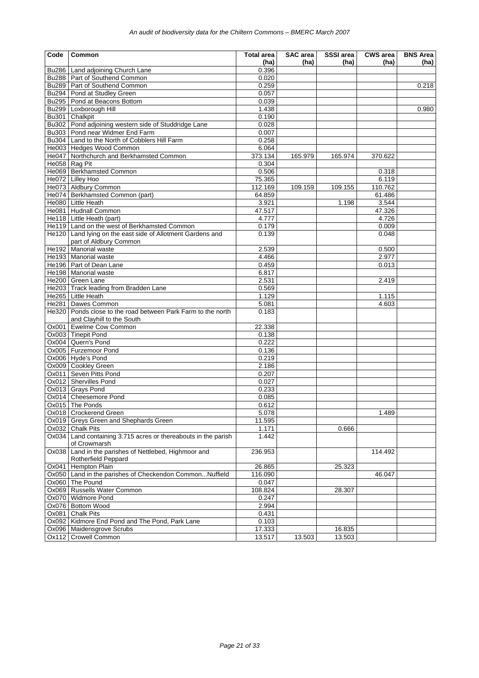| (ha)<br>(ha)<br>(ha)<br>(ha)<br>(ha)<br>Bu286   Land adjoining Church Lane<br>0.396<br>Bu288   Part of Southend Common<br>0.020<br>0.259<br>Bu289 Part of Southend Common<br>0.218<br>Bu294 Pond at Studley Green<br>0.057<br>Bu295   Pond at Beacons Bottom<br>0.039<br>1.438<br><b>Bu299</b><br>Loxborough Hill<br>0.980<br>Bu301<br>Chalkpit<br>0.190<br>Bu302 Pond adjoining western side of Studdridge Lane<br>0.028<br>Bu303 Pond near Widmer End Farm<br>0.007<br>Bu304 Land to the North of Cobblers Hill Farm<br>0.258<br>He003 Hedges Wood Common<br>6.064<br>He047 Northchurch and Berkhamsted Common<br>373.134<br>165.979<br>370.622<br>165.974<br>He058 Rag Pit<br>0.304<br>He069 Berkhamsted Common<br>0.506<br>0.318<br>He072 Lilley Hoo<br>75.365<br>6.119<br>He073 Aldbury Common<br>110.762<br>112.169<br>109.159<br>109.155<br>He074   Berkhamsted Common (part)<br>64.859<br>61.486<br>He080 Little Heath<br>3.921<br>1.198<br>3.544<br>He081   Hudnall Common<br>47.517<br>47.326<br>He118 Little Heath (part)<br>4.777<br>4.726<br>He119   Land on the west of Berkhamsted Common<br>0.179<br>0.009<br>He120 Land lying on the east side of Allotment Gardens and<br>0.139<br>0.048<br>part of Aldbury Common<br><b>Manorial</b> waste<br>2.539<br>He192<br>0.500<br>2.977<br>He193 Manorial waste<br>4.466<br>He196   Part of Dean Lane<br>0.459<br>0.013<br>He198 Manorial waste<br>6.817<br>2.531<br>He200   Green Lane<br>2.419<br>He203 Track leading from Bradden Lane<br>0.569<br>1.129<br>He265   Little Heath<br>1.115<br>He281 Dawes Common<br>5.081<br>4.603<br>He320<br>Ponds close to the road between Park Farm to the north<br>0.183<br>and Clayhill to the South<br>Ox001<br>Ewelme Cow Common<br>22.338<br>0.138<br>Ox003 Tinepit Pond<br>Ox004 Quern's Pond<br>0.222<br>Ox005 Furzemoor Pond<br>0.136<br>Ox006 Hyde's Pond<br>0.219<br>Ox009 Cookley Green<br>2.186<br>Ox011 Seven Pitts Pond<br>0.207<br>Ox012 Shervilles Pond<br>0.027<br>Ox013 Grays Pond<br>0.233<br>0.085<br>Ox014 Cheesemore Pond<br>Ox015 The Ponds<br>0.612<br>Ox018 Crockerend Green<br>5.078<br>1.489<br>Ox019 Greys Green and Shephards Green<br>11.595<br>Ox032 Chalk Pits<br>1.171<br>0.666<br>Ox034 Land containing 3.715 acres or thereabouts in the parish<br>1.442<br>of Crowmarsh<br>Land in the parishes of Nettlebed, Highmoor and<br>236.953<br>Ox038<br>114.492<br>Rotherfield Peppard<br>Hempton Plain<br>Ox041<br>26.865<br>25.323<br>Ox050 Land in the parishes of Checkendon CommonNuffield<br>116.090<br>46.047<br>Ox060 The Pound<br>0.047<br>Ox069 Russells Water Common<br>108.824<br>28.307<br>Ox070 Widmore Pond<br>0.247<br>Ox076 Bottom Wood<br>2.994<br>Ox081 Chalk Pits<br>0.431<br>Ox092 Kidmore End Pond and The Pond, Park Lane<br>0.103<br>Ox096 Maidensgrove Scrubs<br>17.333<br>16.835<br><b>Crowell Common</b><br>13.517<br>13.503<br>13.503<br>Ox112 | Code | Common | <b>Total area</b> | SAC area | SSSI area | <b>CWS</b> area | <b>BNS Area</b> |
|-----------------------------------------------------------------------------------------------------------------------------------------------------------------------------------------------------------------------------------------------------------------------------------------------------------------------------------------------------------------------------------------------------------------------------------------------------------------------------------------------------------------------------------------------------------------------------------------------------------------------------------------------------------------------------------------------------------------------------------------------------------------------------------------------------------------------------------------------------------------------------------------------------------------------------------------------------------------------------------------------------------------------------------------------------------------------------------------------------------------------------------------------------------------------------------------------------------------------------------------------------------------------------------------------------------------------------------------------------------------------------------------------------------------------------------------------------------------------------------------------------------------------------------------------------------------------------------------------------------------------------------------------------------------------------------------------------------------------------------------------------------------------------------------------------------------------------------------------------------------------------------------------------------------------------------------------------------------------------------------------------------------------------------------------------------------------------------------------------------------------------------------------------------------------------------------------------------------------------------------------------------------------------------------------------------------------------------------------------------------------------------------------------------------------------------------------------------------------------------------------------------------------------------------------------------------------------------------------------------------------------------------------------------------------------------------------------------------------------------------------------------------------------------------------------------------------------------------------------------------------------------------------------------|------|--------|-------------------|----------|-----------|-----------------|-----------------|
|                                                                                                                                                                                                                                                                                                                                                                                                                                                                                                                                                                                                                                                                                                                                                                                                                                                                                                                                                                                                                                                                                                                                                                                                                                                                                                                                                                                                                                                                                                                                                                                                                                                                                                                                                                                                                                                                                                                                                                                                                                                                                                                                                                                                                                                                                                                                                                                                                                                                                                                                                                                                                                                                                                                                                                                                                                                                                                           |      |        |                   |          |           |                 |                 |
|                                                                                                                                                                                                                                                                                                                                                                                                                                                                                                                                                                                                                                                                                                                                                                                                                                                                                                                                                                                                                                                                                                                                                                                                                                                                                                                                                                                                                                                                                                                                                                                                                                                                                                                                                                                                                                                                                                                                                                                                                                                                                                                                                                                                                                                                                                                                                                                                                                                                                                                                                                                                                                                                                                                                                                                                                                                                                                           |      |        |                   |          |           |                 |                 |
|                                                                                                                                                                                                                                                                                                                                                                                                                                                                                                                                                                                                                                                                                                                                                                                                                                                                                                                                                                                                                                                                                                                                                                                                                                                                                                                                                                                                                                                                                                                                                                                                                                                                                                                                                                                                                                                                                                                                                                                                                                                                                                                                                                                                                                                                                                                                                                                                                                                                                                                                                                                                                                                                                                                                                                                                                                                                                                           |      |        |                   |          |           |                 |                 |
|                                                                                                                                                                                                                                                                                                                                                                                                                                                                                                                                                                                                                                                                                                                                                                                                                                                                                                                                                                                                                                                                                                                                                                                                                                                                                                                                                                                                                                                                                                                                                                                                                                                                                                                                                                                                                                                                                                                                                                                                                                                                                                                                                                                                                                                                                                                                                                                                                                                                                                                                                                                                                                                                                                                                                                                                                                                                                                           |      |        |                   |          |           |                 |                 |
|                                                                                                                                                                                                                                                                                                                                                                                                                                                                                                                                                                                                                                                                                                                                                                                                                                                                                                                                                                                                                                                                                                                                                                                                                                                                                                                                                                                                                                                                                                                                                                                                                                                                                                                                                                                                                                                                                                                                                                                                                                                                                                                                                                                                                                                                                                                                                                                                                                                                                                                                                                                                                                                                                                                                                                                                                                                                                                           |      |        |                   |          |           |                 |                 |
|                                                                                                                                                                                                                                                                                                                                                                                                                                                                                                                                                                                                                                                                                                                                                                                                                                                                                                                                                                                                                                                                                                                                                                                                                                                                                                                                                                                                                                                                                                                                                                                                                                                                                                                                                                                                                                                                                                                                                                                                                                                                                                                                                                                                                                                                                                                                                                                                                                                                                                                                                                                                                                                                                                                                                                                                                                                                                                           |      |        |                   |          |           |                 |                 |
|                                                                                                                                                                                                                                                                                                                                                                                                                                                                                                                                                                                                                                                                                                                                                                                                                                                                                                                                                                                                                                                                                                                                                                                                                                                                                                                                                                                                                                                                                                                                                                                                                                                                                                                                                                                                                                                                                                                                                                                                                                                                                                                                                                                                                                                                                                                                                                                                                                                                                                                                                                                                                                                                                                                                                                                                                                                                                                           |      |        |                   |          |           |                 |                 |
|                                                                                                                                                                                                                                                                                                                                                                                                                                                                                                                                                                                                                                                                                                                                                                                                                                                                                                                                                                                                                                                                                                                                                                                                                                                                                                                                                                                                                                                                                                                                                                                                                                                                                                                                                                                                                                                                                                                                                                                                                                                                                                                                                                                                                                                                                                                                                                                                                                                                                                                                                                                                                                                                                                                                                                                                                                                                                                           |      |        |                   |          |           |                 |                 |
|                                                                                                                                                                                                                                                                                                                                                                                                                                                                                                                                                                                                                                                                                                                                                                                                                                                                                                                                                                                                                                                                                                                                                                                                                                                                                                                                                                                                                                                                                                                                                                                                                                                                                                                                                                                                                                                                                                                                                                                                                                                                                                                                                                                                                                                                                                                                                                                                                                                                                                                                                                                                                                                                                                                                                                                                                                                                                                           |      |        |                   |          |           |                 |                 |
|                                                                                                                                                                                                                                                                                                                                                                                                                                                                                                                                                                                                                                                                                                                                                                                                                                                                                                                                                                                                                                                                                                                                                                                                                                                                                                                                                                                                                                                                                                                                                                                                                                                                                                                                                                                                                                                                                                                                                                                                                                                                                                                                                                                                                                                                                                                                                                                                                                                                                                                                                                                                                                                                                                                                                                                                                                                                                                           |      |        |                   |          |           |                 |                 |
|                                                                                                                                                                                                                                                                                                                                                                                                                                                                                                                                                                                                                                                                                                                                                                                                                                                                                                                                                                                                                                                                                                                                                                                                                                                                                                                                                                                                                                                                                                                                                                                                                                                                                                                                                                                                                                                                                                                                                                                                                                                                                                                                                                                                                                                                                                                                                                                                                                                                                                                                                                                                                                                                                                                                                                                                                                                                                                           |      |        |                   |          |           |                 |                 |
|                                                                                                                                                                                                                                                                                                                                                                                                                                                                                                                                                                                                                                                                                                                                                                                                                                                                                                                                                                                                                                                                                                                                                                                                                                                                                                                                                                                                                                                                                                                                                                                                                                                                                                                                                                                                                                                                                                                                                                                                                                                                                                                                                                                                                                                                                                                                                                                                                                                                                                                                                                                                                                                                                                                                                                                                                                                                                                           |      |        |                   |          |           |                 |                 |
|                                                                                                                                                                                                                                                                                                                                                                                                                                                                                                                                                                                                                                                                                                                                                                                                                                                                                                                                                                                                                                                                                                                                                                                                                                                                                                                                                                                                                                                                                                                                                                                                                                                                                                                                                                                                                                                                                                                                                                                                                                                                                                                                                                                                                                                                                                                                                                                                                                                                                                                                                                                                                                                                                                                                                                                                                                                                                                           |      |        |                   |          |           |                 |                 |
|                                                                                                                                                                                                                                                                                                                                                                                                                                                                                                                                                                                                                                                                                                                                                                                                                                                                                                                                                                                                                                                                                                                                                                                                                                                                                                                                                                                                                                                                                                                                                                                                                                                                                                                                                                                                                                                                                                                                                                                                                                                                                                                                                                                                                                                                                                                                                                                                                                                                                                                                                                                                                                                                                                                                                                                                                                                                                                           |      |        |                   |          |           |                 |                 |
|                                                                                                                                                                                                                                                                                                                                                                                                                                                                                                                                                                                                                                                                                                                                                                                                                                                                                                                                                                                                                                                                                                                                                                                                                                                                                                                                                                                                                                                                                                                                                                                                                                                                                                                                                                                                                                                                                                                                                                                                                                                                                                                                                                                                                                                                                                                                                                                                                                                                                                                                                                                                                                                                                                                                                                                                                                                                                                           |      |        |                   |          |           |                 |                 |
|                                                                                                                                                                                                                                                                                                                                                                                                                                                                                                                                                                                                                                                                                                                                                                                                                                                                                                                                                                                                                                                                                                                                                                                                                                                                                                                                                                                                                                                                                                                                                                                                                                                                                                                                                                                                                                                                                                                                                                                                                                                                                                                                                                                                                                                                                                                                                                                                                                                                                                                                                                                                                                                                                                                                                                                                                                                                                                           |      |        |                   |          |           |                 |                 |
|                                                                                                                                                                                                                                                                                                                                                                                                                                                                                                                                                                                                                                                                                                                                                                                                                                                                                                                                                                                                                                                                                                                                                                                                                                                                                                                                                                                                                                                                                                                                                                                                                                                                                                                                                                                                                                                                                                                                                                                                                                                                                                                                                                                                                                                                                                                                                                                                                                                                                                                                                                                                                                                                                                                                                                                                                                                                                                           |      |        |                   |          |           |                 |                 |
|                                                                                                                                                                                                                                                                                                                                                                                                                                                                                                                                                                                                                                                                                                                                                                                                                                                                                                                                                                                                                                                                                                                                                                                                                                                                                                                                                                                                                                                                                                                                                                                                                                                                                                                                                                                                                                                                                                                                                                                                                                                                                                                                                                                                                                                                                                                                                                                                                                                                                                                                                                                                                                                                                                                                                                                                                                                                                                           |      |        |                   |          |           |                 |                 |
|                                                                                                                                                                                                                                                                                                                                                                                                                                                                                                                                                                                                                                                                                                                                                                                                                                                                                                                                                                                                                                                                                                                                                                                                                                                                                                                                                                                                                                                                                                                                                                                                                                                                                                                                                                                                                                                                                                                                                                                                                                                                                                                                                                                                                                                                                                                                                                                                                                                                                                                                                                                                                                                                                                                                                                                                                                                                                                           |      |        |                   |          |           |                 |                 |
|                                                                                                                                                                                                                                                                                                                                                                                                                                                                                                                                                                                                                                                                                                                                                                                                                                                                                                                                                                                                                                                                                                                                                                                                                                                                                                                                                                                                                                                                                                                                                                                                                                                                                                                                                                                                                                                                                                                                                                                                                                                                                                                                                                                                                                                                                                                                                                                                                                                                                                                                                                                                                                                                                                                                                                                                                                                                                                           |      |        |                   |          |           |                 |                 |
|                                                                                                                                                                                                                                                                                                                                                                                                                                                                                                                                                                                                                                                                                                                                                                                                                                                                                                                                                                                                                                                                                                                                                                                                                                                                                                                                                                                                                                                                                                                                                                                                                                                                                                                                                                                                                                                                                                                                                                                                                                                                                                                                                                                                                                                                                                                                                                                                                                                                                                                                                                                                                                                                                                                                                                                                                                                                                                           |      |        |                   |          |           |                 |                 |
|                                                                                                                                                                                                                                                                                                                                                                                                                                                                                                                                                                                                                                                                                                                                                                                                                                                                                                                                                                                                                                                                                                                                                                                                                                                                                                                                                                                                                                                                                                                                                                                                                                                                                                                                                                                                                                                                                                                                                                                                                                                                                                                                                                                                                                                                                                                                                                                                                                                                                                                                                                                                                                                                                                                                                                                                                                                                                                           |      |        |                   |          |           |                 |                 |
|                                                                                                                                                                                                                                                                                                                                                                                                                                                                                                                                                                                                                                                                                                                                                                                                                                                                                                                                                                                                                                                                                                                                                                                                                                                                                                                                                                                                                                                                                                                                                                                                                                                                                                                                                                                                                                                                                                                                                                                                                                                                                                                                                                                                                                                                                                                                                                                                                                                                                                                                                                                                                                                                                                                                                                                                                                                                                                           |      |        |                   |          |           |                 |                 |
|                                                                                                                                                                                                                                                                                                                                                                                                                                                                                                                                                                                                                                                                                                                                                                                                                                                                                                                                                                                                                                                                                                                                                                                                                                                                                                                                                                                                                                                                                                                                                                                                                                                                                                                                                                                                                                                                                                                                                                                                                                                                                                                                                                                                                                                                                                                                                                                                                                                                                                                                                                                                                                                                                                                                                                                                                                                                                                           |      |        |                   |          |           |                 |                 |
|                                                                                                                                                                                                                                                                                                                                                                                                                                                                                                                                                                                                                                                                                                                                                                                                                                                                                                                                                                                                                                                                                                                                                                                                                                                                                                                                                                                                                                                                                                                                                                                                                                                                                                                                                                                                                                                                                                                                                                                                                                                                                                                                                                                                                                                                                                                                                                                                                                                                                                                                                                                                                                                                                                                                                                                                                                                                                                           |      |        |                   |          |           |                 |                 |
|                                                                                                                                                                                                                                                                                                                                                                                                                                                                                                                                                                                                                                                                                                                                                                                                                                                                                                                                                                                                                                                                                                                                                                                                                                                                                                                                                                                                                                                                                                                                                                                                                                                                                                                                                                                                                                                                                                                                                                                                                                                                                                                                                                                                                                                                                                                                                                                                                                                                                                                                                                                                                                                                                                                                                                                                                                                                                                           |      |        |                   |          |           |                 |                 |
|                                                                                                                                                                                                                                                                                                                                                                                                                                                                                                                                                                                                                                                                                                                                                                                                                                                                                                                                                                                                                                                                                                                                                                                                                                                                                                                                                                                                                                                                                                                                                                                                                                                                                                                                                                                                                                                                                                                                                                                                                                                                                                                                                                                                                                                                                                                                                                                                                                                                                                                                                                                                                                                                                                                                                                                                                                                                                                           |      |        |                   |          |           |                 |                 |
|                                                                                                                                                                                                                                                                                                                                                                                                                                                                                                                                                                                                                                                                                                                                                                                                                                                                                                                                                                                                                                                                                                                                                                                                                                                                                                                                                                                                                                                                                                                                                                                                                                                                                                                                                                                                                                                                                                                                                                                                                                                                                                                                                                                                                                                                                                                                                                                                                                                                                                                                                                                                                                                                                                                                                                                                                                                                                                           |      |        |                   |          |           |                 |                 |
|                                                                                                                                                                                                                                                                                                                                                                                                                                                                                                                                                                                                                                                                                                                                                                                                                                                                                                                                                                                                                                                                                                                                                                                                                                                                                                                                                                                                                                                                                                                                                                                                                                                                                                                                                                                                                                                                                                                                                                                                                                                                                                                                                                                                                                                                                                                                                                                                                                                                                                                                                                                                                                                                                                                                                                                                                                                                                                           |      |        |                   |          |           |                 |                 |
|                                                                                                                                                                                                                                                                                                                                                                                                                                                                                                                                                                                                                                                                                                                                                                                                                                                                                                                                                                                                                                                                                                                                                                                                                                                                                                                                                                                                                                                                                                                                                                                                                                                                                                                                                                                                                                                                                                                                                                                                                                                                                                                                                                                                                                                                                                                                                                                                                                                                                                                                                                                                                                                                                                                                                                                                                                                                                                           |      |        |                   |          |           |                 |                 |
|                                                                                                                                                                                                                                                                                                                                                                                                                                                                                                                                                                                                                                                                                                                                                                                                                                                                                                                                                                                                                                                                                                                                                                                                                                                                                                                                                                                                                                                                                                                                                                                                                                                                                                                                                                                                                                                                                                                                                                                                                                                                                                                                                                                                                                                                                                                                                                                                                                                                                                                                                                                                                                                                                                                                                                                                                                                                                                           |      |        |                   |          |           |                 |                 |
|                                                                                                                                                                                                                                                                                                                                                                                                                                                                                                                                                                                                                                                                                                                                                                                                                                                                                                                                                                                                                                                                                                                                                                                                                                                                                                                                                                                                                                                                                                                                                                                                                                                                                                                                                                                                                                                                                                                                                                                                                                                                                                                                                                                                                                                                                                                                                                                                                                                                                                                                                                                                                                                                                                                                                                                                                                                                                                           |      |        |                   |          |           |                 |                 |
|                                                                                                                                                                                                                                                                                                                                                                                                                                                                                                                                                                                                                                                                                                                                                                                                                                                                                                                                                                                                                                                                                                                                                                                                                                                                                                                                                                                                                                                                                                                                                                                                                                                                                                                                                                                                                                                                                                                                                                                                                                                                                                                                                                                                                                                                                                                                                                                                                                                                                                                                                                                                                                                                                                                                                                                                                                                                                                           |      |        |                   |          |           |                 |                 |
|                                                                                                                                                                                                                                                                                                                                                                                                                                                                                                                                                                                                                                                                                                                                                                                                                                                                                                                                                                                                                                                                                                                                                                                                                                                                                                                                                                                                                                                                                                                                                                                                                                                                                                                                                                                                                                                                                                                                                                                                                                                                                                                                                                                                                                                                                                                                                                                                                                                                                                                                                                                                                                                                                                                                                                                                                                                                                                           |      |        |                   |          |           |                 |                 |
|                                                                                                                                                                                                                                                                                                                                                                                                                                                                                                                                                                                                                                                                                                                                                                                                                                                                                                                                                                                                                                                                                                                                                                                                                                                                                                                                                                                                                                                                                                                                                                                                                                                                                                                                                                                                                                                                                                                                                                                                                                                                                                                                                                                                                                                                                                                                                                                                                                                                                                                                                                                                                                                                                                                                                                                                                                                                                                           |      |        |                   |          |           |                 |                 |
|                                                                                                                                                                                                                                                                                                                                                                                                                                                                                                                                                                                                                                                                                                                                                                                                                                                                                                                                                                                                                                                                                                                                                                                                                                                                                                                                                                                                                                                                                                                                                                                                                                                                                                                                                                                                                                                                                                                                                                                                                                                                                                                                                                                                                                                                                                                                                                                                                                                                                                                                                                                                                                                                                                                                                                                                                                                                                                           |      |        |                   |          |           |                 |                 |
|                                                                                                                                                                                                                                                                                                                                                                                                                                                                                                                                                                                                                                                                                                                                                                                                                                                                                                                                                                                                                                                                                                                                                                                                                                                                                                                                                                                                                                                                                                                                                                                                                                                                                                                                                                                                                                                                                                                                                                                                                                                                                                                                                                                                                                                                                                                                                                                                                                                                                                                                                                                                                                                                                                                                                                                                                                                                                                           |      |        |                   |          |           |                 |                 |
|                                                                                                                                                                                                                                                                                                                                                                                                                                                                                                                                                                                                                                                                                                                                                                                                                                                                                                                                                                                                                                                                                                                                                                                                                                                                                                                                                                                                                                                                                                                                                                                                                                                                                                                                                                                                                                                                                                                                                                                                                                                                                                                                                                                                                                                                                                                                                                                                                                                                                                                                                                                                                                                                                                                                                                                                                                                                                                           |      |        |                   |          |           |                 |                 |
|                                                                                                                                                                                                                                                                                                                                                                                                                                                                                                                                                                                                                                                                                                                                                                                                                                                                                                                                                                                                                                                                                                                                                                                                                                                                                                                                                                                                                                                                                                                                                                                                                                                                                                                                                                                                                                                                                                                                                                                                                                                                                                                                                                                                                                                                                                                                                                                                                                                                                                                                                                                                                                                                                                                                                                                                                                                                                                           |      |        |                   |          |           |                 |                 |
|                                                                                                                                                                                                                                                                                                                                                                                                                                                                                                                                                                                                                                                                                                                                                                                                                                                                                                                                                                                                                                                                                                                                                                                                                                                                                                                                                                                                                                                                                                                                                                                                                                                                                                                                                                                                                                                                                                                                                                                                                                                                                                                                                                                                                                                                                                                                                                                                                                                                                                                                                                                                                                                                                                                                                                                                                                                                                                           |      |        |                   |          |           |                 |                 |
|                                                                                                                                                                                                                                                                                                                                                                                                                                                                                                                                                                                                                                                                                                                                                                                                                                                                                                                                                                                                                                                                                                                                                                                                                                                                                                                                                                                                                                                                                                                                                                                                                                                                                                                                                                                                                                                                                                                                                                                                                                                                                                                                                                                                                                                                                                                                                                                                                                                                                                                                                                                                                                                                                                                                                                                                                                                                                                           |      |        |                   |          |           |                 |                 |
|                                                                                                                                                                                                                                                                                                                                                                                                                                                                                                                                                                                                                                                                                                                                                                                                                                                                                                                                                                                                                                                                                                                                                                                                                                                                                                                                                                                                                                                                                                                                                                                                                                                                                                                                                                                                                                                                                                                                                                                                                                                                                                                                                                                                                                                                                                                                                                                                                                                                                                                                                                                                                                                                                                                                                                                                                                                                                                           |      |        |                   |          |           |                 |                 |
|                                                                                                                                                                                                                                                                                                                                                                                                                                                                                                                                                                                                                                                                                                                                                                                                                                                                                                                                                                                                                                                                                                                                                                                                                                                                                                                                                                                                                                                                                                                                                                                                                                                                                                                                                                                                                                                                                                                                                                                                                                                                                                                                                                                                                                                                                                                                                                                                                                                                                                                                                                                                                                                                                                                                                                                                                                                                                                           |      |        |                   |          |           |                 |                 |
|                                                                                                                                                                                                                                                                                                                                                                                                                                                                                                                                                                                                                                                                                                                                                                                                                                                                                                                                                                                                                                                                                                                                                                                                                                                                                                                                                                                                                                                                                                                                                                                                                                                                                                                                                                                                                                                                                                                                                                                                                                                                                                                                                                                                                                                                                                                                                                                                                                                                                                                                                                                                                                                                                                                                                                                                                                                                                                           |      |        |                   |          |           |                 |                 |
|                                                                                                                                                                                                                                                                                                                                                                                                                                                                                                                                                                                                                                                                                                                                                                                                                                                                                                                                                                                                                                                                                                                                                                                                                                                                                                                                                                                                                                                                                                                                                                                                                                                                                                                                                                                                                                                                                                                                                                                                                                                                                                                                                                                                                                                                                                                                                                                                                                                                                                                                                                                                                                                                                                                                                                                                                                                                                                           |      |        |                   |          |           |                 |                 |
|                                                                                                                                                                                                                                                                                                                                                                                                                                                                                                                                                                                                                                                                                                                                                                                                                                                                                                                                                                                                                                                                                                                                                                                                                                                                                                                                                                                                                                                                                                                                                                                                                                                                                                                                                                                                                                                                                                                                                                                                                                                                                                                                                                                                                                                                                                                                                                                                                                                                                                                                                                                                                                                                                                                                                                                                                                                                                                           |      |        |                   |          |           |                 |                 |
|                                                                                                                                                                                                                                                                                                                                                                                                                                                                                                                                                                                                                                                                                                                                                                                                                                                                                                                                                                                                                                                                                                                                                                                                                                                                                                                                                                                                                                                                                                                                                                                                                                                                                                                                                                                                                                                                                                                                                                                                                                                                                                                                                                                                                                                                                                                                                                                                                                                                                                                                                                                                                                                                                                                                                                                                                                                                                                           |      |        |                   |          |           |                 |                 |
|                                                                                                                                                                                                                                                                                                                                                                                                                                                                                                                                                                                                                                                                                                                                                                                                                                                                                                                                                                                                                                                                                                                                                                                                                                                                                                                                                                                                                                                                                                                                                                                                                                                                                                                                                                                                                                                                                                                                                                                                                                                                                                                                                                                                                                                                                                                                                                                                                                                                                                                                                                                                                                                                                                                                                                                                                                                                                                           |      |        |                   |          |           |                 |                 |
|                                                                                                                                                                                                                                                                                                                                                                                                                                                                                                                                                                                                                                                                                                                                                                                                                                                                                                                                                                                                                                                                                                                                                                                                                                                                                                                                                                                                                                                                                                                                                                                                                                                                                                                                                                                                                                                                                                                                                                                                                                                                                                                                                                                                                                                                                                                                                                                                                                                                                                                                                                                                                                                                                                                                                                                                                                                                                                           |      |        |                   |          |           |                 |                 |
|                                                                                                                                                                                                                                                                                                                                                                                                                                                                                                                                                                                                                                                                                                                                                                                                                                                                                                                                                                                                                                                                                                                                                                                                                                                                                                                                                                                                                                                                                                                                                                                                                                                                                                                                                                                                                                                                                                                                                                                                                                                                                                                                                                                                                                                                                                                                                                                                                                                                                                                                                                                                                                                                                                                                                                                                                                                                                                           |      |        |                   |          |           |                 |                 |
|                                                                                                                                                                                                                                                                                                                                                                                                                                                                                                                                                                                                                                                                                                                                                                                                                                                                                                                                                                                                                                                                                                                                                                                                                                                                                                                                                                                                                                                                                                                                                                                                                                                                                                                                                                                                                                                                                                                                                                                                                                                                                                                                                                                                                                                                                                                                                                                                                                                                                                                                                                                                                                                                                                                                                                                                                                                                                                           |      |        |                   |          |           |                 |                 |
|                                                                                                                                                                                                                                                                                                                                                                                                                                                                                                                                                                                                                                                                                                                                                                                                                                                                                                                                                                                                                                                                                                                                                                                                                                                                                                                                                                                                                                                                                                                                                                                                                                                                                                                                                                                                                                                                                                                                                                                                                                                                                                                                                                                                                                                                                                                                                                                                                                                                                                                                                                                                                                                                                                                                                                                                                                                                                                           |      |        |                   |          |           |                 |                 |
|                                                                                                                                                                                                                                                                                                                                                                                                                                                                                                                                                                                                                                                                                                                                                                                                                                                                                                                                                                                                                                                                                                                                                                                                                                                                                                                                                                                                                                                                                                                                                                                                                                                                                                                                                                                                                                                                                                                                                                                                                                                                                                                                                                                                                                                                                                                                                                                                                                                                                                                                                                                                                                                                                                                                                                                                                                                                                                           |      |        |                   |          |           |                 |                 |
|                                                                                                                                                                                                                                                                                                                                                                                                                                                                                                                                                                                                                                                                                                                                                                                                                                                                                                                                                                                                                                                                                                                                                                                                                                                                                                                                                                                                                                                                                                                                                                                                                                                                                                                                                                                                                                                                                                                                                                                                                                                                                                                                                                                                                                                                                                                                                                                                                                                                                                                                                                                                                                                                                                                                                                                                                                                                                                           |      |        |                   |          |           |                 |                 |
|                                                                                                                                                                                                                                                                                                                                                                                                                                                                                                                                                                                                                                                                                                                                                                                                                                                                                                                                                                                                                                                                                                                                                                                                                                                                                                                                                                                                                                                                                                                                                                                                                                                                                                                                                                                                                                                                                                                                                                                                                                                                                                                                                                                                                                                                                                                                                                                                                                                                                                                                                                                                                                                                                                                                                                                                                                                                                                           |      |        |                   |          |           |                 |                 |
|                                                                                                                                                                                                                                                                                                                                                                                                                                                                                                                                                                                                                                                                                                                                                                                                                                                                                                                                                                                                                                                                                                                                                                                                                                                                                                                                                                                                                                                                                                                                                                                                                                                                                                                                                                                                                                                                                                                                                                                                                                                                                                                                                                                                                                                                                                                                                                                                                                                                                                                                                                                                                                                                                                                                                                                                                                                                                                           |      |        |                   |          |           |                 |                 |
|                                                                                                                                                                                                                                                                                                                                                                                                                                                                                                                                                                                                                                                                                                                                                                                                                                                                                                                                                                                                                                                                                                                                                                                                                                                                                                                                                                                                                                                                                                                                                                                                                                                                                                                                                                                                                                                                                                                                                                                                                                                                                                                                                                                                                                                                                                                                                                                                                                                                                                                                                                                                                                                                                                                                                                                                                                                                                                           |      |        |                   |          |           |                 |                 |
|                                                                                                                                                                                                                                                                                                                                                                                                                                                                                                                                                                                                                                                                                                                                                                                                                                                                                                                                                                                                                                                                                                                                                                                                                                                                                                                                                                                                                                                                                                                                                                                                                                                                                                                                                                                                                                                                                                                                                                                                                                                                                                                                                                                                                                                                                                                                                                                                                                                                                                                                                                                                                                                                                                                                                                                                                                                                                                           |      |        |                   |          |           |                 |                 |
|                                                                                                                                                                                                                                                                                                                                                                                                                                                                                                                                                                                                                                                                                                                                                                                                                                                                                                                                                                                                                                                                                                                                                                                                                                                                                                                                                                                                                                                                                                                                                                                                                                                                                                                                                                                                                                                                                                                                                                                                                                                                                                                                                                                                                                                                                                                                                                                                                                                                                                                                                                                                                                                                                                                                                                                                                                                                                                           |      |        |                   |          |           |                 |                 |
|                                                                                                                                                                                                                                                                                                                                                                                                                                                                                                                                                                                                                                                                                                                                                                                                                                                                                                                                                                                                                                                                                                                                                                                                                                                                                                                                                                                                                                                                                                                                                                                                                                                                                                                                                                                                                                                                                                                                                                                                                                                                                                                                                                                                                                                                                                                                                                                                                                                                                                                                                                                                                                                                                                                                                                                                                                                                                                           |      |        |                   |          |           |                 |                 |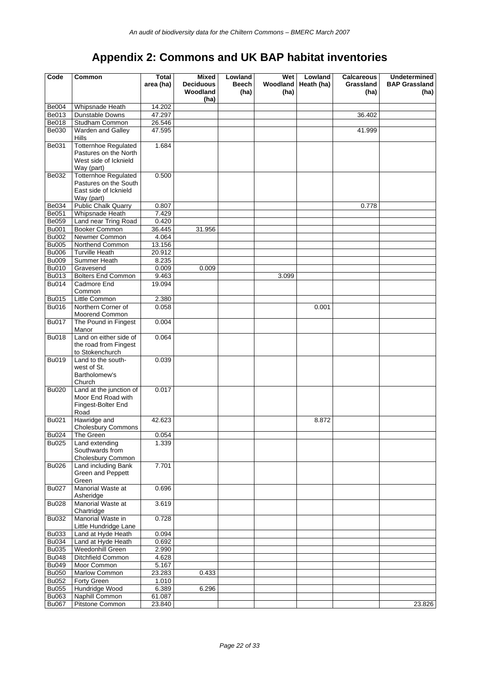## **Appendix 2: Commons and UK BAP habitat inventories**

| Woodland<br>(ha)<br>(ha)<br>(ha)<br>(ha)<br>(ha)<br><b>Be004</b><br>14.202<br>Whipsnade Heath<br>47.297<br>Be013<br>Dunstable Downs<br>36.402<br>Be018<br>Studham Common<br>26.546<br>Be030<br>Warden and Galley<br>47.595<br>41.999<br>Hills<br>1.684<br>Be031<br><b>Totternhoe Regulated</b><br>Pastures on the North<br>West side of Icknield<br>Way (part)<br>Totternhoe Regulated<br>0.500<br>Be032<br>Pastures on the South<br>East side of Icknield<br>Way (part)<br><b>Public Chalk Quarry</b><br>Be034<br>0.807<br>0.778<br><b>Be051</b><br>Whipsnade Heath<br>7.429<br>Land near Tring Road<br><b>Be059</b><br>0.420<br>Booker Common<br><b>Bu001</b><br>36.445<br>31.956<br><b>Bu002</b><br>Newmer Common<br>4.064<br><b>Bu005</b><br>Northend Common<br>13.156<br><b>Turville Heath</b><br><b>Bu006</b><br>20.912<br><b>Bu009</b><br>Summer Heath<br>8.235<br><b>Bu010</b><br>0.009<br>0.009<br>Gravesend<br>Bu013<br><b>Bolters End Common</b><br>9.463<br>3.099<br><b>Bu014</b><br>Cadmore End<br>19.094<br>Common<br><b>Bu015</b><br>Little Common<br>2.380<br>Northern Corner of<br>0.058<br>Bu016<br>0.001<br>Moorend Common<br><b>Bu017</b><br>The Pound in Fingest<br>0.004<br>Manor<br>Land on either side of<br>0.064<br><b>Bu018</b><br>the road from Fingest<br>to Stokenchurch<br>Land to the south-<br>Bu019<br>0.039<br>west of St.<br>Bartholomew's<br>Church<br>Land at the junction of<br><b>Bu020</b><br>0.017<br>Moor End Road with<br>Fingest-Bolter End<br>Road<br>Hawridge and<br>42.623<br>Bu021<br>8.872<br>Cholesbury Commons<br>Bu024<br>The Green<br>0.054<br>Land extending<br>1.339<br><b>Bu025</b><br>Southwards from<br>Cholesbury Common<br>7.701<br><b>Bu026</b><br>Land including Bank<br>Green and Peppett<br>Green<br>Manorial Waste at<br>0.696<br><b>Bu027</b><br>Asheridge<br>Manorial Waste at<br>3.619<br><b>Bu028</b><br>Chartridge<br>Manorial Waste in<br>0.728<br>Bu032<br>Little Hundridge Lane<br><b>Bu033</b><br>Land at Hyde Heath<br>0.094<br><b>Bu034</b><br>Land at Hyde Heath<br>0.692<br>Weedonhill Green<br><b>Bu035</b><br>2.990<br><b>Bu048</b><br>Ditchfield Common<br>4.628<br><b>Bu049</b><br>Moor Common<br>5.167<br><b>Bu050</b><br>Marlow Common<br>23.283<br>0.433<br><b>Bu052</b><br>Forty Green<br>1.010<br>Hundridge Wood<br><b>Bu055</b><br>6.389<br>6.296<br>Bu063<br>Naphill Common<br>61.087<br><b>Bu067</b><br>Pitstone Common<br>23.840<br>23.826 | Code | Common | <b>Total</b><br>area (ha) | Mixed<br><b>Deciduous</b> | Lowland<br>Beech | Wet<br>Woodland | Lowland<br>Heath (ha) | <b>Calcareous</b><br>Grassland | <b>Undetermined</b><br><b>BAP Grassland</b> |
|----------------------------------------------------------------------------------------------------------------------------------------------------------------------------------------------------------------------------------------------------------------------------------------------------------------------------------------------------------------------------------------------------------------------------------------------------------------------------------------------------------------------------------------------------------------------------------------------------------------------------------------------------------------------------------------------------------------------------------------------------------------------------------------------------------------------------------------------------------------------------------------------------------------------------------------------------------------------------------------------------------------------------------------------------------------------------------------------------------------------------------------------------------------------------------------------------------------------------------------------------------------------------------------------------------------------------------------------------------------------------------------------------------------------------------------------------------------------------------------------------------------------------------------------------------------------------------------------------------------------------------------------------------------------------------------------------------------------------------------------------------------------------------------------------------------------------------------------------------------------------------------------------------------------------------------------------------------------------------------------------------------------------------------------------------------------------------------------------------------------------------------------------------------------------------------------------------------------------------------------------------------------------------------------------------------------------------------------------------------------------------------------------------------------------------------|------|--------|---------------------------|---------------------------|------------------|-----------------|-----------------------|--------------------------------|---------------------------------------------|
|                                                                                                                                                                                                                                                                                                                                                                                                                                                                                                                                                                                                                                                                                                                                                                                                                                                                                                                                                                                                                                                                                                                                                                                                                                                                                                                                                                                                                                                                                                                                                                                                                                                                                                                                                                                                                                                                                                                                                                                                                                                                                                                                                                                                                                                                                                                                                                                                                                        |      |        |                           |                           |                  |                 |                       |                                |                                             |
|                                                                                                                                                                                                                                                                                                                                                                                                                                                                                                                                                                                                                                                                                                                                                                                                                                                                                                                                                                                                                                                                                                                                                                                                                                                                                                                                                                                                                                                                                                                                                                                                                                                                                                                                                                                                                                                                                                                                                                                                                                                                                                                                                                                                                                                                                                                                                                                                                                        |      |        |                           |                           |                  |                 |                       |                                |                                             |
|                                                                                                                                                                                                                                                                                                                                                                                                                                                                                                                                                                                                                                                                                                                                                                                                                                                                                                                                                                                                                                                                                                                                                                                                                                                                                                                                                                                                                                                                                                                                                                                                                                                                                                                                                                                                                                                                                                                                                                                                                                                                                                                                                                                                                                                                                                                                                                                                                                        |      |        |                           |                           |                  |                 |                       |                                |                                             |
|                                                                                                                                                                                                                                                                                                                                                                                                                                                                                                                                                                                                                                                                                                                                                                                                                                                                                                                                                                                                                                                                                                                                                                                                                                                                                                                                                                                                                                                                                                                                                                                                                                                                                                                                                                                                                                                                                                                                                                                                                                                                                                                                                                                                                                                                                                                                                                                                                                        |      |        |                           |                           |                  |                 |                       |                                |                                             |
|                                                                                                                                                                                                                                                                                                                                                                                                                                                                                                                                                                                                                                                                                                                                                                                                                                                                                                                                                                                                                                                                                                                                                                                                                                                                                                                                                                                                                                                                                                                                                                                                                                                                                                                                                                                                                                                                                                                                                                                                                                                                                                                                                                                                                                                                                                                                                                                                                                        |      |        |                           |                           |                  |                 |                       |                                |                                             |
|                                                                                                                                                                                                                                                                                                                                                                                                                                                                                                                                                                                                                                                                                                                                                                                                                                                                                                                                                                                                                                                                                                                                                                                                                                                                                                                                                                                                                                                                                                                                                                                                                                                                                                                                                                                                                                                                                                                                                                                                                                                                                                                                                                                                                                                                                                                                                                                                                                        |      |        |                           |                           |                  |                 |                       |                                |                                             |
|                                                                                                                                                                                                                                                                                                                                                                                                                                                                                                                                                                                                                                                                                                                                                                                                                                                                                                                                                                                                                                                                                                                                                                                                                                                                                                                                                                                                                                                                                                                                                                                                                                                                                                                                                                                                                                                                                                                                                                                                                                                                                                                                                                                                                                                                                                                                                                                                                                        |      |        |                           |                           |                  |                 |                       |                                |                                             |
|                                                                                                                                                                                                                                                                                                                                                                                                                                                                                                                                                                                                                                                                                                                                                                                                                                                                                                                                                                                                                                                                                                                                                                                                                                                                                                                                                                                                                                                                                                                                                                                                                                                                                                                                                                                                                                                                                                                                                                                                                                                                                                                                                                                                                                                                                                                                                                                                                                        |      |        |                           |                           |                  |                 |                       |                                |                                             |
|                                                                                                                                                                                                                                                                                                                                                                                                                                                                                                                                                                                                                                                                                                                                                                                                                                                                                                                                                                                                                                                                                                                                                                                                                                                                                                                                                                                                                                                                                                                                                                                                                                                                                                                                                                                                                                                                                                                                                                                                                                                                                                                                                                                                                                                                                                                                                                                                                                        |      |        |                           |                           |                  |                 |                       |                                |                                             |
|                                                                                                                                                                                                                                                                                                                                                                                                                                                                                                                                                                                                                                                                                                                                                                                                                                                                                                                                                                                                                                                                                                                                                                                                                                                                                                                                                                                                                                                                                                                                                                                                                                                                                                                                                                                                                                                                                                                                                                                                                                                                                                                                                                                                                                                                                                                                                                                                                                        |      |        |                           |                           |                  |                 |                       |                                |                                             |
|                                                                                                                                                                                                                                                                                                                                                                                                                                                                                                                                                                                                                                                                                                                                                                                                                                                                                                                                                                                                                                                                                                                                                                                                                                                                                                                                                                                                                                                                                                                                                                                                                                                                                                                                                                                                                                                                                                                                                                                                                                                                                                                                                                                                                                                                                                                                                                                                                                        |      |        |                           |                           |                  |                 |                       |                                |                                             |
|                                                                                                                                                                                                                                                                                                                                                                                                                                                                                                                                                                                                                                                                                                                                                                                                                                                                                                                                                                                                                                                                                                                                                                                                                                                                                                                                                                                                                                                                                                                                                                                                                                                                                                                                                                                                                                                                                                                                                                                                                                                                                                                                                                                                                                                                                                                                                                                                                                        |      |        |                           |                           |                  |                 |                       |                                |                                             |
|                                                                                                                                                                                                                                                                                                                                                                                                                                                                                                                                                                                                                                                                                                                                                                                                                                                                                                                                                                                                                                                                                                                                                                                                                                                                                                                                                                                                                                                                                                                                                                                                                                                                                                                                                                                                                                                                                                                                                                                                                                                                                                                                                                                                                                                                                                                                                                                                                                        |      |        |                           |                           |                  |                 |                       |                                |                                             |
|                                                                                                                                                                                                                                                                                                                                                                                                                                                                                                                                                                                                                                                                                                                                                                                                                                                                                                                                                                                                                                                                                                                                                                                                                                                                                                                                                                                                                                                                                                                                                                                                                                                                                                                                                                                                                                                                                                                                                                                                                                                                                                                                                                                                                                                                                                                                                                                                                                        |      |        |                           |                           |                  |                 |                       |                                |                                             |
|                                                                                                                                                                                                                                                                                                                                                                                                                                                                                                                                                                                                                                                                                                                                                                                                                                                                                                                                                                                                                                                                                                                                                                                                                                                                                                                                                                                                                                                                                                                                                                                                                                                                                                                                                                                                                                                                                                                                                                                                                                                                                                                                                                                                                                                                                                                                                                                                                                        |      |        |                           |                           |                  |                 |                       |                                |                                             |
|                                                                                                                                                                                                                                                                                                                                                                                                                                                                                                                                                                                                                                                                                                                                                                                                                                                                                                                                                                                                                                                                                                                                                                                                                                                                                                                                                                                                                                                                                                                                                                                                                                                                                                                                                                                                                                                                                                                                                                                                                                                                                                                                                                                                                                                                                                                                                                                                                                        |      |        |                           |                           |                  |                 |                       |                                |                                             |
|                                                                                                                                                                                                                                                                                                                                                                                                                                                                                                                                                                                                                                                                                                                                                                                                                                                                                                                                                                                                                                                                                                                                                                                                                                                                                                                                                                                                                                                                                                                                                                                                                                                                                                                                                                                                                                                                                                                                                                                                                                                                                                                                                                                                                                                                                                                                                                                                                                        |      |        |                           |                           |                  |                 |                       |                                |                                             |
|                                                                                                                                                                                                                                                                                                                                                                                                                                                                                                                                                                                                                                                                                                                                                                                                                                                                                                                                                                                                                                                                                                                                                                                                                                                                                                                                                                                                                                                                                                                                                                                                                                                                                                                                                                                                                                                                                                                                                                                                                                                                                                                                                                                                                                                                                                                                                                                                                                        |      |        |                           |                           |                  |                 |                       |                                |                                             |
|                                                                                                                                                                                                                                                                                                                                                                                                                                                                                                                                                                                                                                                                                                                                                                                                                                                                                                                                                                                                                                                                                                                                                                                                                                                                                                                                                                                                                                                                                                                                                                                                                                                                                                                                                                                                                                                                                                                                                                                                                                                                                                                                                                                                                                                                                                                                                                                                                                        |      |        |                           |                           |                  |                 |                       |                                |                                             |
|                                                                                                                                                                                                                                                                                                                                                                                                                                                                                                                                                                                                                                                                                                                                                                                                                                                                                                                                                                                                                                                                                                                                                                                                                                                                                                                                                                                                                                                                                                                                                                                                                                                                                                                                                                                                                                                                                                                                                                                                                                                                                                                                                                                                                                                                                                                                                                                                                                        |      |        |                           |                           |                  |                 |                       |                                |                                             |
|                                                                                                                                                                                                                                                                                                                                                                                                                                                                                                                                                                                                                                                                                                                                                                                                                                                                                                                                                                                                                                                                                                                                                                                                                                                                                                                                                                                                                                                                                                                                                                                                                                                                                                                                                                                                                                                                                                                                                                                                                                                                                                                                                                                                                                                                                                                                                                                                                                        |      |        |                           |                           |                  |                 |                       |                                |                                             |
|                                                                                                                                                                                                                                                                                                                                                                                                                                                                                                                                                                                                                                                                                                                                                                                                                                                                                                                                                                                                                                                                                                                                                                                                                                                                                                                                                                                                                                                                                                                                                                                                                                                                                                                                                                                                                                                                                                                                                                                                                                                                                                                                                                                                                                                                                                                                                                                                                                        |      |        |                           |                           |                  |                 |                       |                                |                                             |
|                                                                                                                                                                                                                                                                                                                                                                                                                                                                                                                                                                                                                                                                                                                                                                                                                                                                                                                                                                                                                                                                                                                                                                                                                                                                                                                                                                                                                                                                                                                                                                                                                                                                                                                                                                                                                                                                                                                                                                                                                                                                                                                                                                                                                                                                                                                                                                                                                                        |      |        |                           |                           |                  |                 |                       |                                |                                             |
|                                                                                                                                                                                                                                                                                                                                                                                                                                                                                                                                                                                                                                                                                                                                                                                                                                                                                                                                                                                                                                                                                                                                                                                                                                                                                                                                                                                                                                                                                                                                                                                                                                                                                                                                                                                                                                                                                                                                                                                                                                                                                                                                                                                                                                                                                                                                                                                                                                        |      |        |                           |                           |                  |                 |                       |                                |                                             |
|                                                                                                                                                                                                                                                                                                                                                                                                                                                                                                                                                                                                                                                                                                                                                                                                                                                                                                                                                                                                                                                                                                                                                                                                                                                                                                                                                                                                                                                                                                                                                                                                                                                                                                                                                                                                                                                                                                                                                                                                                                                                                                                                                                                                                                                                                                                                                                                                                                        |      |        |                           |                           |                  |                 |                       |                                |                                             |
|                                                                                                                                                                                                                                                                                                                                                                                                                                                                                                                                                                                                                                                                                                                                                                                                                                                                                                                                                                                                                                                                                                                                                                                                                                                                                                                                                                                                                                                                                                                                                                                                                                                                                                                                                                                                                                                                                                                                                                                                                                                                                                                                                                                                                                                                                                                                                                                                                                        |      |        |                           |                           |                  |                 |                       |                                |                                             |
|                                                                                                                                                                                                                                                                                                                                                                                                                                                                                                                                                                                                                                                                                                                                                                                                                                                                                                                                                                                                                                                                                                                                                                                                                                                                                                                                                                                                                                                                                                                                                                                                                                                                                                                                                                                                                                                                                                                                                                                                                                                                                                                                                                                                                                                                                                                                                                                                                                        |      |        |                           |                           |                  |                 |                       |                                |                                             |
|                                                                                                                                                                                                                                                                                                                                                                                                                                                                                                                                                                                                                                                                                                                                                                                                                                                                                                                                                                                                                                                                                                                                                                                                                                                                                                                                                                                                                                                                                                                                                                                                                                                                                                                                                                                                                                                                                                                                                                                                                                                                                                                                                                                                                                                                                                                                                                                                                                        |      |        |                           |                           |                  |                 |                       |                                |                                             |
|                                                                                                                                                                                                                                                                                                                                                                                                                                                                                                                                                                                                                                                                                                                                                                                                                                                                                                                                                                                                                                                                                                                                                                                                                                                                                                                                                                                                                                                                                                                                                                                                                                                                                                                                                                                                                                                                                                                                                                                                                                                                                                                                                                                                                                                                                                                                                                                                                                        |      |        |                           |                           |                  |                 |                       |                                |                                             |
|                                                                                                                                                                                                                                                                                                                                                                                                                                                                                                                                                                                                                                                                                                                                                                                                                                                                                                                                                                                                                                                                                                                                                                                                                                                                                                                                                                                                                                                                                                                                                                                                                                                                                                                                                                                                                                                                                                                                                                                                                                                                                                                                                                                                                                                                                                                                                                                                                                        |      |        |                           |                           |                  |                 |                       |                                |                                             |
|                                                                                                                                                                                                                                                                                                                                                                                                                                                                                                                                                                                                                                                                                                                                                                                                                                                                                                                                                                                                                                                                                                                                                                                                                                                                                                                                                                                                                                                                                                                                                                                                                                                                                                                                                                                                                                                                                                                                                                                                                                                                                                                                                                                                                                                                                                                                                                                                                                        |      |        |                           |                           |                  |                 |                       |                                |                                             |
|                                                                                                                                                                                                                                                                                                                                                                                                                                                                                                                                                                                                                                                                                                                                                                                                                                                                                                                                                                                                                                                                                                                                                                                                                                                                                                                                                                                                                                                                                                                                                                                                                                                                                                                                                                                                                                                                                                                                                                                                                                                                                                                                                                                                                                                                                                                                                                                                                                        |      |        |                           |                           |                  |                 |                       |                                |                                             |
|                                                                                                                                                                                                                                                                                                                                                                                                                                                                                                                                                                                                                                                                                                                                                                                                                                                                                                                                                                                                                                                                                                                                                                                                                                                                                                                                                                                                                                                                                                                                                                                                                                                                                                                                                                                                                                                                                                                                                                                                                                                                                                                                                                                                                                                                                                                                                                                                                                        |      |        |                           |                           |                  |                 |                       |                                |                                             |
|                                                                                                                                                                                                                                                                                                                                                                                                                                                                                                                                                                                                                                                                                                                                                                                                                                                                                                                                                                                                                                                                                                                                                                                                                                                                                                                                                                                                                                                                                                                                                                                                                                                                                                                                                                                                                                                                                                                                                                                                                                                                                                                                                                                                                                                                                                                                                                                                                                        |      |        |                           |                           |                  |                 |                       |                                |                                             |
|                                                                                                                                                                                                                                                                                                                                                                                                                                                                                                                                                                                                                                                                                                                                                                                                                                                                                                                                                                                                                                                                                                                                                                                                                                                                                                                                                                                                                                                                                                                                                                                                                                                                                                                                                                                                                                                                                                                                                                                                                                                                                                                                                                                                                                                                                                                                                                                                                                        |      |        |                           |                           |                  |                 |                       |                                |                                             |
|                                                                                                                                                                                                                                                                                                                                                                                                                                                                                                                                                                                                                                                                                                                                                                                                                                                                                                                                                                                                                                                                                                                                                                                                                                                                                                                                                                                                                                                                                                                                                                                                                                                                                                                                                                                                                                                                                                                                                                                                                                                                                                                                                                                                                                                                                                                                                                                                                                        |      |        |                           |                           |                  |                 |                       |                                |                                             |
|                                                                                                                                                                                                                                                                                                                                                                                                                                                                                                                                                                                                                                                                                                                                                                                                                                                                                                                                                                                                                                                                                                                                                                                                                                                                                                                                                                                                                                                                                                                                                                                                                                                                                                                                                                                                                                                                                                                                                                                                                                                                                                                                                                                                                                                                                                                                                                                                                                        |      |        |                           |                           |                  |                 |                       |                                |                                             |
|                                                                                                                                                                                                                                                                                                                                                                                                                                                                                                                                                                                                                                                                                                                                                                                                                                                                                                                                                                                                                                                                                                                                                                                                                                                                                                                                                                                                                                                                                                                                                                                                                                                                                                                                                                                                                                                                                                                                                                                                                                                                                                                                                                                                                                                                                                                                                                                                                                        |      |        |                           |                           |                  |                 |                       |                                |                                             |
|                                                                                                                                                                                                                                                                                                                                                                                                                                                                                                                                                                                                                                                                                                                                                                                                                                                                                                                                                                                                                                                                                                                                                                                                                                                                                                                                                                                                                                                                                                                                                                                                                                                                                                                                                                                                                                                                                                                                                                                                                                                                                                                                                                                                                                                                                                                                                                                                                                        |      |        |                           |                           |                  |                 |                       |                                |                                             |
|                                                                                                                                                                                                                                                                                                                                                                                                                                                                                                                                                                                                                                                                                                                                                                                                                                                                                                                                                                                                                                                                                                                                                                                                                                                                                                                                                                                                                                                                                                                                                                                                                                                                                                                                                                                                                                                                                                                                                                                                                                                                                                                                                                                                                                                                                                                                                                                                                                        |      |        |                           |                           |                  |                 |                       |                                |                                             |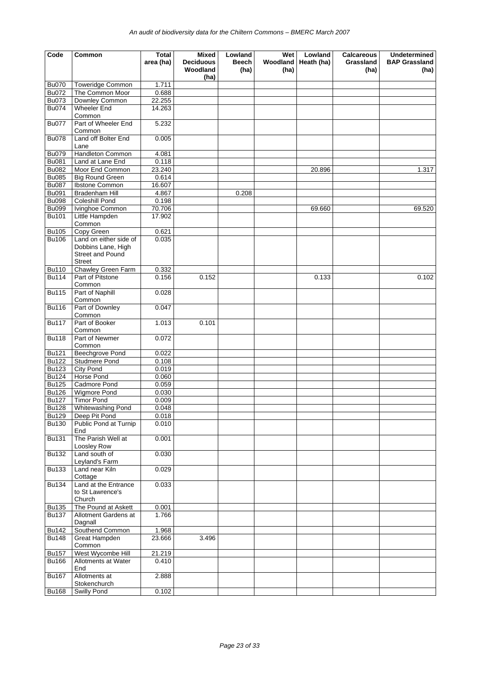| Code                         | Common                                                         | Total           | <b>Mixed</b>                         | Lowland       | Wet              | Lowland    | <b>Calcareous</b> | <b>Undetermined</b>          |
|------------------------------|----------------------------------------------------------------|-----------------|--------------------------------------|---------------|------------------|------------|-------------------|------------------------------|
|                              |                                                                | area (ha)       | <b>Deciduous</b><br>Woodland<br>(ha) | Beech<br>(ha) | Woodland<br>(ha) | Heath (ha) | Grassland<br>(ha) | <b>BAP Grassland</b><br>(ha) |
| <b>Bu070</b>                 | <b>Toweridge Common</b>                                        | 1.711           |                                      |               |                  |            |                   |                              |
| <b>Bu072</b>                 | The Common Moor                                                | 0.688           |                                      |               |                  |            |                   |                              |
| <b>Bu073</b>                 | Downley Common                                                 | 22.255          |                                      |               |                  |            |                   |                              |
| <b>Bu074</b>                 | <b>Wheeler End</b><br>Common                                   | 14.263          |                                      |               |                  |            |                   |                              |
| <b>Bu077</b>                 | Part of Wheeler End<br>Common                                  | 5.232           |                                      |               |                  |            |                   |                              |
| <b>Bu078</b>                 | Land off Bolter End<br>Lane                                    | 0.005           |                                      |               |                  |            |                   |                              |
| <b>Bu079</b>                 | Handleton Common                                               | 4.081           |                                      |               |                  |            |                   |                              |
| <b>Bu081</b>                 | Land at Lane End                                               | 0.118           |                                      |               |                  |            |                   |                              |
| <b>Bu082</b>                 | Moor End Common                                                | 23.240          |                                      |               |                  | 20.896     |                   | 1.317                        |
| <b>Bu085</b>                 | <b>Big Round Green</b>                                         | 0.614<br>16.607 |                                      |               |                  |            |                   |                              |
| <b>Bu087</b><br><b>Bu091</b> | Ibstone Common<br><b>Bradenham Hill</b>                        | 4.867           |                                      | 0.208         |                  |            |                   |                              |
| <b>Bu098</b>                 | Coleshill Pond                                                 | 0.198           |                                      |               |                  |            |                   |                              |
| <b>Bu099</b>                 | Ivinghoe Common                                                | 70.706          |                                      |               |                  | 69.660     |                   | 69.520                       |
| <b>Bu101</b>                 | Little Hampden                                                 | 17.902          |                                      |               |                  |            |                   |                              |
| <b>Bu105</b>                 | Common<br>Copy Green                                           | 0.621           |                                      |               |                  |            |                   |                              |
| <b>Bu106</b>                 | Land on either side of                                         | 0.035           |                                      |               |                  |            |                   |                              |
|                              | Dobbins Lane, High<br><b>Street and Pound</b><br><b>Street</b> |                 |                                      |               |                  |            |                   |                              |
| <b>Bu110</b>                 | Chawley Green Farm                                             | 0.332           |                                      |               |                  |            |                   |                              |
| <b>Bu114</b>                 | Part of Pitstone<br>Common                                     | 0.156           | 0.152                                |               |                  | 0.133      |                   | 0.102                        |
| <b>Bu115</b>                 | Part of Naphill<br>Common                                      | 0.028           |                                      |               |                  |            |                   |                              |
| <b>Bu116</b>                 | Part of Downley<br>Common                                      | 0.047           |                                      |               |                  |            |                   |                              |
| <b>Bu117</b>                 | Part of Booker<br>Common                                       | 1.013           | 0.101                                |               |                  |            |                   |                              |
| <b>Bu118</b>                 | Part of Newmer<br>Common                                       | 0.072           |                                      |               |                  |            |                   |                              |
| <b>Bu121</b>                 | Beechgrove Pond                                                | 0.022           |                                      |               |                  |            |                   |                              |
| <b>Bu122</b>                 | <b>Studmere Pond</b>                                           | 0.108           |                                      |               |                  |            |                   |                              |
| <b>Bu123</b>                 | <b>City Pond</b>                                               | 0.019           |                                      |               |                  |            |                   |                              |
| <b>Bu124</b>                 | <b>Horse Pond</b>                                              | 0.060           |                                      |               |                  |            |                   |                              |
| <b>Bu125</b>                 | Cadmore Pond                                                   | 0.059           |                                      |               |                  |            |                   |                              |
| <b>Bu126</b>                 | <b>Wigmore Pond</b>                                            | 0.030           |                                      |               |                  |            |                   |                              |
| <b>Bu127</b><br><b>Bu128</b> | <b>Timor Pond</b><br>Whitewashing Pond                         | 0.009<br>0.048  |                                      |               |                  |            |                   |                              |
| <b>Bu129</b>                 | Deep Pit Pond                                                  | 0.018           |                                      |               |                  |            |                   |                              |
| <b>Bu130</b>                 | Public Pond at Turnip<br>End                                   | 0.010           |                                      |               |                  |            |                   |                              |
| <b>Bu131</b>                 | The Parish Well at<br>Loosley Row                              | 0.001           |                                      |               |                  |            |                   |                              |
| <b>Bu132</b>                 | Land south of<br>Leyland's Farm                                | 0.030           |                                      |               |                  |            |                   |                              |
| <b>Bu133</b>                 | Land near Kiln<br>Cottage                                      | 0.029           |                                      |               |                  |            |                   |                              |
| <b>Bu134</b>                 | Land at the Entrance<br>to St Lawrence's<br>Church             | 0.033           |                                      |               |                  |            |                   |                              |
| <b>Bu135</b>                 | The Pound at Askett                                            | 0.001           |                                      |               |                  |            |                   |                              |
| <b>Bu137</b>                 | Allotment Gardens at<br>Dagnall                                | 1.766           |                                      |               |                  |            |                   |                              |
| <b>Bu142</b>                 | Southend Common                                                | 1.968           |                                      |               |                  |            |                   |                              |
| <b>Bu148</b>                 | Great Hampden<br>Common                                        | 23.666          | 3.496                                |               |                  |            |                   |                              |
| <b>Bu157</b>                 | West Wycombe Hill                                              | 21.219          |                                      |               |                  |            |                   |                              |
| <b>Bu166</b>                 | Allotments at Water<br>End                                     | 0.410           |                                      |               |                  |            |                   |                              |
| <b>Bu167</b>                 | Allotments at<br>Stokenchurch                                  | 2.888           |                                      |               |                  |            |                   |                              |
| <b>Bu168</b>                 | Swilly Pond                                                    | 0.102           |                                      |               |                  |            |                   |                              |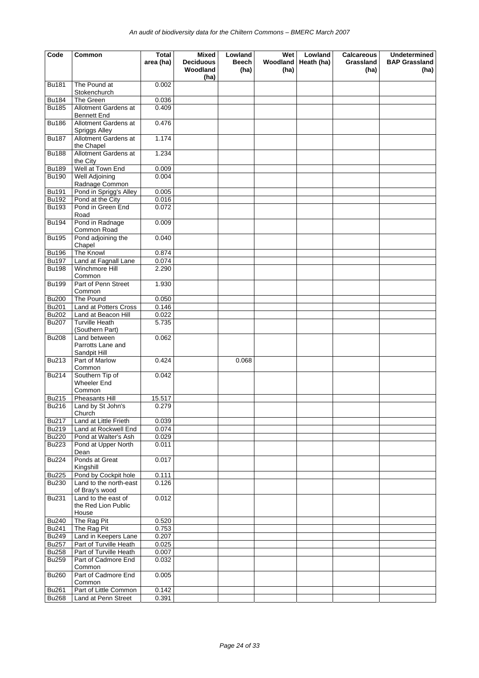| Code         | Common                                              | <b>Total</b><br>area (ha) | Mixed<br><b>Deciduous</b><br>Woodland<br>(ha) | Lowland<br>Beech<br>(ha) | Wet<br>Woodland<br>(ha) | Lowland<br>Heath (ha) | Calcareous<br>Grassland<br>(ha) | <b>Undetermined</b><br><b>BAP Grassland</b><br>(ha) |
|--------------|-----------------------------------------------------|---------------------------|-----------------------------------------------|--------------------------|-------------------------|-----------------------|---------------------------------|-----------------------------------------------------|
| <b>Bu181</b> | The Pound at                                        | 0.002                     |                                               |                          |                         |                       |                                 |                                                     |
| <b>Bu184</b> | Stokenchurch<br>The Green                           | 0.036                     |                                               |                          |                         |                       |                                 |                                                     |
| <b>Bu185</b> | Allotment Gardens at                                | 0.409                     |                                               |                          |                         |                       |                                 |                                                     |
|              | <b>Bennett End</b>                                  |                           |                                               |                          |                         |                       |                                 |                                                     |
| <b>Bu186</b> | Allotment Gardens at<br>Spriggs Alley               | 0.476                     |                                               |                          |                         |                       |                                 |                                                     |
| <b>Bu187</b> | Allotment Gardens at<br>the Chapel                  | 1.174                     |                                               |                          |                         |                       |                                 |                                                     |
| <b>Bu188</b> | Allotment Gardens at<br>the City                    | 1.234                     |                                               |                          |                         |                       |                                 |                                                     |
| <b>Bu189</b> | Well at Town End                                    | 0.009                     |                                               |                          |                         |                       |                                 |                                                     |
| <b>Bu190</b> | Well Adjoining                                      | 0.004                     |                                               |                          |                         |                       |                                 |                                                     |
|              | Radnage Common                                      |                           |                                               |                          |                         |                       |                                 |                                                     |
| <b>Bu191</b> | Pond in Sprigg's Alley                              | 0.005                     |                                               |                          |                         |                       |                                 |                                                     |
| <b>Bu192</b> | Pond at the City                                    | 0.016                     |                                               |                          |                         |                       |                                 |                                                     |
| <b>Bu193</b> | Pond in Green End<br>Road                           | 0.072                     |                                               |                          |                         |                       |                                 |                                                     |
| <b>Bu194</b> | Pond in Radnage<br>Common Road                      | 0.009                     |                                               |                          |                         |                       |                                 |                                                     |
| <b>Bu195</b> | Pond adjoining the<br>Chapel                        | 0.040                     |                                               |                          |                         |                       |                                 |                                                     |
| <b>Bu196</b> | The Knowl                                           | 0.874                     |                                               |                          |                         |                       |                                 |                                                     |
| <b>Bu197</b> | Land at Fagnall Lane                                | 0.074                     |                                               |                          |                         |                       |                                 |                                                     |
| <b>Bu198</b> | Winchmore Hill<br>Common                            | 2.290                     |                                               |                          |                         |                       |                                 |                                                     |
| <b>Bu199</b> | Part of Penn Street<br>Common                       | 1.930                     |                                               |                          |                         |                       |                                 |                                                     |
| <b>Bu200</b> | The Pound                                           | 0.050                     |                                               |                          |                         |                       |                                 |                                                     |
| <b>Bu201</b> | Land at Potters Cross                               | 0.146                     |                                               |                          |                         |                       |                                 |                                                     |
| <b>Bu202</b> | Land at Beacon Hill                                 | 0.022                     |                                               |                          |                         |                       |                                 |                                                     |
| <b>Bu207</b> | <b>Turville Heath</b><br>(Southern Part)            | 5.735                     |                                               |                          |                         |                       |                                 |                                                     |
| <b>Bu208</b> | Land between<br>Parrotts Lane and<br>Sandpit Hill   | 0.062                     |                                               |                          |                         |                       |                                 |                                                     |
| <b>Bu213</b> | Part of Marlow<br>Common                            | 0.424                     |                                               | 0.068                    |                         |                       |                                 |                                                     |
| <b>Bu214</b> | Southern Tip of<br>Wheeler End<br>Common            | 0.042                     |                                               |                          |                         |                       |                                 |                                                     |
| <b>Bu215</b> | <b>Pheasants Hill</b>                               | 15.517                    |                                               |                          |                         |                       |                                 |                                                     |
| <b>Bu216</b> | Land by St John's<br>Church                         | 0.279                     |                                               |                          |                         |                       |                                 |                                                     |
| <b>Bu217</b> | Land at Little Frieth                               | 0.039                     |                                               |                          |                         |                       |                                 |                                                     |
| <b>Bu219</b> | Land at Rockwell End                                | 0.074                     |                                               |                          |                         |                       |                                 |                                                     |
| <b>Bu220</b> | Pond at Walter's Ash                                | 0.029                     |                                               |                          |                         |                       |                                 |                                                     |
| <b>Bu223</b> | Pond at Upper North<br>Dean                         | 0.011                     |                                               |                          |                         |                       |                                 |                                                     |
| <b>Bu224</b> | Ponds at Great<br>Kingshill                         | 0.017                     |                                               |                          |                         |                       |                                 |                                                     |
| <b>Bu225</b> | Pond by Cockpit hole                                | 0.111                     |                                               |                          |                         |                       |                                 |                                                     |
| <b>Bu230</b> | Land to the north-east<br>of Bray's wood            | 0.126                     |                                               |                          |                         |                       |                                 |                                                     |
| <b>Bu231</b> | Land to the east of<br>the Red Lion Public<br>House | 0.012                     |                                               |                          |                         |                       |                                 |                                                     |
| <b>Bu240</b> | The Rag Pit                                         | 0.520                     |                                               |                          |                         |                       |                                 |                                                     |
| <b>Bu241</b> | The Rag Pit                                         | 0.753                     |                                               |                          |                         |                       |                                 |                                                     |
| <b>Bu249</b> | Land in Keepers Lane                                | 0.207                     |                                               |                          |                         |                       |                                 |                                                     |
| <b>Bu257</b> | Part of Turville Heath                              | 0.025                     |                                               |                          |                         |                       |                                 |                                                     |
| <b>Bu258</b> | Part of Turville Heath                              | 0.007                     |                                               |                          |                         |                       |                                 |                                                     |
| <b>Bu259</b> | Part of Cadmore End<br>Common                       | 0.032                     |                                               |                          |                         |                       |                                 |                                                     |
| <b>Bu260</b> | Part of Cadmore End<br>Common                       | 0.005                     |                                               |                          |                         |                       |                                 |                                                     |
| <b>Bu261</b> | Part of Little Common                               | 0.142                     |                                               |                          |                         |                       |                                 |                                                     |
| <b>Bu268</b> | Land at Penn Street                                 | 0.391                     |                                               |                          |                         |                       |                                 |                                                     |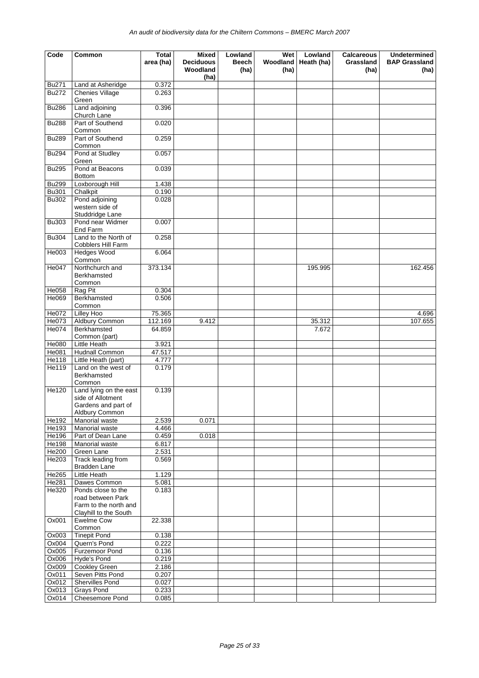| Code                         | Common                                                                               | <b>Total</b><br>area (ha) | Mixed<br><b>Deciduous</b><br>Woodland | Lowland<br><b>Beech</b><br>(ha) | <b>Wet</b><br><b>Woodland</b><br>(ha) | Lowland<br>Heath (ha) | <b>Calcareous</b><br>Grassland<br>(ha) | <b>Undetermined</b><br><b>BAP Grassland</b><br>(ha) |
|------------------------------|--------------------------------------------------------------------------------------|---------------------------|---------------------------------------|---------------------------------|---------------------------------------|-----------------------|----------------------------------------|-----------------------------------------------------|
|                              |                                                                                      |                           | (ha)                                  |                                 |                                       |                       |                                        |                                                     |
| <b>Bu271</b><br><b>Bu272</b> | Land at Asheridge<br><b>Chenies Village</b><br>Green                                 | 0.372<br>0.263            |                                       |                                 |                                       |                       |                                        |                                                     |
| <b>Bu286</b>                 | Land adjoining<br>Church Lane                                                        | 0.396                     |                                       |                                 |                                       |                       |                                        |                                                     |
| <b>Bu288</b>                 | Part of Southend<br>Common                                                           | 0.020                     |                                       |                                 |                                       |                       |                                        |                                                     |
| <b>Bu289</b>                 | Part of Southend<br>Common                                                           | 0.259                     |                                       |                                 |                                       |                       |                                        |                                                     |
| <b>Bu294</b>                 | Pond at Studley<br>Green                                                             | 0.057                     |                                       |                                 |                                       |                       |                                        |                                                     |
| <b>Bu295</b>                 | Pond at Beacons<br><b>Bottom</b>                                                     | 0.039                     |                                       |                                 |                                       |                       |                                        |                                                     |
| <b>Bu299</b>                 | Loxborough Hill                                                                      | 1.438                     |                                       |                                 |                                       |                       |                                        |                                                     |
| <b>Bu301</b>                 | Chalkpit                                                                             | 0.190                     |                                       |                                 |                                       |                       |                                        |                                                     |
| <b>Bu302</b>                 | Pond adjoining<br>western side of<br>Studdridge Lane                                 | 0.028                     |                                       |                                 |                                       |                       |                                        |                                                     |
| <b>Bu303</b>                 | Pond near Widmer<br>End Farm                                                         | 0.007                     |                                       |                                 |                                       |                       |                                        |                                                     |
| <b>Bu304</b>                 | Land to the North of<br>Cobblers Hill Farm                                           | 0.258                     |                                       |                                 |                                       |                       |                                        |                                                     |
| He003                        | <b>Hedges Wood</b><br>Common                                                         | 6.064                     |                                       |                                 |                                       |                       |                                        |                                                     |
| He047                        | Northchurch and<br>Berkhamsted<br>Common                                             | 373.134                   |                                       |                                 |                                       | 195.995               |                                        | 162.456                                             |
| He058                        | Rag Pit                                                                              | 0.304                     |                                       |                                 |                                       |                       |                                        |                                                     |
| He069                        | Berkhamsted<br>Common                                                                | 0.506                     |                                       |                                 |                                       |                       |                                        |                                                     |
| He072                        | Lilley Hoo                                                                           | 75.365                    |                                       |                                 |                                       |                       |                                        | 4.696                                               |
| He073                        | Aldbury Common                                                                       | 112.169                   | 9.412                                 |                                 |                                       | 35.312                |                                        | 107.655                                             |
| He074                        | Berkhamsted<br>Common (part)                                                         | 64.859                    |                                       |                                 |                                       | 7.672                 |                                        |                                                     |
| He080                        | Little Heath                                                                         | 3.921                     |                                       |                                 |                                       |                       |                                        |                                                     |
| He081                        | Hudnall Common                                                                       | 47.517                    |                                       |                                 |                                       |                       |                                        |                                                     |
| He118                        | Little Heath (part)                                                                  | 4.777                     |                                       |                                 |                                       |                       |                                        |                                                     |
| He119                        | Land on the west of<br>Berkhamsted<br>Common                                         | 0.179                     |                                       |                                 |                                       |                       |                                        |                                                     |
| <b>He120</b>                 | Land lying on the east<br>side of Allotment<br>Gardens and part of<br>Aldbury Common | 0.139                     |                                       |                                 |                                       |                       |                                        |                                                     |
| He192                        | Manorial waste                                                                       | 2.539                     | 0.071                                 |                                 |                                       |                       |                                        |                                                     |
| He193                        | Manorial waste                                                                       | 4.466                     |                                       |                                 |                                       |                       |                                        |                                                     |
| He196                        | Part of Dean Lane                                                                    | 0.459                     | 0.018                                 |                                 |                                       |                       |                                        |                                                     |
| He198                        | Manorial waste                                                                       | 6.817                     |                                       |                                 |                                       |                       |                                        |                                                     |
| He200<br>He203               | Green Lane<br>Track leading from<br>Bradden Lane                                     | 2.531<br>0.569            |                                       |                                 |                                       |                       |                                        |                                                     |
| He265                        | Little Heath                                                                         | 1.129                     |                                       |                                 |                                       |                       |                                        |                                                     |
| He281                        | Dawes Common                                                                         | 5.081                     |                                       |                                 |                                       |                       |                                        |                                                     |
| He320                        | Ponds close to the<br>road between Park                                              | 0.183                     |                                       |                                 |                                       |                       |                                        |                                                     |
|                              | Farm to the north and<br>Clayhill to the South                                       |                           |                                       |                                 |                                       |                       |                                        |                                                     |
| Ox001                        | <b>Ewelme Cow</b><br>Common                                                          | 22.338                    |                                       |                                 |                                       |                       |                                        |                                                     |
| Ox003                        | <b>Tinepit Pond</b>                                                                  | 0.138                     |                                       |                                 |                                       |                       |                                        |                                                     |
| Ox004                        | Quern's Pond<br>Furzemoor Pond                                                       | 0.222                     |                                       |                                 |                                       |                       |                                        |                                                     |
| Ox005<br>Ox006               | Hyde's Pond                                                                          | 0.136<br>0.219            |                                       |                                 |                                       |                       |                                        |                                                     |
| Ox009                        | <b>Cookley Green</b>                                                                 | 2.186                     |                                       |                                 |                                       |                       |                                        |                                                     |
| Ox011                        | Seven Pitts Pond                                                                     | 0.207                     |                                       |                                 |                                       |                       |                                        |                                                     |
| Ox012                        | Shervilles Pond                                                                      | 0.027                     |                                       |                                 |                                       |                       |                                        |                                                     |
| Ox013                        | Grays Pond                                                                           | 0.233                     |                                       |                                 |                                       |                       |                                        |                                                     |
| Ox014                        | Cheesemore Pond                                                                      | 0.085                     |                                       |                                 |                                       |                       |                                        |                                                     |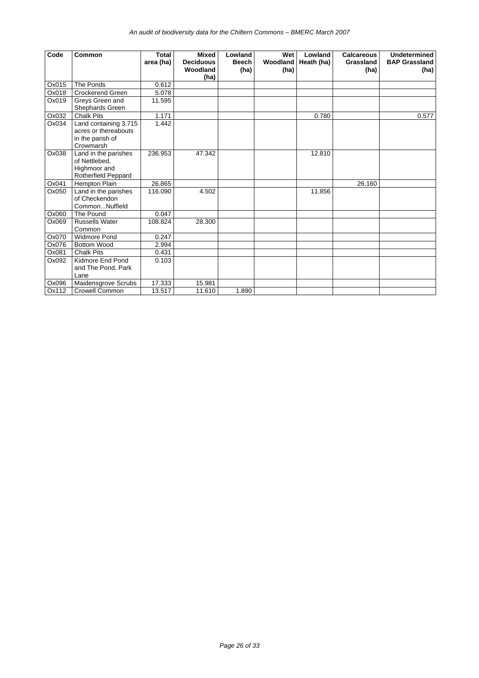| Code  | Common                                                                         | <b>Total</b><br>area (ha) | <b>Mixed</b><br><b>Deciduous</b> | Lowland<br><b>Beech</b> | Wet<br>Woodland | Lowland<br>Heath (ha) | <b>Calcareous</b><br>Grassland | <b>Undetermined</b><br><b>BAP Grassland</b> |
|-------|--------------------------------------------------------------------------------|---------------------------|----------------------------------|-------------------------|-----------------|-----------------------|--------------------------------|---------------------------------------------|
|       |                                                                                |                           | Woodland<br>(ha)                 | (ha)                    | (ha)            |                       | (ha)                           | (ha)                                        |
| Ox015 | The Ponds                                                                      | 0.612                     |                                  |                         |                 |                       |                                |                                             |
| Ox018 | <b>Crockerend Green</b>                                                        | 5.078                     |                                  |                         |                 |                       |                                |                                             |
| Ox019 | Greys Green and<br>Shephards Green                                             | 11.595                    |                                  |                         |                 |                       |                                |                                             |
| Ox032 | <b>Chalk Pits</b>                                                              | 1.171                     |                                  |                         |                 | 0.780                 |                                | 0.577                                       |
| Ox034 | Land containing 3.715<br>acres or thereabouts<br>in the parish of<br>Crowmarsh | 1.442                     |                                  |                         |                 |                       |                                |                                             |
| Ox038 | Land in the parishes<br>of Nettlebed,<br>Highmoor and<br>Rotherfield Peppard   | 236.953                   | 47.342                           |                         |                 | 12.810                |                                |                                             |
| Ox041 | <b>Hempton Plain</b>                                                           | 26.865                    |                                  |                         |                 |                       | 26.160                         |                                             |
| Ox050 | Land in the parishes<br>of Checkendon<br>CommonNuffield                        | 116.090                   | 4.502                            |                         |                 | 11.856                |                                |                                             |
| Ox060 | The Pound                                                                      | 0.047                     |                                  |                         |                 |                       |                                |                                             |
| Ox069 | <b>Russells Water</b><br>Common                                                | 108.824                   | 28.300                           |                         |                 |                       |                                |                                             |
| Ox070 | <b>Widmore Pond</b>                                                            | 0.247                     |                                  |                         |                 |                       |                                |                                             |
| Ox076 | <b>Bottom Wood</b>                                                             | 2.994                     |                                  |                         |                 |                       |                                |                                             |
| Ox081 | <b>Chalk Pits</b>                                                              | 0.431                     |                                  |                         |                 |                       |                                |                                             |
| Ox092 | Kidmore End Pond<br>and The Pond, Park<br>Lane                                 | 0.103                     |                                  |                         |                 |                       |                                |                                             |
| Ox096 | Maidensgrove Scrubs                                                            | 17.333                    | 15.981                           |                         |                 |                       |                                |                                             |
| Ox112 | <b>Crowell Common</b>                                                          | 13.517                    | 11.610                           | 1.890                   |                 |                       |                                |                                             |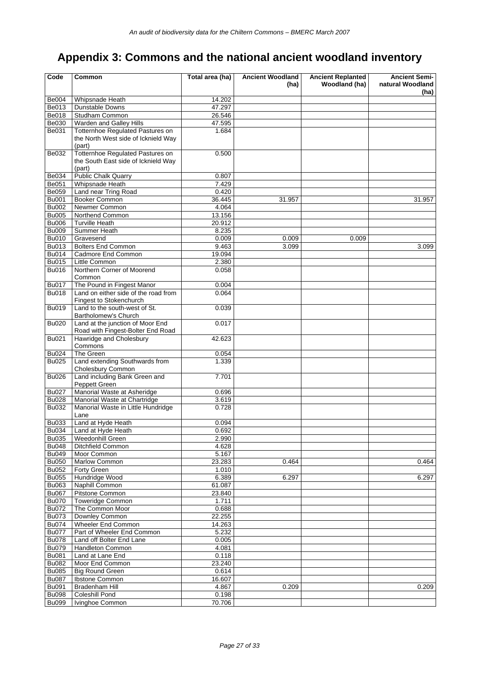## **Appendix 3: Commons and the national ancient woodland inventory**

| Code                         | Common                                       | Total area (ha)  | <b>Ancient Woodland</b> | <b>Ancient Replanted</b> | <b>Ancient Semi-</b> |
|------------------------------|----------------------------------------------|------------------|-------------------------|--------------------------|----------------------|
|                              |                                              |                  | (ha)                    | Woodland (ha)            | natural Woodland     |
|                              |                                              |                  |                         |                          | (ha)                 |
| <b>Be004</b>                 | Whipsnade Heath                              | 14.202           |                         |                          |                      |
| Be013                        | Dunstable Downs                              | 47.297<br>26.546 |                         |                          |                      |
| Be018<br>Be030               | Studham Common<br>Warden and Galley Hills    | 47.595           |                         |                          |                      |
| Be031                        | Totternhoe Regulated Pastures on             | 1.684            |                         |                          |                      |
|                              | the North West side of Icknield Way          |                  |                         |                          |                      |
|                              | (part)                                       |                  |                         |                          |                      |
| Be032                        | Totternhoe Regulated Pastures on             | 0.500            |                         |                          |                      |
|                              | the South East side of Icknield Way          |                  |                         |                          |                      |
|                              | (part)                                       |                  |                         |                          |                      |
| Be034                        | <b>Public Chalk Quarry</b>                   | 0.807            |                         |                          |                      |
| <b>Be051</b>                 | Whipsnade Heath                              | 7.429            |                         |                          |                      |
| Be059                        | Land near Tring Road                         | 0.420            |                         |                          |                      |
| <b>Bu001</b>                 | Booker Common                                | 36.445           | 31.957                  |                          | 31.957               |
| <b>Bu002</b>                 | Newmer Common                                | 4.064            |                         |                          |                      |
| <b>Bu005</b>                 | Northend Common                              | 13.156           |                         |                          |                      |
| <b>Bu006</b>                 | <b>Turville Heath</b>                        | 20.912           |                         |                          |                      |
| <b>Bu009</b>                 | Summer Heath                                 | 8.235            |                         |                          |                      |
| <b>Bu010</b>                 | Gravesend                                    | 0.009            | 0.009                   | 0.009                    |                      |
| Bu013                        | <b>Bolters End Common</b>                    | 9.463            | 3.099                   |                          | 3.099                |
| <b>Bu014</b>                 | Cadmore End Common                           | 19.094           |                         |                          |                      |
| <b>Bu015</b>                 | Little Common                                | 2.380            |                         |                          |                      |
| <b>Bu016</b>                 | Northern Corner of Moorend<br>Common         | 0.058            |                         |                          |                      |
| <b>Bu017</b>                 | The Pound in Fingest Manor                   | 0.004            |                         |                          |                      |
| <b>Bu018</b>                 | Land on either side of the road from         | 0.064            |                         |                          |                      |
|                              | Fingest to Stokenchurch                      |                  |                         |                          |                      |
| Bu019                        | Land to the south-west of St.                | 0.039            |                         |                          |                      |
|                              | Bartholomew's Church                         |                  |                         |                          |                      |
| <b>Bu020</b>                 | Land at the junction of Moor End             | 0.017            |                         |                          |                      |
|                              | Road with Fingest-Bolter End Road            |                  |                         |                          |                      |
| <b>Bu021</b>                 | Hawridge and Cholesbury                      | 42.623           |                         |                          |                      |
|                              | Commons                                      |                  |                         |                          |                      |
| <b>Bu024</b>                 | The Green                                    | 0.054            |                         |                          |                      |
| <b>Bu025</b>                 | Land extending Southwards from               | 1.339            |                         |                          |                      |
|                              | Cholesbury Common                            |                  |                         |                          |                      |
| <b>Bu026</b>                 | Land including Bank Green and                | 7.701            |                         |                          |                      |
| <b>Bu027</b>                 | Peppett Green<br>Manorial Waste at Asheridge | 0.696            |                         |                          |                      |
| <b>Bu028</b>                 | Manorial Waste at Chartridge                 | 3.619            |                         |                          |                      |
| Bu032                        | Manorial Waste in Little Hundridge           | 0.728            |                         |                          |                      |
|                              | Lane                                         |                  |                         |                          |                      |
| Bu033                        | Land at Hyde Heath                           | 0.094            |                         |                          |                      |
| <b>Bu034</b>                 | Land at Hyde Heath                           | 0.692            |                         |                          |                      |
| <b>Bu035</b>                 | Weedonhill Green                             | 2.990            |                         |                          |                      |
| <b>Bu048</b>                 | Ditchfield Common                            | 4.628            |                         |                          |                      |
| <b>Bu049</b>                 | Moor Common                                  | 5.167            |                         |                          |                      |
| <b>Bu050</b>                 | Marlow Common                                | 23.283           | 0.464                   |                          | 0.464                |
| <b>Bu052</b>                 | Forty Green                                  | 1.010            |                         |                          |                      |
| <b>Bu055</b>                 | Hundridge Wood                               | 6.389            | 6.297                   |                          | 6.297                |
| Bu063                        | Naphill Common                               | 61.087           |                         |                          |                      |
| <b>Bu067</b>                 | Pitstone Common                              | 23.840           |                         |                          |                      |
| <b>Bu070</b>                 | <b>Toweridge Common</b>                      | 1.711            |                         |                          |                      |
| <b>Bu072</b>                 | The Common Moor                              | 0.688            |                         |                          |                      |
| <b>Bu073</b>                 | Downley Common                               | 22.255           |                         |                          |                      |
| <b>Bu074</b>                 | Wheeler End Common                           | 14.263           |                         |                          |                      |
| <b>Bu077</b>                 | Part of Wheeler End Common                   | 5.232            |                         |                          |                      |
| <b>Bu078</b>                 | Land off Bolter End Lane                     | 0.005            |                         |                          |                      |
| <b>Bu079</b>                 | Handleton Common                             | 4.081            |                         |                          |                      |
| <b>Bu081</b><br><b>Bu082</b> | Land at Lane End<br>Moor End Common          | 0.118<br>23.240  |                         |                          |                      |
| <b>Bu085</b>                 | <b>Big Round Green</b>                       | 0.614            |                         |                          |                      |
| <b>Bu087</b>                 | Ibstone Common                               | 16.607           |                         |                          |                      |
| <b>Bu091</b>                 | <b>Bradenham Hill</b>                        | 4.867            | 0.209                   |                          | 0.209                |
| <b>Bu098</b>                 | Coleshill Pond                               | 0.198            |                         |                          |                      |
| <b>Bu099</b>                 | Ivinghoe Common                              | 70.706           |                         |                          |                      |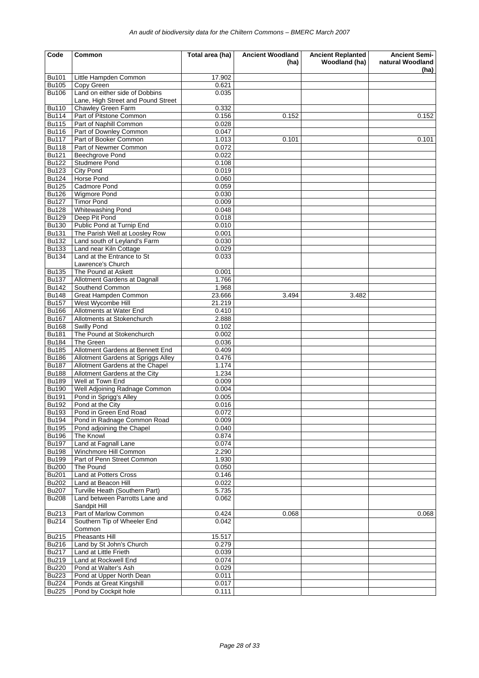| Code                         | Common                                                               | Total area (ha) | <b>Ancient Woodland</b> | <b>Ancient Replanted</b> | <b>Ancient Semi-</b>     |
|------------------------------|----------------------------------------------------------------------|-----------------|-------------------------|--------------------------|--------------------------|
|                              |                                                                      |                 | (ha)                    | Woodland (ha)            | natural Woodland<br>(ha) |
| Bu101                        | Little Hampden Common                                                | 17.902          |                         |                          |                          |
| <b>Bu105</b>                 | Copy Green                                                           | 0.621           |                         |                          |                          |
| <b>Bu106</b>                 | Land on either side of Dobbins<br>Lane, High Street and Pound Street | 0.035           |                         |                          |                          |
| <b>Bu110</b>                 | Chawley Green Farm                                                   | 0.332           |                         |                          |                          |
| <b>Bu114</b>                 | Part of Pitstone Common                                              | 0.156           | 0.152                   |                          | 0.152                    |
| <b>Bu115</b>                 | Part of Naphill Common                                               | 0.028           |                         |                          |                          |
| <b>Bu116</b>                 | Part of Downley Common                                               | 0.047           |                         |                          |                          |
| <b>Bu117</b>                 | Part of Booker Common                                                | 1.013           | 0.101                   |                          | 0.101                    |
| <b>Bu118</b>                 | Part of Newmer Common                                                | 0.072           |                         |                          |                          |
| <b>Bu121</b>                 | Beechgrove Pond                                                      | 0.022           |                         |                          |                          |
| <b>Bu122</b>                 | <b>Studmere Pond</b>                                                 | 0.108           |                         |                          |                          |
| <b>Bu123</b>                 | <b>City Pond</b>                                                     | 0.019           |                         |                          |                          |
| <b>Bu124</b>                 | Horse Pond                                                           | 0.060           |                         |                          |                          |
| <b>Bu125</b><br><b>Bu126</b> | Cadmore Pond                                                         | 0.059           |                         |                          |                          |
|                              | <b>Wigmore Pond</b><br><b>Timor Pond</b>                             | 0.030           |                         |                          |                          |
| <b>Bu127</b><br><b>Bu128</b> | Whitewashing Pond                                                    | 0.009<br>0.048  |                         |                          |                          |
| <b>Bu129</b>                 | Deep Pit Pond                                                        | 0.018           |                         |                          |                          |
| <b>Bu130</b>                 | Public Pond at Turnip End                                            | 0.010           |                         |                          |                          |
| <b>Bu131</b>                 | The Parish Well at Loosley Row                                       | 0.001           |                         |                          |                          |
| <b>Bu132</b>                 | Land south of Leyland's Farm                                         | 0.030           |                         |                          |                          |
| <b>Bu133</b>                 | Land near Kiln Cottage                                               | 0.029           |                         |                          |                          |
| <b>Bu134</b>                 | Land at the Entrance to St                                           | 0.033           |                         |                          |                          |
|                              | Lawrence's Church                                                    |                 |                         |                          |                          |
| <b>Bu135</b>                 | The Pound at Askett                                                  | 0.001           |                         |                          |                          |
| <b>Bu137</b>                 | Allotment Gardens at Dagnall                                         | 1.766           |                         |                          |                          |
| <b>Bu142</b>                 | Southend Common                                                      | 1.968           |                         |                          |                          |
| <b>Bu148</b>                 | Great Hampden Common                                                 | 23.666          | 3.494                   | 3.482                    |                          |
| <b>Bu157</b>                 | West Wycombe Hill                                                    | 21.219          |                         |                          |                          |
| <b>Bu166</b>                 | Allotments at Water End                                              | 0.410           |                         |                          |                          |
| <b>Bu167</b>                 | Allotments at Stokenchurch                                           | 2.888           |                         |                          |                          |
| <b>Bu168</b>                 | <b>Swilly Pond</b>                                                   | 0.102           |                         |                          |                          |
| <b>Bu181</b>                 | The Pound at Stokenchurch                                            | 0.002           |                         |                          |                          |
| <b>Bu184</b>                 | The Green                                                            | 0.036           |                         |                          |                          |
| <b>Bu185</b>                 | Allotment Gardens at Bennett End                                     | 0.409           |                         |                          |                          |
| <b>Bu186</b>                 | Allotment Gardens at Spriggs Alley                                   | 0.476           |                         |                          |                          |
| <b>Bu187</b>                 | Allotment Gardens at the Chapel                                      | 1.174           |                         |                          |                          |
| <b>Bu188</b>                 | Allotment Gardens at the City                                        | 1.234           |                         |                          |                          |
| <b>Bu189</b>                 | Well at Town End                                                     | 0.009           |                         |                          |                          |
| <b>Bu190</b>                 | Well Adjoining Radnage Common                                        | 0.004           |                         |                          |                          |
| <b>Bu191</b>                 | Pond in Sprigg's Alley                                               | 0.005           |                         |                          |                          |
| <b>Bu192</b>                 | Pond at the City                                                     | 0.016           |                         |                          |                          |
| Bu193                        | Pond in Green End Road                                               | 0.072           |                         |                          |                          |
| <b>Bu194</b>                 | Pond in Radnage Common Road                                          | 0.009           |                         |                          |                          |
| <b>Bu195</b>                 | Pond adjoining the Chapel                                            | 0.040           |                         |                          |                          |
| <b>Bu196</b><br><b>Bu197</b> | The Knowl                                                            | 0.874           |                         |                          |                          |
| <b>Bu198</b>                 | Land at Fagnall Lane<br>Winchmore Hill Common                        | 0.074<br>2.290  |                         |                          |                          |
| <b>Bu199</b>                 | Part of Penn Street Common                                           | 1.930           |                         |                          |                          |
| <b>Bu200</b>                 | The Pound                                                            | 0.050           |                         |                          |                          |
| <b>Bu201</b>                 | Land at Potters Cross                                                | 0.146           |                         |                          |                          |
| <b>Bu202</b>                 | Land at Beacon Hill                                                  | 0.022           |                         |                          |                          |
| <b>Bu207</b>                 | Turville Heath (Southern Part)                                       | 5.735           |                         |                          |                          |
| <b>Bu208</b>                 | Land between Parrotts Lane and                                       | 0.062           |                         |                          |                          |
|                              | Sandpit Hill                                                         |                 |                         |                          |                          |
| Bu213                        | Part of Marlow Common                                                | 0.424           | 0.068                   |                          | 0.068                    |
| Bu214                        | Southern Tip of Wheeler End                                          | 0.042           |                         |                          |                          |
|                              | Common                                                               |                 |                         |                          |                          |
| Bu215                        | Pheasants Hill                                                       | 15.517          |                         |                          |                          |
| Bu216                        | Land by St John's Church                                             | 0.279           |                         |                          |                          |
| <b>Bu217</b>                 | Land at Little Frieth                                                | 0.039           |                         |                          |                          |
| Bu219                        | Land at Rockwell End                                                 | 0.074           |                         |                          |                          |
| <b>Bu220</b>                 | Pond at Walter's Ash                                                 | 0.029           |                         |                          |                          |
| <b>Bu223</b>                 | Pond at Upper North Dean                                             | 0.011           |                         |                          |                          |
| <b>Bu224</b>                 | Ponds at Great Kingshill                                             | 0.017           |                         |                          |                          |
| <b>Bu225</b>                 | Pond by Cockpit hole                                                 | 0.111           |                         |                          |                          |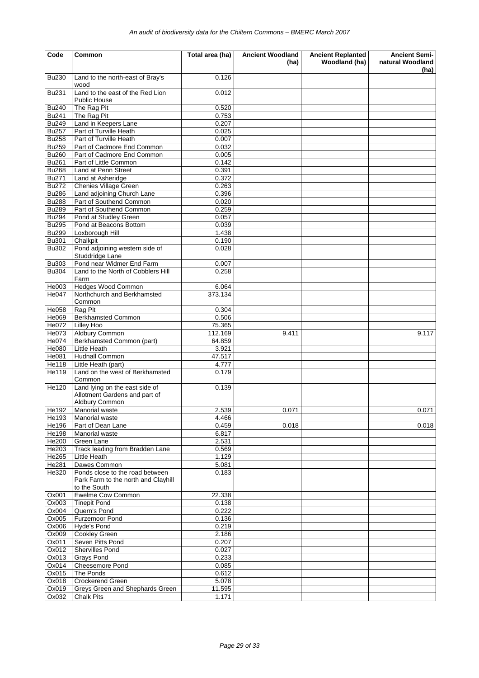| Code                         | Common                                                                            | Total area (ha) | <b>Ancient Woodland</b><br>(ha) | <b>Ancient Replanted</b><br>Woodland (ha) | <b>Ancient Semi-</b><br>natural Woodland |
|------------------------------|-----------------------------------------------------------------------------------|-----------------|---------------------------------|-------------------------------------------|------------------------------------------|
| <b>Bu230</b>                 | Land to the north-east of Bray's                                                  | 0.126           |                                 |                                           | (ha)                                     |
| <b>Bu231</b>                 | wood<br>Land to the east of the Red Lion<br><b>Public House</b>                   | 0.012           |                                 |                                           |                                          |
| <b>Bu240</b>                 | The Rag Pit                                                                       | 0.520           |                                 |                                           |                                          |
| <b>Bu241</b>                 | The Rag Pit                                                                       | 0.753           |                                 |                                           |                                          |
| <b>Bu249</b>                 | Land in Keepers Lane                                                              | 0.207           |                                 |                                           |                                          |
| <b>Bu257</b>                 | Part of Turville Heath                                                            | 0.025           |                                 |                                           |                                          |
| <b>Bu258</b>                 | Part of Turville Heath                                                            | 0.007           |                                 |                                           |                                          |
| <b>Bu259</b>                 | Part of Cadmore End Common                                                        | 0.032           |                                 |                                           |                                          |
| <b>Bu260</b>                 | Part of Cadmore End Common                                                        | 0.005           |                                 |                                           |                                          |
| <b>Bu261</b>                 | Part of Little Common                                                             | 0.142           |                                 |                                           |                                          |
| <b>Bu268</b>                 | Land at Penn Street                                                               | 0.391           |                                 |                                           |                                          |
| <b>Bu271</b>                 | Land at Asheridge                                                                 | 0.372           |                                 |                                           |                                          |
| <b>Bu272</b>                 | Chenies Village Green                                                             | 0.263           |                                 |                                           |                                          |
| <b>Bu286</b>                 | Land adjoining Church Lane                                                        | 0.396           |                                 |                                           |                                          |
| <b>Bu288</b><br><b>Bu289</b> | Part of Southend Common<br>Part of Southend Common                                | 0.020<br>0.259  |                                 |                                           |                                          |
| <b>Bu294</b>                 | Pond at Studley Green                                                             | 0.057           |                                 |                                           |                                          |
| <b>Bu295</b>                 | Pond at Beacons Bottom                                                            | 0.039           |                                 |                                           |                                          |
| <b>Bu299</b>                 | Loxborough Hill                                                                   | 1.438           |                                 |                                           |                                          |
| <b>Bu301</b>                 | Chalkpit                                                                          | 0.190           |                                 |                                           |                                          |
| <b>Bu302</b>                 | Pond adjoining western side of                                                    | 0.028           |                                 |                                           |                                          |
|                              | Studdridge Lane                                                                   |                 |                                 |                                           |                                          |
| <b>Bu303</b>                 | Pond near Widmer End Farm                                                         | 0.007           |                                 |                                           |                                          |
| <b>Bu304</b>                 | Land to the North of Cobblers Hill                                                | 0.258           |                                 |                                           |                                          |
|                              | Farm                                                                              |                 |                                 |                                           |                                          |
| He003                        | <b>Hedges Wood Common</b>                                                         | 6.064           |                                 |                                           |                                          |
| He047                        | Northchurch and Berkhamsted<br>Common                                             | 373.134         |                                 |                                           |                                          |
| He058                        | Rag Pit                                                                           | 0.304           |                                 |                                           |                                          |
| He069                        | <b>Berkhamsted Common</b>                                                         | 0.506           |                                 |                                           |                                          |
| He072                        | <b>Lilley Hoo</b>                                                                 | 75.365          |                                 |                                           |                                          |
| He073                        | <b>Aldbury Common</b>                                                             | 112.169         | 9.411                           |                                           | 9.117                                    |
| He074                        | Berkhamsted Common (part)                                                         | 64.859          |                                 |                                           |                                          |
| He080                        | Little Heath                                                                      | 3.921           |                                 |                                           |                                          |
| <b>He081</b>                 | Hudnall Common                                                                    | 47.517          |                                 |                                           |                                          |
| He118                        | Little Heath (part)                                                               | 4.777           |                                 |                                           |                                          |
| He119                        | Land on the west of Berkhamsted<br>Common                                         | 0.179           |                                 |                                           |                                          |
| He120                        | Land lying on the east side of<br>Allotment Gardens and part of<br>Aldbury Common | 0.139           |                                 |                                           |                                          |
| He192                        | Manorial waste                                                                    | 2.539           | 0.071                           |                                           | 0.071                                    |
| He193                        | Manorial waste                                                                    | 4.466           |                                 |                                           |                                          |
| He196                        | Part of Dean Lane                                                                 | 0.459           | 0.018                           |                                           | 0.018                                    |
| <b>He198</b>                 | Manorial waste                                                                    | 6.817           |                                 |                                           |                                          |
| <b>He200</b>                 | Green Lane                                                                        | 2.531           |                                 |                                           |                                          |
| He203                        | Track leading from Bradden Lane                                                   | 0.569           |                                 |                                           |                                          |
| He265                        | Little Heath                                                                      | 1.129           |                                 |                                           |                                          |
| <b>He281</b>                 | Dawes Common                                                                      | 5.081           |                                 |                                           |                                          |
| He320                        | Ponds close to the road between<br>Park Farm to the north and Clayhill            | 0.183           |                                 |                                           |                                          |
|                              | to the South                                                                      |                 |                                 |                                           |                                          |
| Ox001                        | Ewelme Cow Common                                                                 | 22.338          |                                 |                                           |                                          |
| Ox003<br>Ox004               | <b>Tinepit Pond</b><br>Quern's Pond                                               | 0.138<br>0.222  |                                 |                                           |                                          |
| Ox005                        | Furzemoor Pond                                                                    | 0.136           |                                 |                                           |                                          |
| Ox006                        | Hyde's Pond                                                                       | 0.219           |                                 |                                           |                                          |
| Ox009                        | Cookley Green                                                                     | 2.186           |                                 |                                           |                                          |
| Ox011                        | Seven Pitts Pond                                                                  | 0.207           |                                 |                                           |                                          |
| Ox012                        | Shervilles Pond                                                                   | 0.027           |                                 |                                           |                                          |
| Ox013                        | <b>Grays Pond</b>                                                                 | 0.233           |                                 |                                           |                                          |
| Ox014                        | Cheesemore Pond                                                                   | 0.085           |                                 |                                           |                                          |
| Ox015                        | The Ponds                                                                         | 0.612           |                                 |                                           |                                          |
| Ox018                        | Crockerend Green                                                                  | 5.078           |                                 |                                           |                                          |
| Ox019                        | Greys Green and Shephards Green                                                   | 11.595          |                                 |                                           |                                          |
| Ox032                        | <b>Chalk Pits</b>                                                                 | 1.171           |                                 |                                           |                                          |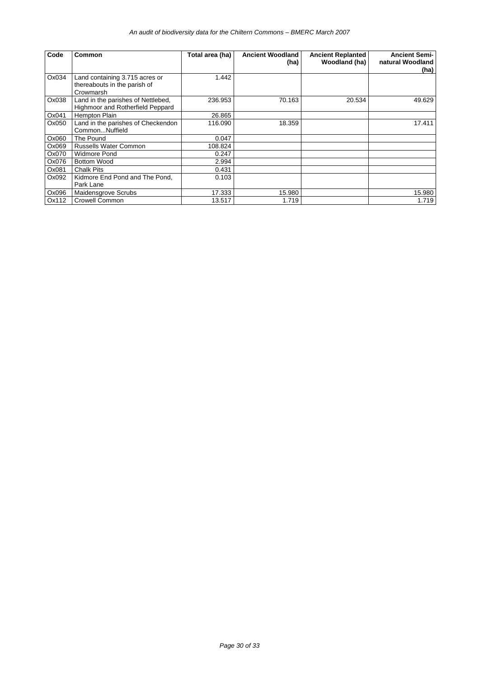| Code  | Common                                                                      | Total area (ha) | <b>Ancient Woodland</b><br>(ha) | <b>Ancient Replanted</b><br>Woodland (ha) | <b>Ancient Semi-</b><br>natural Woodland<br>(ha) |
|-------|-----------------------------------------------------------------------------|-----------------|---------------------------------|-------------------------------------------|--------------------------------------------------|
| Ox034 | Land containing 3.715 acres or<br>thereabouts in the parish of<br>Crowmarsh | 1.442           |                                 |                                           |                                                  |
| Ox038 | Land in the parishes of Nettlebed,<br>Highmoor and Rotherfield Peppard      | 236.953         | 70.163                          | 20.534                                    | 49.629                                           |
| Ox041 | <b>Hempton Plain</b>                                                        | 26.865          |                                 |                                           |                                                  |
| Ox050 | Land in the parishes of Checkendon<br>CommonNuffield                        | 116.090         | 18.359                          |                                           | 17.411                                           |
| Ox060 | The Pound                                                                   | 0.047           |                                 |                                           |                                                  |
| Ox069 | <b>Russells Water Common</b>                                                | 108.824         |                                 |                                           |                                                  |
| Ox070 | <b>Widmore Pond</b>                                                         | 0.247           |                                 |                                           |                                                  |
| Ox076 | <b>Bottom Wood</b>                                                          | 2.994           |                                 |                                           |                                                  |
| Ox081 | <b>Chalk Pits</b>                                                           | 0.431           |                                 |                                           |                                                  |
| Ox092 | Kidmore End Pond and The Pond,<br>Park Lane                                 | 0.103           |                                 |                                           |                                                  |
| Ox096 | Maidensgrove Scrubs                                                         | 17.333          | 15.980                          |                                           | 15.980                                           |
| Ox112 | <b>Crowell Common</b>                                                       | 13.517          | 1.719                           |                                           | 1.719                                            |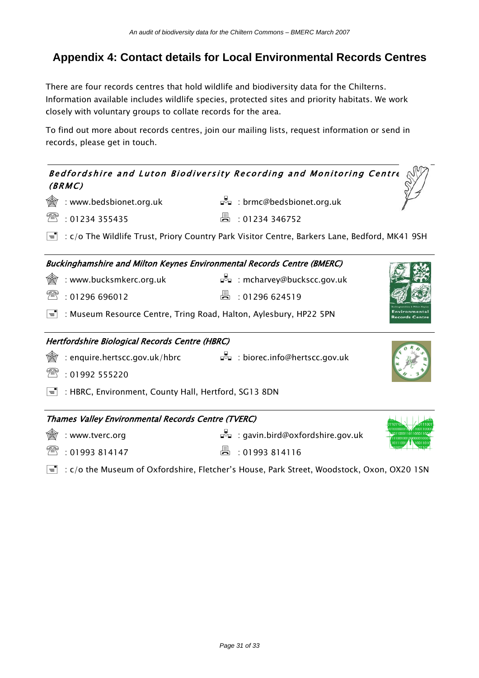### **Appendix 4: Contact details for Local Environmental Records Centres**

There are four records centres that hold wildlife and biodiversity data for the Chilterns. Information available includes wildlife species, protected sites and priority habitats. We work closely with voluntary groups to collate records for the area.

To find out more about records centres, join our mailing lists, request information or send in records, please get in touch.

| Bedfordshire and Luton Biodiversity Recording and Monitoring Centre<br>(BRMC)                                       |    |                                                  |  |
|---------------------------------------------------------------------------------------------------------------------|----|--------------------------------------------------|--|
| : www.bedsbionet.org.uk                                                                                             |    | □□□: brmc@bedsbionet.org.uk                      |  |
| ₩<br>: 01234 355435                                                                                                 | ä. | : 01234 346752                                   |  |
| $=$ $\overline{ }$<br>: c/o The Wildlife Trust, Priory Country Park Visitor Centre, Barkers Lane, Bedford, MK41 9SH |    |                                                  |  |
| <b>Buckinghamshire and Milton Keynes Environmental Records Centre (BMERC)</b>                                       |    |                                                  |  |
| : www.bucksmkerc.org.uk                                                                                             |    | ⊒ <sup>ह</sup> ⊒ : mcharvey@buckscc.gov.uk       |  |
| ₩<br>: 01296696012                                                                                                  | 昌  | : 01296624519                                    |  |
| $=$ $\overline{ }$<br>: Museum Resource Centre, Tring Road, Halton, Aylesbury, HP22 5PN                             |    |                                                  |  |
| Hertfordshire Biological Records Centre (HBRC)                                                                      |    |                                                  |  |
| : enquire.hertscc.gov.uk/hbrc $\vec{F}$ = : biorec.info@hertscc.gov.uk                                              |    |                                                  |  |
| : 01992 555220                                                                                                      |    |                                                  |  |
| ਵੀ<br>: HBRC, Environment, County Hall, Hertford, SG13 8DN                                                          |    |                                                  |  |
| Thames Valley Environmental Records Centre (TVERC)                                                                  |    |                                                  |  |
| : www.tverc.org                                                                                                     |    | ⊒ <sup>∺</sup> □ : gavin.bird@oxfordshire.gov.uk |  |
| : 01993814147                                                                                                       |    | : 01993814116                                    |  |

 $\equiv$  : c/o the Museum of Oxfordshire, Fletcher's House, Park Street, Woodstock, Oxon, OX20 1SN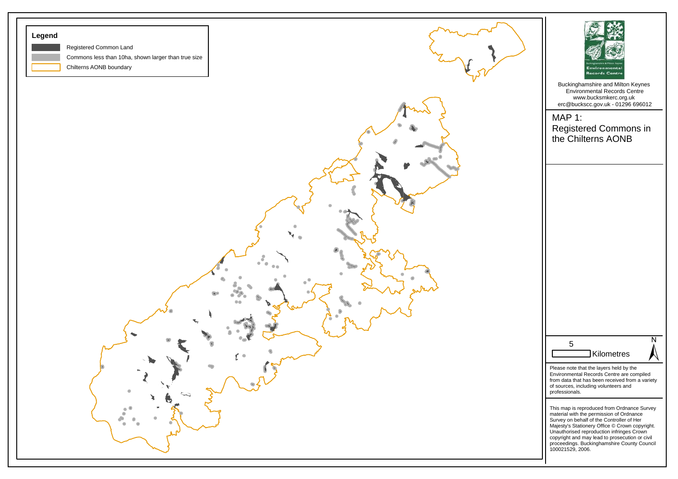